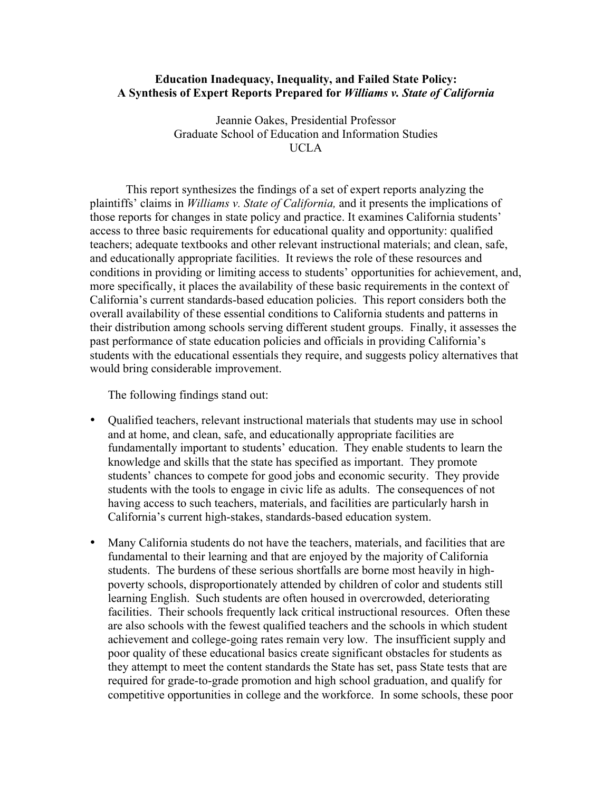#### **Education Inadequacy, Inequality, and Failed State Policy: A Synthesis of Expert Reports Prepared for** *Williams v. State of California*

Jeannie Oakes, Presidential Professor Graduate School of Education and Information Studies UCLA

This report synthesizes the findings of a set of expert reports analyzing the plaintiffs' claims in *Williams v. State of California,* and it presents the implications of those reports for changes in state policy and practice. It examines California students' access to three basic requirements for educational quality and opportunity: qualified teachers; adequate textbooks and other relevant instructional materials; and clean, safe, and educationally appropriate facilities. It reviews the role of these resources and conditions in providing or limiting access to students' opportunities for achievement, and, more specifically, it places the availability of these basic requirements in the context of California's current standards-based education policies. This report considers both the overall availability of these essential conditions to California students and patterns in their distribution among schools serving different student groups. Finally, it assesses the past performance of state education policies and officials in providing California's students with the educational essentials they require, and suggests policy alternatives that would bring considerable improvement.

The following findings stand out:

Qualified teachers, relevant instructional materials that students may use in school and at home, and clean, safe, and educationally appropriate facilities are fundamentally important to students' education. They enable students to learn the knowledge and skills that the state has specified as important. They promote students' chances to compete for good jobs and economic security. They provide students with the tools to engage in civic life as adults. The consequences of not having access to such teachers, materials, and facilities are particularly harsh in California's current high-stakes, standards-based education system.

Many California students do not have the teachers, materials, and facilities that are fundamental to their learning and that are enjoyed by the majority of California students. The burdens of these serious shortfalls are borne most heavily in highpoverty schools, disproportionately attended by children of color and students still learning English. Such students are often housed in overcrowded, deteriorating facilities. Their schools frequently lack critical instructional resources. Often these are also schools with the fewest qualified teachers and the schools in which student achievement and college-going rates remain very low. The insufficient supply and poor quality of these educational basics create significant obstacles for students as they attempt to meet the content standards the State has set, pass State tests that are required for grade-to-grade promotion and high school graduation, and qualify for competitive opportunities in college and the workforce. In some schools, these poor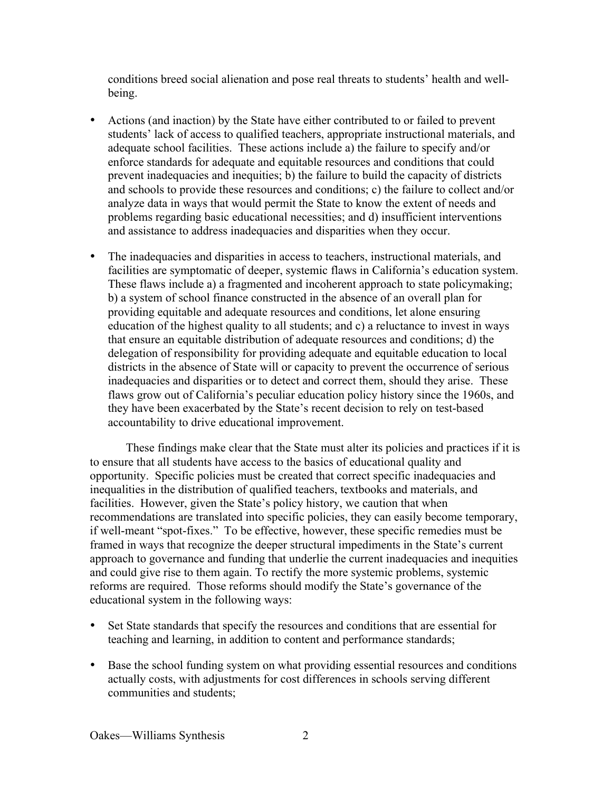conditions breed social alienation and pose real threats to students' health and wellbeing.

Actions (and inaction) by the State have either contributed to or failed to prevent students' lack of access to qualified teachers, appropriate instructional materials, and adequate school facilities. These actions include a) the failure to specify and/or enforce standards for adequate and equitable resources and conditions that could prevent inadequacies and inequities; b) the failure to build the capacity of districts and schools to provide these resources and conditions; c) the failure to collect and/or analyze data in ways that would permit the State to know the extent of needs and problems regarding basic educational necessities; and d) insufficient interventions and assistance to address inadequacies and disparities when they occur.

The inadequacies and disparities in access to teachers, instructional materials, and facilities are symptomatic of deeper, systemic flaws in California's education system. These flaws include a) a fragmented and incoherent approach to state policymaking; b) a system of school finance constructed in the absence of an overall plan for providing equitable and adequate resources and conditions, let alone ensuring education of the highest quality to all students; and c) a reluctance to invest in ways that ensure an equitable distribution of adequate resources and conditions; d) the delegation of responsibility for providing adequate and equitable education to local districts in the absence of State will or capacity to prevent the occurrence of serious inadequacies and disparities or to detect and correct them, should they arise. These flaws grow out of California's peculiar education policy history since the 1960s, and they have been exacerbated by the State's recent decision to rely on test-based accountability to drive educational improvement.

These findings make clear that the State must alter its policies and practices if it is to ensure that all students have access to the basics of educational quality and opportunity. Specific policies must be created that correct specific inadequacies and inequalities in the distribution of qualified teachers, textbooks and materials, and facilities. However, given the State's policy history, we caution that when recommendations are translated into specific policies, they can easily become temporary, if well-meant "spot-fixes." To be effective, however, these specific remedies must be framed in ways that recognize the deeper structural impediments in the State's current approach to governance and funding that underlie the current inadequacies and inequities and could give rise to them again. To rectify the more systemic problems, systemic reforms are required. Those reforms should modify the State's governance of the educational system in the following ways:

Set State standards that specify the resources and conditions that are essential for teaching and learning, in addition to content and performance standards;

Base the school funding system on what providing essential resources and conditions actually costs, with adjustments for cost differences in schools serving different communities and students;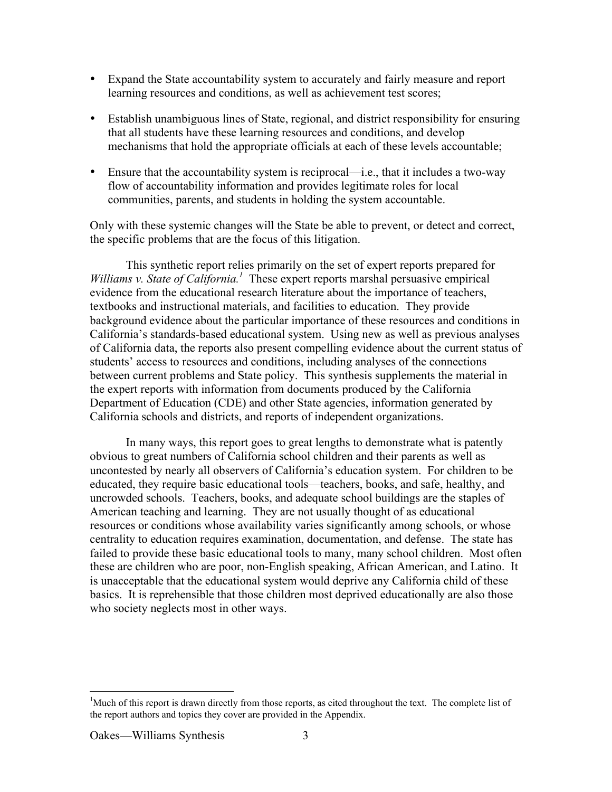Expand the State accountability system to accurately and fairly measure and report learning resources and conditions, as well as achievement test scores;

Establish unambiguous lines of State, regional, and district responsibility for ensuring that all students have these learning resources and conditions, and develop mechanisms that hold the appropriate officials at each of these levels accountable;

Ensure that the accountability system is reciprocal—i.e., that it includes a two-way flow of accountability information and provides legitimate roles for local communities, parents, and students in holding the system accountable.

Only with these systemic changes will the State be able to prevent, or detect and correct, the specific problems that are the focus of this litigation.

This synthetic report relies primarily on the set of expert reports prepared for Williams v. State of California.<sup>1</sup> These expert reports marshal persuasive empirical evidence from the educational research literature about the importance of teachers, textbooks and instructional materials, and facilities to education. They provide background evidence about the particular importance of these resources and conditions in California's standards-based educational system. Using new as well as previous analyses of California data, the reports also present compelling evidence about the current status of students' access to resources and conditions, including analyses of the connections between current problems and State policy. This synthesis supplements the material in the expert reports with information from documents produced by the California Department of Education (CDE) and other State agencies, information generated by California schools and districts, and reports of independent organizations.

In many ways, this report goes to great lengths to demonstrate what is patently obvious to great numbers of California school children and their parents as well as uncontested by nearly all observers of California's education system. For children to be educated, they require basic educational tools—teachers, books, and safe, healthy, and uncrowded schools. Teachers, books, and adequate school buildings are the staples of American teaching and learning. They are not usually thought of as educational resources or conditions whose availability varies significantly among schools, or whose centrality to education requires examination, documentation, and defense. The state has failed to provide these basic educational tools to many, many school children. Most often these are children who are poor, non-English speaking, African American, and Latino. It is unacceptable that the educational system would deprive any California child of these basics. It is reprehensible that those children most deprived educationally are also those who society neglects most in other ways.

 $\frac{1}{1}$ <sup>1</sup>Much of this report is drawn directly from those reports, as cited throughout the text. The complete list of the report authors and topics they cover are provided in the Appendix.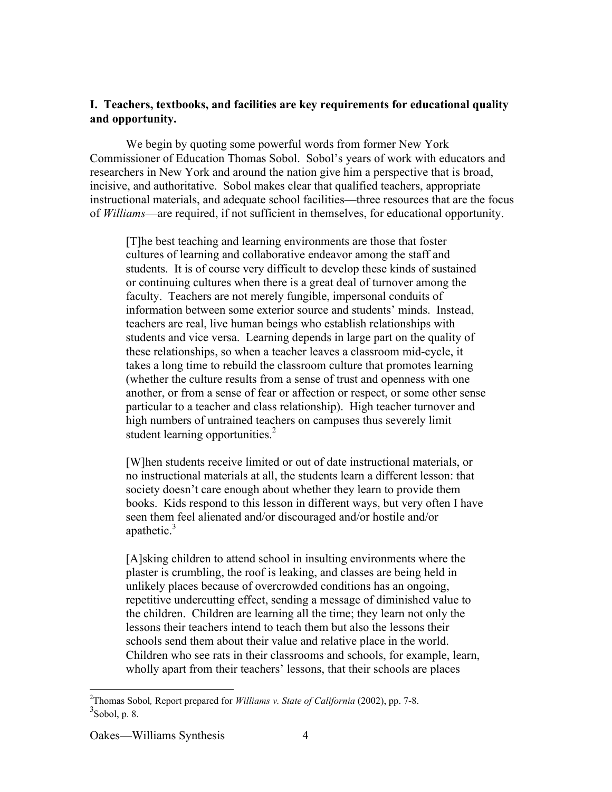# **I. Teachers, textbooks, and facilities are key requirements for educational quality and opportunity.**

We begin by quoting some powerful words from former New York Commissioner of Education Thomas Sobol. Sobol's years of work with educators and researchers in New York and around the nation give him a perspective that is broad, incisive, and authoritative. Sobol makes clear that qualified teachers, appropriate instructional materials, and adequate school facilities—three resources that are the focus of *Williams*—are required, if not sufficient in themselves, for educational opportunity.

[T]he best teaching and learning environments are those that foster cultures of learning and collaborative endeavor among the staff and students. It is of course very difficult to develop these kinds of sustained or continuing cultures when there is a great deal of turnover among the faculty. Teachers are not merely fungible, impersonal conduits of information between some exterior source and students' minds. Instead, teachers are real, live human beings who establish relationships with students and vice versa. Learning depends in large part on the quality of these relationships, so when a teacher leaves a classroom mid-cycle, it takes a long time to rebuild the classroom culture that promotes learning (whether the culture results from a sense of trust and openness with one another, or from a sense of fear or affection or respect, or some other sense particular to a teacher and class relationship). High teacher turnover and high numbers of untrained teachers on campuses thus severely limit student learning opportunities. $<sup>2</sup>$ </sup>

[W]hen students receive limited or out of date instructional materials, or no instructional materials at all, the students learn a different lesson: that society doesn't care enough about whether they learn to provide them books. Kids respond to this lesson in different ways, but very often I have seen them feel alienated and/or discouraged and/or hostile and/or apathetic. $3$ 

[A]sking children to attend school in insulting environments where the plaster is crumbling, the roof is leaking, and classes are being held in unlikely places because of overcrowded conditions has an ongoing, repetitive undercutting effect, sending a message of diminished value to the children. Children are learning all the time; they learn not only the lessons their teachers intend to teach them but also the lessons their schools send them about their value and relative place in the world. Children who see rats in their classrooms and schools, for example, learn, wholly apart from their teachers' lessons, that their schools are places

 $\frac{1}{2}$ Thomas Sobol*,* Report prepared for *Williams v. State of California* (2002), pp. 7-8.  $3$ Sobol, p. 8.

Oakes—Williams Synthesis 4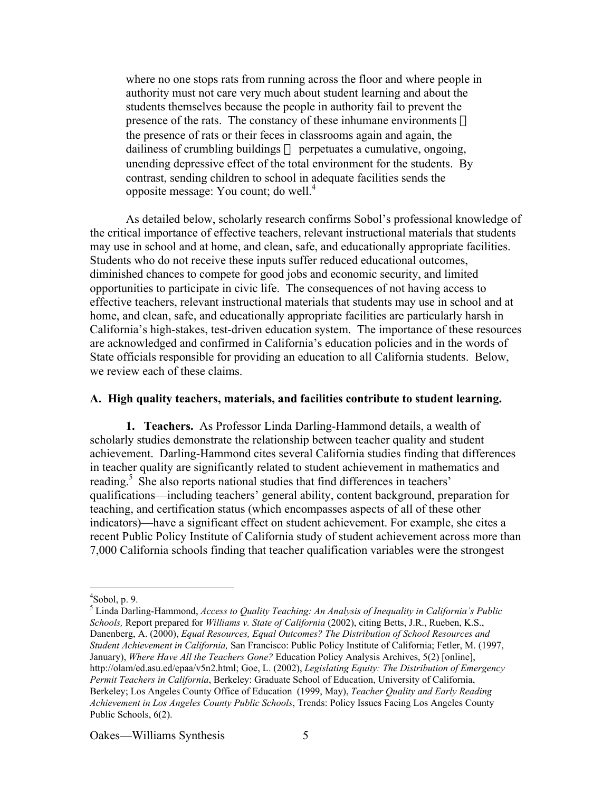where no one stops rats from running across the floor and where people in authority must not care very much about student learning and about the students themselves because the people in authority fail to prevent the presence of the rats. The constancy of these inhumane environments the presence of rats or their feces in classrooms again and again, the dailiness of crumbling buildings — perpetuates a cumulative, ongoing, unending depressive effect of the total environment for the students. By contrast, sending children to school in adequate facilities sends the opposite message: You count; do well.4

As detailed below, scholarly research confirms Sobol's professional knowledge of the critical importance of effective teachers, relevant instructional materials that students may use in school and at home, and clean, safe, and educationally appropriate facilities. Students who do not receive these inputs suffer reduced educational outcomes, diminished chances to compete for good jobs and economic security, and limited opportunities to participate in civic life. The consequences of not having access to effective teachers, relevant instructional materials that students may use in school and at home, and clean, safe, and educationally appropriate facilities are particularly harsh in California's high-stakes, test-driven education system. The importance of these resources are acknowledged and confirmed in California's education policies and in the words of State officials responsible for providing an education to all California students. Below, we review each of these claims.

## **A. High quality teachers, materials, and facilities contribute to student learning.**

**1. Teachers.** As Professor Linda Darling-Hammond details, a wealth of scholarly studies demonstrate the relationship between teacher quality and student achievement. Darling-Hammond cites several California studies finding that differences in teacher quality are significantly related to student achievement in mathematics and reading.<sup>5</sup> She also reports national studies that find differences in teachers' qualifications—including teachers' general ability, content background, preparation for teaching, and certification status (which encompasses aspects of all of these other indicators)—have a significant effect on student achievement. For example, she cites a recent Public Policy Institute of California study of student achievement across more than 7,000 California schools finding that teacher qualification variables were the strongest

 $\frac{1}{4}$  $\text{8}$ obol, p. 9.

<sup>5</sup> Linda Darling-Hammond, *Access to Quality Teaching: An Analysis of Inequality in California's Public Schools,* Report prepared for *Williams v. State of California* (2002), citing Betts, J.R., Rueben, K.S., Danenberg, A. (2000), *Equal Resources, Equal Outcomes? The Distribution of School Resources and Student Achievement in California,* San Francisco: Public Policy Institute of California; Fetler, M. (1997, January), *Where Have All the Teachers Gone?* Education Policy Analysis Archives, 5(2) [online], http://olam/ed.asu.ed/epaa/v5n2.html; Goe, L. (2002), *Legislating Equity: The Distribution of Emergency Permit Teachers in California*, Berkeley: Graduate School of Education, University of California, Berkeley; Los Angeles County Office of Education (1999, May), *Teacher Quality and Early Reading Achievement in Los Angeles County Public Schools*, Trends: Policy Issues Facing Los Angeles County Public Schools, 6(2).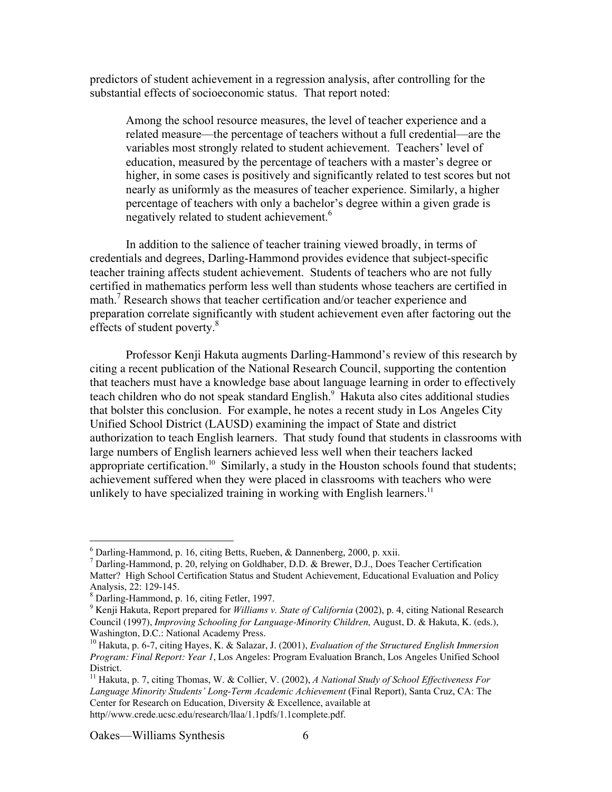predictors of student achievement in a regression analysis, after controlling for the substantial effects of socioeconomic status. That report noted:

Among the school resource measures, the level of teacher experience and a related measure—the percentage of teachers without a full credential—are the variables most strongly related to student achievement. Teachers' level of education, measured by the percentage of teachers with a master's degree or higher, in some cases is positively and significantly related to test scores but not nearly as uniformly as the measures of teacher experience. Similarly, a higher percentage of teachers with only a bachelor's degree within a given grade is negatively related to student achievement.<sup>6</sup>

In addition to the salience of teacher training viewed broadly, in terms of credentials and degrees, Darling-Hammond provides evidence that subject-specific teacher training affects student achievement. Students of teachers who are not fully certified in mathematics perform less well than students whose teachers are certified in math.7 Research shows that teacher certification and/or teacher experience and preparation correlate significantly with student achievement even after factoring out the effects of student poverty.<sup>8</sup>

Professor Kenji Hakuta augments Darling-Hammond's review of this research by citing a recent publication of the National Research Council, supporting the contention that teachers must have a knowledge base about language learning in order to effectively teach children who do not speak standard English.<sup>9</sup> Hakuta also cites additional studies that bolster this conclusion. For example, he notes a recent study in Los Angeles City Unified School District (LAUSD) examining the impact of State and district authorization to teach English learners. That study found that students in classrooms with large numbers of English learners achieved less well when their teachers lacked appropriate certification.<sup>10</sup> Similarly, a study in the Houston schools found that students; achievement suffered when they were placed in classrooms with teachers who were unlikely to have specialized training in working with English learners.<sup>11</sup>

<sup>11</sup> Hakuta, p. 7, citing Thomas, W. & Collier, V. (2002), *A National Study of School Effectiveness For Language Minority Students' Long-Term Academic Achievement* (Final Report), Santa Cruz, CA: The Center for Research on Education, Diversity & Excellence, available at http//www.crede.ucsc.edu/research/llaa/1.1pdfs/1.1complete.pdf.

 $\frac{1}{6}$  $6$  Darling-Hammond, p. 16, citing Betts, Rueben, & Dannenberg, 2000, p. xxii.

<sup>7</sup> Darling-Hammond, p. 20, relying on Goldhaber, D.D. & Brewer, D.J., Does Teacher Certification Matter? High School Certification Status and Student Achievement, Educational Evaluation and Policy Analysis, 22: 129-145.

<sup>8</sup> Darling-Hammond, p. 16, citing Fetler, 1997.

<sup>&</sup>lt;sup>9</sup> Kenji Hakuta, Report prepared for *Williams v. State of California* (2002), p. 4, citing National Research Council (1997), *Improving Schooling for Language-Minority Children,* August, D. & Hakuta, K. (eds.), Washington, D.C.: National Academy Press.

<sup>10</sup> Hakuta, p. 6-7, citing Hayes, K. & Salazar, J. (2001), *Evaluation of the Structured English Immersion Program: Final Report: Year 1*, Los Angeles: Program Evaluation Branch, Los Angeles Unified School District.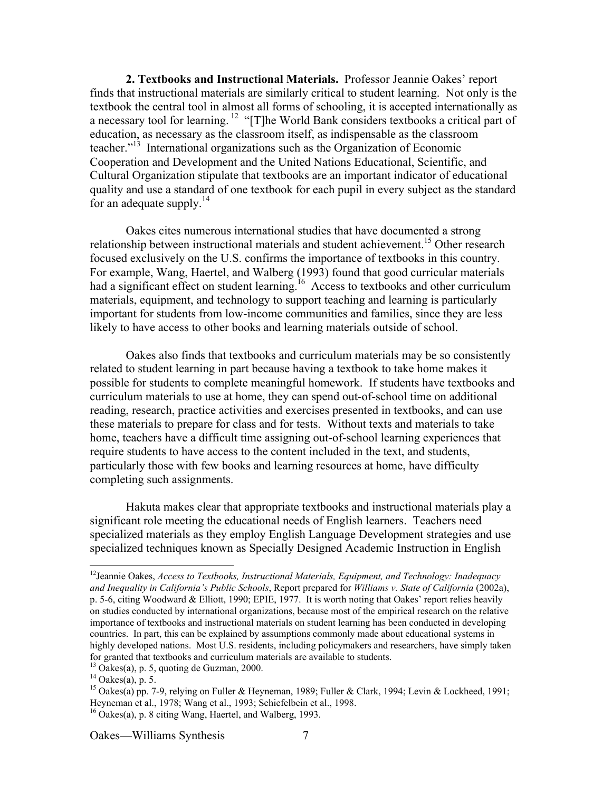**2. Textbooks and Instructional Materials.** Professor Jeannie Oakes' report finds that instructional materials are similarly critical to student learning. Not only is the textbook the central tool in almost all forms of schooling, it is accepted internationally as a necessary tool for learning.<sup>12</sup> "[T]he World Bank considers textbooks a critical part of education, as necessary as the classroom itself, as indispensable as the classroom teacher."<sup>13</sup> International organizations such as the Organization of Economic Cooperation and Development and the United Nations Educational, Scientific, and Cultural Organization stipulate that textbooks are an important indicator of educational quality and use a standard of one textbook for each pupil in every subject as the standard for an adequate supply. $^{14}$ 

Oakes cites numerous international studies that have documented a strong relationship between instructional materials and student achievement.<sup>15</sup> Other research focused exclusively on the U.S. confirms the importance of textbooks in this country. For example, Wang, Haertel, and Walberg (1993) found that good curricular materials had a significant effect on student learning.<sup>16</sup> Access to textbooks and other curriculum materials, equipment, and technology to support teaching and learning is particularly important for students from low-income communities and families, since they are less likely to have access to other books and learning materials outside of school.

Oakes also finds that textbooks and curriculum materials may be so consistently related to student learning in part because having a textbook to take home makes it possible for students to complete meaningful homework. If students have textbooks and curriculum materials to use at home, they can spend out-of-school time on additional reading, research, practice activities and exercises presented in textbooks, and can use these materials to prepare for class and for tests. Without texts and materials to take home, teachers have a difficult time assigning out-of-school learning experiences that require students to have access to the content included in the text, and students, particularly those with few books and learning resources at home, have difficulty completing such assignments.

Hakuta makes clear that appropriate textbooks and instructional materials play a significant role meeting the educational needs of English learners. Teachers need specialized materials as they employ English Language Development strategies and use specialized techniques known as Specially Designed Academic Instruction in English

 <sup>12</sup> Jeannie Oakes, *Access to Textbooks, Instructional Materials, Equipment, and Technology: Inadequacy and Inequality in California's Public Schools*, Report prepared for *Williams v. State of California* (2002a), p. 5-6, citing Woodward & Elliott, 1990; EPIE, 1977. It is worth noting that Oakes' report relies heavily on studies conducted by international organizations, because most of the empirical research on the relative importance of textbooks and instructional materials on student learning has been conducted in developing countries. In part, this can be explained by assumptions commonly made about educational systems in highly developed nations. Most U.S. residents, including policymakers and researchers, have simply taken for granted that textbooks and curriculum materials are available to students.

<sup>13</sup> Oakes(a), p. 5, quoting de Guzman, 2000.

 $14$  Oakes(a), p. 5.

<sup>&</sup>lt;sup>15</sup> Oakes(a) pp. 7-9, relying on Fuller & Heyneman, 1989; Fuller & Clark, 1994; Levin & Lockheed, 1991; Heyneman et al., 1978; Wang et al., 1993; Schiefelbein et al., 1998.

<sup>16</sup> Oakes(a), p. 8 citing Wang, Haertel, and Walberg, 1993.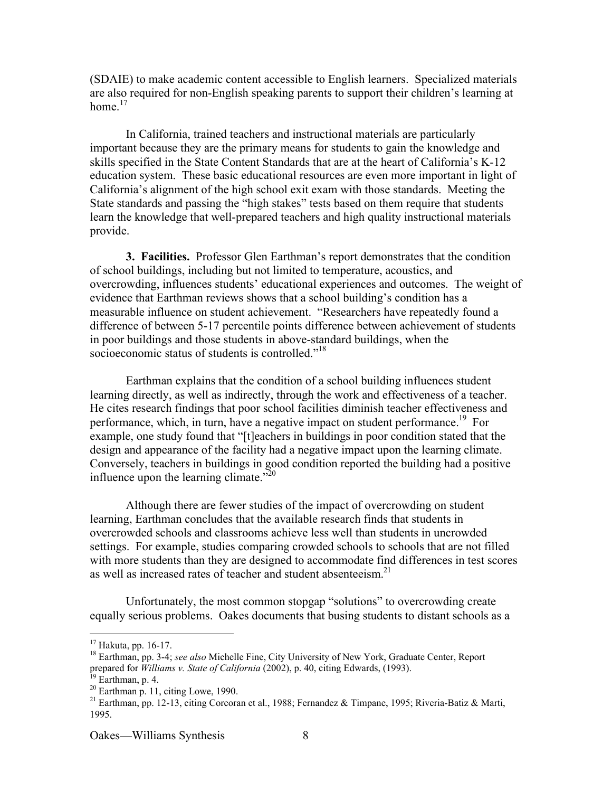(SDAIE) to make academic content accessible to English learners. Specialized materials are also required for non-English speaking parents to support their children's learning at home  $17$ 

In California, trained teachers and instructional materials are particularly important because they are the primary means for students to gain the knowledge and skills specified in the State Content Standards that are at the heart of California's K-12 education system. These basic educational resources are even more important in light of California's alignment of the high school exit exam with those standards. Meeting the State standards and passing the "high stakes" tests based on them require that students learn the knowledge that well-prepared teachers and high quality instructional materials provide.

**3. Facilities.** Professor Glen Earthman's report demonstrates that the condition of school buildings, including but not limited to temperature, acoustics, and overcrowding, influences students' educational experiences and outcomes. The weight of evidence that Earthman reviews shows that a school building's condition has a measurable influence on student achievement. "Researchers have repeatedly found a difference of between 5-17 percentile points difference between achievement of students in poor buildings and those students in above-standard buildings, when the socioeconomic status of students is controlled."<sup>18</sup>

Earthman explains that the condition of a school building influences student learning directly, as well as indirectly, through the work and effectiveness of a teacher. He cites research findings that poor school facilities diminish teacher effectiveness and performance, which, in turn, have a negative impact on student performance.<sup>19</sup> For example, one study found that "[t]eachers in buildings in poor condition stated that the design and appearance of the facility had a negative impact upon the learning climate. Conversely, teachers in buildings in good condition reported the building had a positive influence upon the learning climate. $^{220}$ 

Although there are fewer studies of the impact of overcrowding on student learning, Earthman concludes that the available research finds that students in overcrowded schools and classrooms achieve less well than students in uncrowded settings. For example, studies comparing crowded schools to schools that are not filled with more students than they are designed to accommodate find differences in test scores as well as increased rates of teacher and student absenteeism.<sup>21</sup>

Unfortunately, the most common stopgap "solutions" to overcrowding create equally serious problems. Oakes documents that busing students to distant schools as a

 <sup>17</sup> Hakuta, pp. 16-17.

<sup>&</sup>lt;sup>18</sup> Earthman, pp. 3-4; *see also* Michelle Fine, City University of New York, Graduate Center, Report prepared for *Williams v. State of California* (2002), p. 40, citing Edwards, (1993).

 $^{19}$  Earthman, p. 4.

 $20$  Earthman p. 11, citing Lowe, 1990.

<sup>&</sup>lt;sup>21</sup> Earthman, pp. 12-13, citing Corcoran et al., 1988; Fernandez & Timpane, 1995; Riveria-Batiz & Marti, 1995.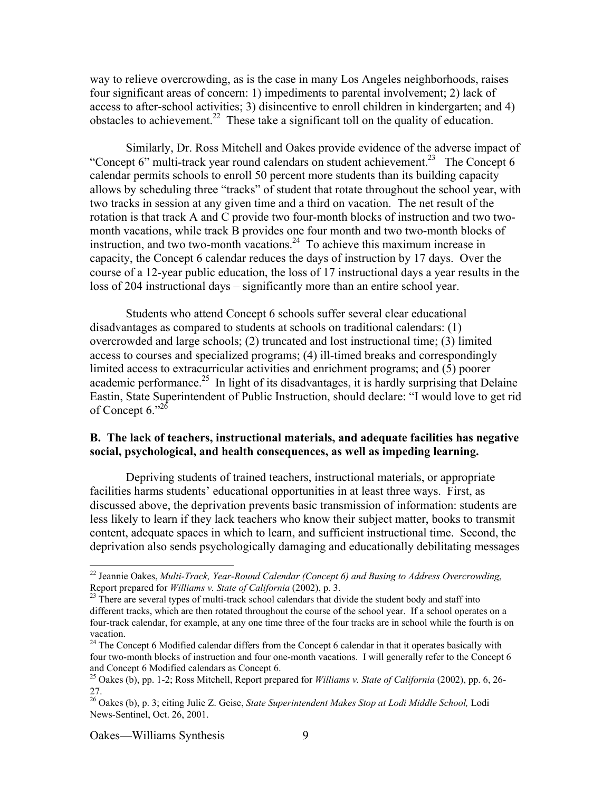way to relieve overcrowding, as is the case in many Los Angeles neighborhoods, raises four significant areas of concern: 1) impediments to parental involvement; 2) lack of access to after-school activities; 3) disincentive to enroll children in kindergarten; and 4) obstacles to achievement.<sup>22</sup> These take a significant toll on the quality of education.

Similarly, Dr. Ross Mitchell and Oakes provide evidence of the adverse impact of "Concept 6" multi-track year round calendars on student achievement.<sup>23</sup> The Concept 6 calendar permits schools to enroll 50 percent more students than its building capacity allows by scheduling three "tracks" of student that rotate throughout the school year, with two tracks in session at any given time and a third on vacation. The net result of the rotation is that track A and C provide two four-month blocks of instruction and two twomonth vacations, while track B provides one four month and two two-month blocks of instruction, and two two-month vacations. $2<sup>4</sup>$  To achieve this maximum increase in capacity, the Concept 6 calendar reduces the days of instruction by 17 days. Over the course of a 12-year public education, the loss of 17 instructional days a year results in the loss of 204 instructional days – significantly more than an entire school year.

Students who attend Concept 6 schools suffer several clear educational disadvantages as compared to students at schools on traditional calendars: (1) overcrowded and large schools; (2) truncated and lost instructional time; (3) limited access to courses and specialized programs; (4) ill-timed breaks and correspondingly limited access to extracurricular activities and enrichment programs; and (5) poorer academic performance.<sup>25</sup> In light of its disadvantages, it is hardly surprising that Delaine Eastin, State Superintendent of Public Instruction, should declare: "I would love to get rid of Concept  $6.^{0.26}$ 

## **B. The lack of teachers, instructional materials, and adequate facilities has negative social, psychological, and health consequences, as well as impeding learning.**

Depriving students of trained teachers, instructional materials, or appropriate facilities harms students' educational opportunities in at least three ways. First, as discussed above, the deprivation prevents basic transmission of information: students are less likely to learn if they lack teachers who know their subject matter, books to transmit content, adequate spaces in which to learn, and sufficient instructional time. Second, the deprivation also sends psychologically damaging and educationally debilitating messages

 <sup>22</sup> Jeannie Oakes, *Multi-Track, Year-Round Calendar (Concept 6) and Busing to Address Overcrowding*, Report prepared for *Williams v. State of California* (2002), p. 3.

 $23$  There are several types of multi-track school calendars that divide the student body and staff into different tracks, which are then rotated throughout the course of the school year. If a school operates on a four-track calendar, for example, at any one time three of the four tracks are in school while the fourth is on vacation.

<sup>&</sup>lt;sup>24</sup> The Concept 6 Modified calendar differs from the Concept 6 calendar in that it operates basically with four two-month blocks of instruction and four one-month vacations. I will generally refer to the Concept 6 and Concept 6 Modified calendars as Concept 6.

<sup>25</sup> Oakes (b), pp. 1-2; Ross Mitchell, Report prepared for *Williams v. State of California* (2002), pp. 6, 26- 27. 26 Oakes (b), p. 3; citing Julie Z. Geise, *State Superintendent Makes Stop at Lodi Middle School,* Lodi

News-Sentinel, Oct. 26, 2001.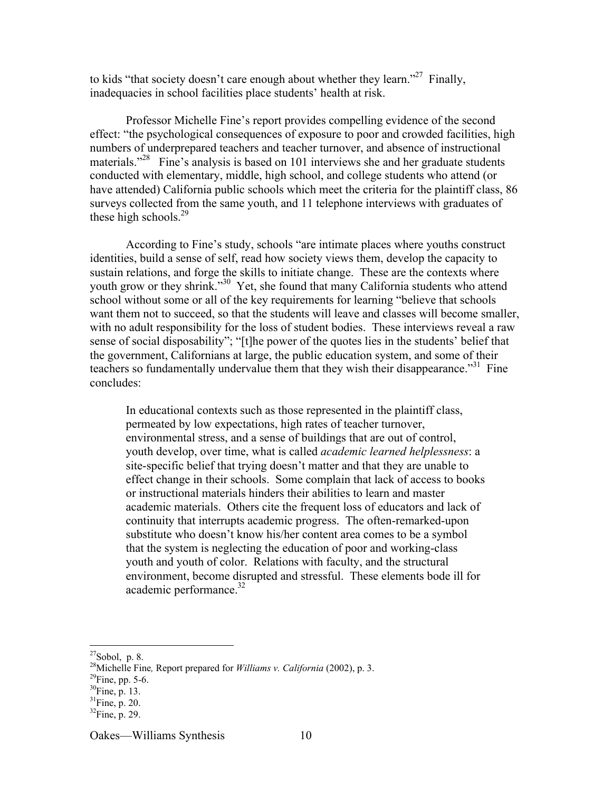to kids "that society doesn't care enough about whether they learn."<sup>27</sup> Finally, inadequacies in school facilities place students' health at risk.

Professor Michelle Fine's report provides compelling evidence of the second effect: "the psychological consequences of exposure to poor and crowded facilities, high numbers of underprepared teachers and teacher turnover, and absence of instructional materials."<sup>28</sup> Fine's analysis is based on 101 interviews she and her graduate students conducted with elementary, middle, high school, and college students who attend (or have attended) California public schools which meet the criteria for the plaintiff class, 86 surveys collected from the same youth, and 11 telephone interviews with graduates of these high schools. $^{29}$ 

According to Fine's study, schools "are intimate places where youths construct identities, build a sense of self, read how society views them, develop the capacity to sustain relations, and forge the skills to initiate change. These are the contexts where youth grow or they shrink."<sup>30</sup> Yet, she found that many California students who attend school without some or all of the key requirements for learning "believe that schools want them not to succeed, so that the students will leave and classes will become smaller, with no adult responsibility for the loss of student bodies. These interviews reveal a raw sense of social disposability"; "[t]he power of the quotes lies in the students' belief that the government, Californians at large, the public education system, and some of their teachers so fundamentally undervalue them that they wish their disappearance."<sup>31</sup> Fine concludes:

In educational contexts such as those represented in the plaintiff class, permeated by low expectations, high rates of teacher turnover, environmental stress, and a sense of buildings that are out of control, youth develop, over time, what is called *academic learned helplessness*: a site-specific belief that trying doesn't matter and that they are unable to effect change in their schools. Some complain that lack of access to books or instructional materials hinders their abilities to learn and master academic materials. Others cite the frequent loss of educators and lack of continuity that interrupts academic progress. The often-remarked-upon substitute who doesn't know his/her content area comes to be a symbol that the system is neglecting the education of poor and working-class youth and youth of color. Relations with faculty, and the structural environment, become disrupted and stressful. These elements bode ill for academic performance. $32$ 

<sup>&</sup>lt;sup>27</sup> Sobol, p. 8.<br><sup>28</sup> Michelle Fine, Report prepared for *Williams v. California* (2002), p. 3.

 $^{29}$ Fine, pp. 5-6.

 $^{30}$ Fine, p. 13.

 $31$ Fine, p. 20.

 ${}^{32}$ Fine, p. 29.

Oakes—Williams Synthesis 10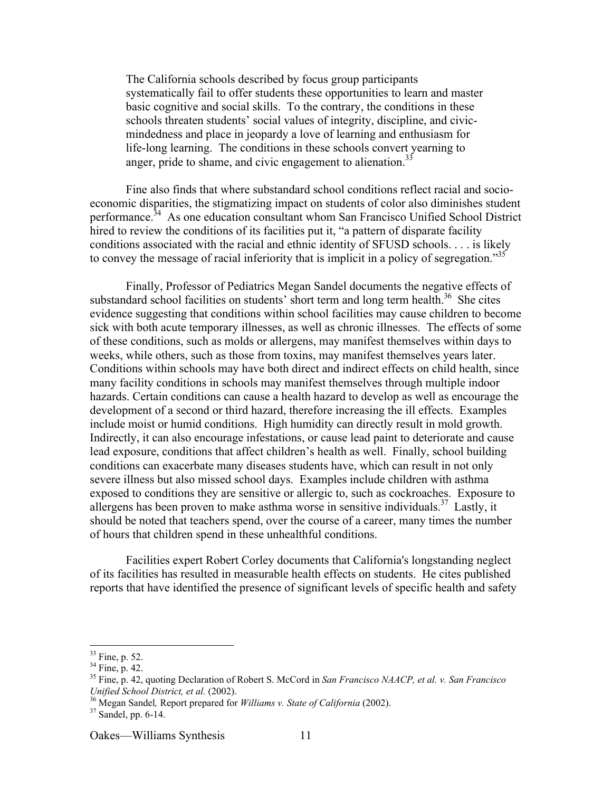The California schools described by focus group participants systematically fail to offer students these opportunities to learn and master basic cognitive and social skills. To the contrary, the conditions in these schools threaten students' social values of integrity, discipline, and civicmindedness and place in jeopardy a love of learning and enthusiasm for life-long learning. The conditions in these schools convert yearning to anger, pride to shame, and civic engagement to alienation.<sup>33</sup>

Fine also finds that where substandard school conditions reflect racial and socioeconomic disparities, the stigmatizing impact on students of color also diminishes student performance.<sup>34</sup> As one education consultant whom San Francisco Unified School District hired to review the conditions of its facilities put it, "a pattern of disparate facility conditions associated with the racial and ethnic identity of SFUSD schools. . . . is likely to convey the message of racial inferiority that is implicit in a policy of segregation.<sup>35</sup>

Finally, Professor of Pediatrics Megan Sandel documents the negative effects of substandard school facilities on students' short term and long term health.<sup>36</sup> She cites evidence suggesting that conditions within school facilities may cause children to become sick with both acute temporary illnesses, as well as chronic illnesses. The effects of some of these conditions, such as molds or allergens, may manifest themselves within days to weeks, while others, such as those from toxins, may manifest themselves years later. Conditions within schools may have both direct and indirect effects on child health, since many facility conditions in schools may manifest themselves through multiple indoor hazards. Certain conditions can cause a health hazard to develop as well as encourage the development of a second or third hazard, therefore increasing the ill effects. Examples include moist or humid conditions. High humidity can directly result in mold growth. Indirectly, it can also encourage infestations, or cause lead paint to deteriorate and cause lead exposure, conditions that affect children's health as well. Finally, school building conditions can exacerbate many diseases students have, which can result in not only severe illness but also missed school days. Examples include children with asthma exposed to conditions they are sensitive or allergic to, such as cockroaches. Exposure to allergens has been proven to make asthma worse in sensitive individuals.<sup>37</sup> Lastly, it should be noted that teachers spend, over the course of a career, many times the number of hours that children spend in these unhealthful conditions.

Facilities expert Robert Corley documents that California's longstanding neglect of its facilities has resulted in measurable health effects on students. He cites published reports that have identified the presence of significant levels of specific health and safety

 $\frac{33}{34}$  Fine, p. 52.<br> $\frac{34}{34}$  Fine, p. 42.

<sup>35</sup> Fine, p. 42, quoting Declaration of Robert S. McCord in *San Francisco NAACP, et al. v. San Francisco Unified School District, et al.* (2002). <sup>36</sup>

<sup>&</sup>lt;sup>36</sup> Megan Sandel, Report prepared for *Williams v. State of California* (2002).<br><sup>37</sup> Sandal an 6.14

 $37$  Sandel, pp. 6-14.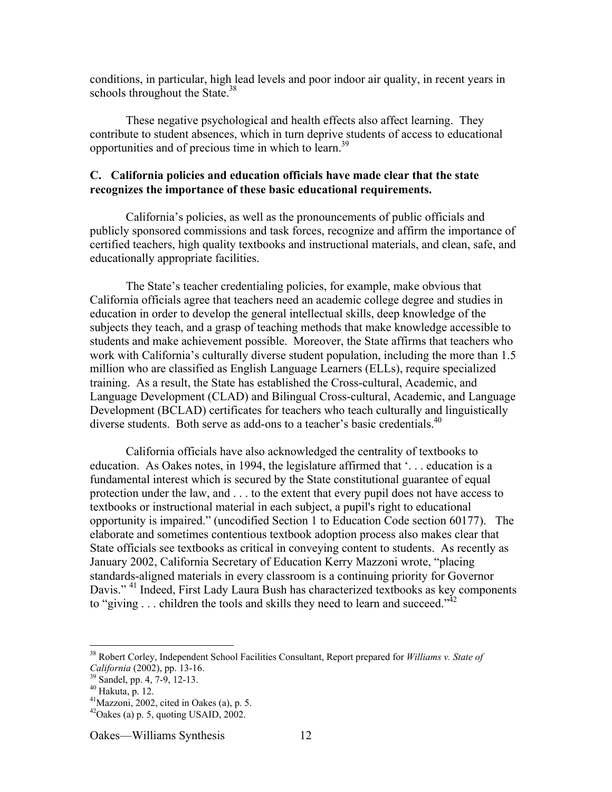conditions, in particular, high lead levels and poor indoor air quality, in recent years in schools throughout the State. $38$ 

These negative psychological and health effects also affect learning. They contribute to student absences, which in turn deprive students of access to educational opportunities and of precious time in which to learn.39

## **C. California policies and education officials have made clear that the state recognizes the importance of these basic educational requirements.**

California's policies, as well as the pronouncements of public officials and publicly sponsored commissions and task forces, recognize and affirm the importance of certified teachers, high quality textbooks and instructional materials, and clean, safe, and educationally appropriate facilities.

The State's teacher credentialing policies, for example, make obvious that California officials agree that teachers need an academic college degree and studies in education in order to develop the general intellectual skills, deep knowledge of the subjects they teach, and a grasp of teaching methods that make knowledge accessible to students and make achievement possible. Moreover, the State affirms that teachers who work with California's culturally diverse student population, including the more than 1.5 million who are classified as English Language Learners (ELLs), require specialized training. As a result, the State has established the Cross-cultural, Academic, and Language Development (CLAD) and Bilingual Cross-cultural, Academic, and Language Development (BCLAD) certificates for teachers who teach culturally and linguistically diverse students. Both serve as add-ons to a teacher's basic credentials.<sup>40</sup>

California officials have also acknowledged the centrality of textbooks to education. As Oakes notes, in 1994, the legislature affirmed that '. . . education is a fundamental interest which is secured by the State constitutional guarantee of equal protection under the law, and . . . to the extent that every pupil does not have access to textbooks or instructional material in each subject, a pupil's right to educational opportunity is impaired." (uncodified Section 1 to Education Code section 60177). The elaborate and sometimes contentious textbook adoption process also makes clear that State officials see textbooks as critical in conveying content to students. As recently as January 2002, California Secretary of Education Kerry Mazzoni wrote, "placing standards-aligned materials in every classroom is a continuing priority for Governor Davis."<sup>41</sup> Indeed, First Lady Laura Bush has characterized textbooks as key components to "giving  $\ldots$  children the tools and skills they need to learn and succeed."<sup>42</sup>

 <sup>38</sup> Robert Corley, Independent School Facilities Consultant, Report prepared for *Williams v. State of California* (2002), pp. 13-16.

<sup>&</sup>lt;sup>39</sup> Sandel, pp. 4, 7-9, 12-13.

<sup>40</sup> Hakuta, p. 12.

 $41$ Mazzoni, 2002, cited in Oakes (a), p. 5.

 $^{42}$ Oakes (a) p. 5, quoting USAID, 2002.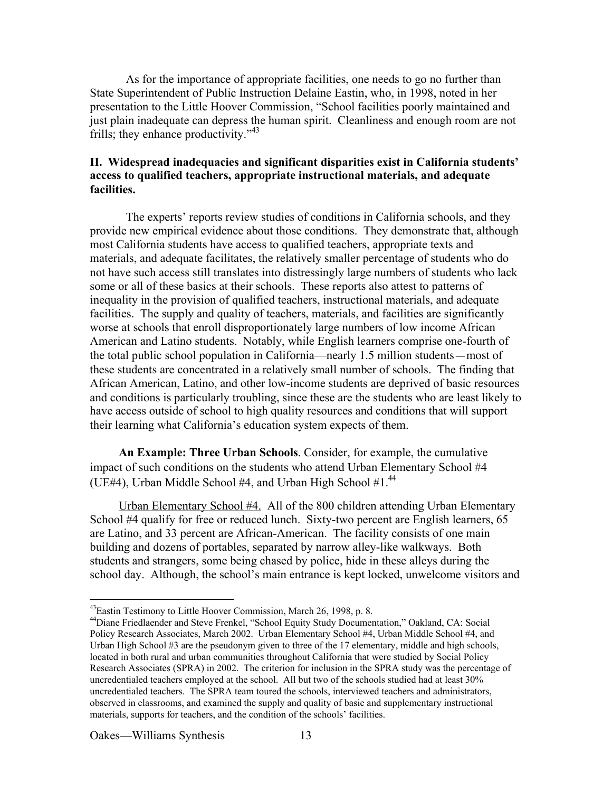As for the importance of appropriate facilities, one needs to go no further than State Superintendent of Public Instruction Delaine Eastin, who, in 1998, noted in her presentation to the Little Hoover Commission, "School facilities poorly maintained and just plain inadequate can depress the human spirit. Cleanliness and enough room are not frills; they enhance productivity."<sup>43</sup>

## **II. Widespread inadequacies and significant disparities exist in California students' access to qualified teachers, appropriate instructional materials, and adequate facilities.**

The experts' reports review studies of conditions in California schools, and they provide new empirical evidence about those conditions. They demonstrate that, although most California students have access to qualified teachers, appropriate texts and materials, and adequate facilitates, the relatively smaller percentage of students who do not have such access still translates into distressingly large numbers of students who lack some or all of these basics at their schools. These reports also attest to patterns of inequality in the provision of qualified teachers, instructional materials, and adequate facilities. The supply and quality of teachers, materials, and facilities are significantly worse at schools that enroll disproportionately large numbers of low income African American and Latino students. Notably, while English learners comprise one-fourth of the total public school population in California—nearly 1.5 million students—most of these students are concentrated in a relatively small number of schools. The finding that African American, Latino, and other low-income students are deprived of basic resources and conditions is particularly troubling, since these are the students who are least likely to have access outside of school to high quality resources and conditions that will support their learning what California's education system expects of them.

**An Example: Three Urban Schools**. Consider, for example, the cumulative impact of such conditions on the students who attend Urban Elementary School #4 (UE#4), Urban Middle School #4, and Urban High School  $#1<sup>44</sup>$ .

Urban Elementary School #4. All of the 800 children attending Urban Elementary School #4 qualify for free or reduced lunch. Sixty-two percent are English learners, 65 are Latino, and 33 percent are African-American. The facility consists of one main building and dozens of portables, separated by narrow alley-like walkways. Both students and strangers, some being chased by police, hide in these alleys during the school day. Although, the school's main entrance is kept locked, unwelcome visitors and

 <sup>43</sup> Eastin Testimony to Little Hoover Commission, March 26, 1998, p. 8.

<sup>&</sup>lt;sup>44</sup>Diane Friedlaender and Steve Frenkel, "School Equity Study Documentation," Oakland, CA: Social Policy Research Associates, March 2002. Urban Elementary School #4, Urban Middle School #4, and Urban High School #3 are the pseudonym given to three of the 17 elementary, middle and high schools, located in both rural and urban communities throughout California that were studied by Social Policy Research Associates (SPRA) in 2002. The criterion for inclusion in the SPRA study was the percentage of uncredentialed teachers employed at the school. All but two of the schools studied had at least 30% uncredentialed teachers. The SPRA team toured the schools, interviewed teachers and administrators, observed in classrooms, and examined the supply and quality of basic and supplementary instructional materials, supports for teachers, and the condition of the schools' facilities.

Oakes—Williams Synthesis 13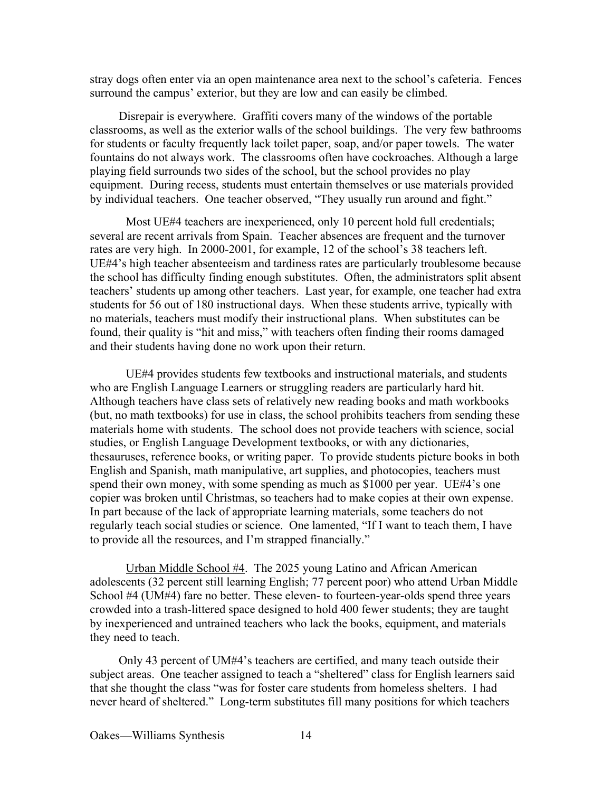stray dogs often enter via an open maintenance area next to the school's cafeteria. Fences surround the campus' exterior, but they are low and can easily be climbed.

Disrepair is everywhere. Graffiti covers many of the windows of the portable classrooms, as well as the exterior walls of the school buildings. The very few bathrooms for students or faculty frequently lack toilet paper, soap, and/or paper towels. The water fountains do not always work. The classrooms often have cockroaches. Although a large playing field surrounds two sides of the school, but the school provides no play equipment. During recess, students must entertain themselves or use materials provided by individual teachers. One teacher observed, "They usually run around and fight."

Most UE#4 teachers are inexperienced, only 10 percent hold full credentials; several are recent arrivals from Spain. Teacher absences are frequent and the turnover rates are very high. In 2000-2001, for example, 12 of the school's 38 teachers left. UE#4's high teacher absenteeism and tardiness rates are particularly troublesome because the school has difficulty finding enough substitutes. Often, the administrators split absent teachers' students up among other teachers. Last year, for example, one teacher had extra students for 56 out of 180 instructional days. When these students arrive, typically with no materials, teachers must modify their instructional plans. When substitutes can be found, their quality is "hit and miss," with teachers often finding their rooms damaged and their students having done no work upon their return.

UE#4 provides students few textbooks and instructional materials, and students who are English Language Learners or struggling readers are particularly hard hit. Although teachers have class sets of relatively new reading books and math workbooks (but, no math textbooks) for use in class, the school prohibits teachers from sending these materials home with students. The school does not provide teachers with science, social studies, or English Language Development textbooks, or with any dictionaries, thesauruses, reference books, or writing paper. To provide students picture books in both English and Spanish, math manipulative, art supplies, and photocopies, teachers must spend their own money, with some spending as much as \$1000 per year. UE#4's one copier was broken until Christmas, so teachers had to make copies at their own expense. In part because of the lack of appropriate learning materials, some teachers do not regularly teach social studies or science. One lamented, "If I want to teach them, I have to provide all the resources, and I'm strapped financially."

Urban Middle School #4. The 2025 young Latino and African American adolescents (32 percent still learning English; 77 percent poor) who attend Urban Middle School #4 (UM#4) fare no better. These eleven- to fourteen-year-olds spend three years crowded into a trash-littered space designed to hold 400 fewer students; they are taught by inexperienced and untrained teachers who lack the books, equipment, and materials they need to teach.

Only 43 percent of UM#4's teachers are certified, and many teach outside their subject areas. One teacher assigned to teach a "sheltered" class for English learners said that she thought the class "was for foster care students from homeless shelters. I had never heard of sheltered." Long-term substitutes fill many positions for which teachers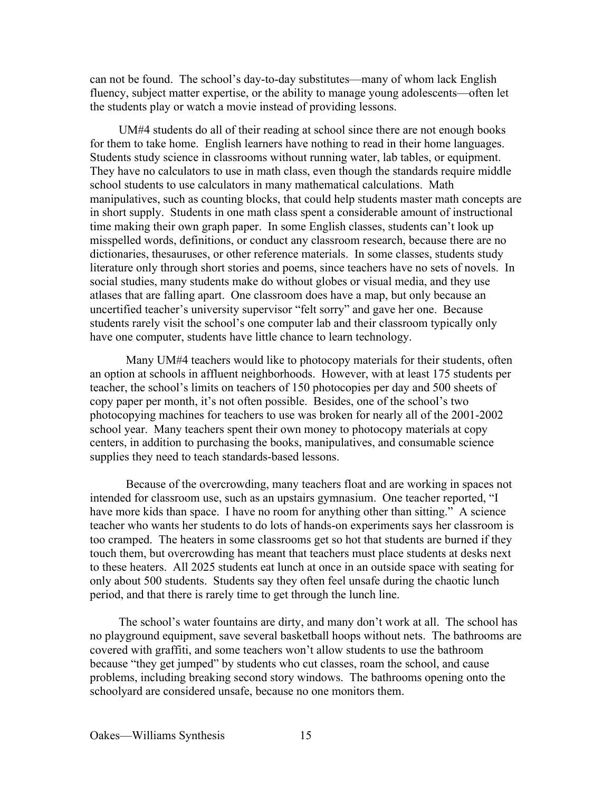can not be found. The school's day-to-day substitutes—many of whom lack English fluency, subject matter expertise, or the ability to manage young adolescents—often let the students play or watch a movie instead of providing lessons.

UM#4 students do all of their reading at school since there are not enough books for them to take home. English learners have nothing to read in their home languages. Students study science in classrooms without running water, lab tables, or equipment. They have no calculators to use in math class, even though the standards require middle school students to use calculators in many mathematical calculations. Math manipulatives, such as counting blocks, that could help students master math concepts are in short supply. Students in one math class spent a considerable amount of instructional time making their own graph paper. In some English classes, students can't look up misspelled words, definitions, or conduct any classroom research, because there are no dictionaries, thesauruses, or other reference materials. In some classes, students study literature only through short stories and poems, since teachers have no sets of novels. In social studies, many students make do without globes or visual media, and they use atlases that are falling apart. One classroom does have a map, but only because an uncertified teacher's university supervisor "felt sorry" and gave her one. Because students rarely visit the school's one computer lab and their classroom typically only have one computer, students have little chance to learn technology.

Many UM#4 teachers would like to photocopy materials for their students, often an option at schools in affluent neighborhoods. However, with at least 175 students per teacher, the school's limits on teachers of 150 photocopies per day and 500 sheets of copy paper per month, it's not often possible. Besides, one of the school's two photocopying machines for teachers to use was broken for nearly all of the 2001-2002 school year. Many teachers spent their own money to photocopy materials at copy centers, in addition to purchasing the books, manipulatives, and consumable science supplies they need to teach standards-based lessons.

Because of the overcrowding, many teachers float and are working in spaces not intended for classroom use, such as an upstairs gymnasium. One teacher reported, "I have more kids than space. I have no room for anything other than sitting." A science teacher who wants her students to do lots of hands-on experiments says her classroom is too cramped. The heaters in some classrooms get so hot that students are burned if they touch them, but overcrowding has meant that teachers must place students at desks next to these heaters. All 2025 students eat lunch at once in an outside space with seating for only about 500 students. Students say they often feel unsafe during the chaotic lunch period, and that there is rarely time to get through the lunch line.

The school's water fountains are dirty, and many don't work at all. The school has no playground equipment, save several basketball hoops without nets. The bathrooms are covered with graffiti, and some teachers won't allow students to use the bathroom because "they get jumped" by students who cut classes, roam the school, and cause problems, including breaking second story windows. The bathrooms opening onto the schoolyard are considered unsafe, because no one monitors them.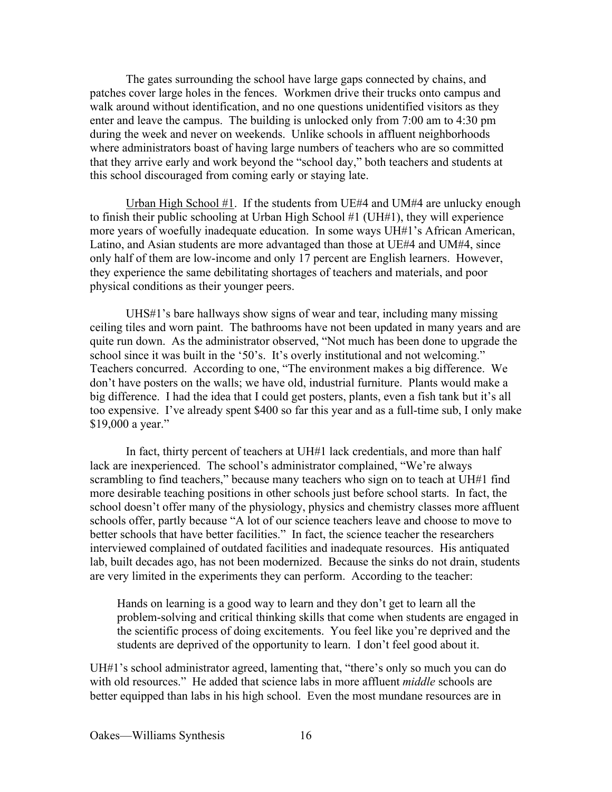The gates surrounding the school have large gaps connected by chains, and patches cover large holes in the fences. Workmen drive their trucks onto campus and walk around without identification, and no one questions unidentified visitors as they enter and leave the campus. The building is unlocked only from 7:00 am to 4:30 pm during the week and never on weekends. Unlike schools in affluent neighborhoods where administrators boast of having large numbers of teachers who are so committed that they arrive early and work beyond the "school day," both teachers and students at this school discouraged from coming early or staying late.

Urban High School  $#1$ . If the students from UE#4 and UM#4 are unlucky enough to finish their public schooling at Urban High School #1 (UH#1), they will experience more years of woefully inadequate education. In some ways UH#1's African American, Latino, and Asian students are more advantaged than those at UE#4 and UM#4, since only half of them are low-income and only 17 percent are English learners. However, they experience the same debilitating shortages of teachers and materials, and poor physical conditions as their younger peers.

UHS#1's bare hallways show signs of wear and tear, including many missing ceiling tiles and worn paint. The bathrooms have not been updated in many years and are quite run down. As the administrator observed, "Not much has been done to upgrade the school since it was built in the '50's. It's overly institutional and not welcoming." Teachers concurred. According to one, "The environment makes a big difference. We don't have posters on the walls; we have old, industrial furniture. Plants would make a big difference. I had the idea that I could get posters, plants, even a fish tank but it's all too expensive. I've already spent \$400 so far this year and as a full-time sub, I only make \$19,000 a year."

In fact, thirty percent of teachers at UH#1 lack credentials, and more than half lack are inexperienced. The school's administrator complained, "We're always scrambling to find teachers," because many teachers who sign on to teach at UH#1 find more desirable teaching positions in other schools just before school starts. In fact, the school doesn't offer many of the physiology, physics and chemistry classes more affluent schools offer, partly because "A lot of our science teachers leave and choose to move to better schools that have better facilities." In fact, the science teacher the researchers interviewed complained of outdated facilities and inadequate resources. His antiquated lab, built decades ago, has not been modernized. Because the sinks do not drain, students are very limited in the experiments they can perform. According to the teacher:

Hands on learning is a good way to learn and they don't get to learn all the problem-solving and critical thinking skills that come when students are engaged in the scientific process of doing excitements. You feel like you're deprived and the students are deprived of the opportunity to learn. I don't feel good about it.

UH#1's school administrator agreed, lamenting that, "there's only so much you can do with old resources." He added that science labs in more affluent *middle* schools are better equipped than labs in his high school. Even the most mundane resources are in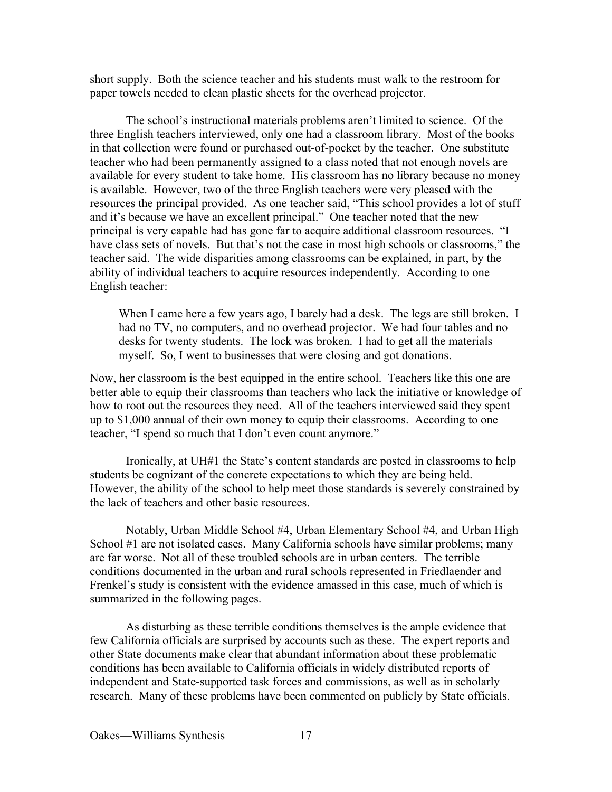short supply. Both the science teacher and his students must walk to the restroom for paper towels needed to clean plastic sheets for the overhead projector.

The school's instructional materials problems aren't limited to science. Of the three English teachers interviewed, only one had a classroom library. Most of the books in that collection were found or purchased out-of-pocket by the teacher. One substitute teacher who had been permanently assigned to a class noted that not enough novels are available for every student to take home. His classroom has no library because no money is available. However, two of the three English teachers were very pleased with the resources the principal provided. As one teacher said, "This school provides a lot of stuff and it's because we have an excellent principal." One teacher noted that the new principal is very capable had has gone far to acquire additional classroom resources. "I have class sets of novels. But that's not the case in most high schools or classrooms," the teacher said. The wide disparities among classrooms can be explained, in part, by the ability of individual teachers to acquire resources independently. According to one English teacher:

When I came here a few years ago, I barely had a desk. The legs are still broken. I had no TV, no computers, and no overhead projector. We had four tables and no desks for twenty students. The lock was broken. I had to get all the materials myself. So, I went to businesses that were closing and got donations.

Now, her classroom is the best equipped in the entire school. Teachers like this one are better able to equip their classrooms than teachers who lack the initiative or knowledge of how to root out the resources they need. All of the teachers interviewed said they spent up to \$1,000 annual of their own money to equip their classrooms. According to one teacher, "I spend so much that I don't even count anymore."

Ironically, at UH#1 the State's content standards are posted in classrooms to help students be cognizant of the concrete expectations to which they are being held. However, the ability of the school to help meet those standards is severely constrained by the lack of teachers and other basic resources.

Notably, Urban Middle School #4, Urban Elementary School #4, and Urban High School #1 are not isolated cases. Many California schools have similar problems; many are far worse. Not all of these troubled schools are in urban centers. The terrible conditions documented in the urban and rural schools represented in Friedlaender and Frenkel's study is consistent with the evidence amassed in this case, much of which is summarized in the following pages.

As disturbing as these terrible conditions themselves is the ample evidence that few California officials are surprised by accounts such as these. The expert reports and other State documents make clear that abundant information about these problematic conditions has been available to California officials in widely distributed reports of independent and State-supported task forces and commissions, as well as in scholarly research. Many of these problems have been commented on publicly by State officials.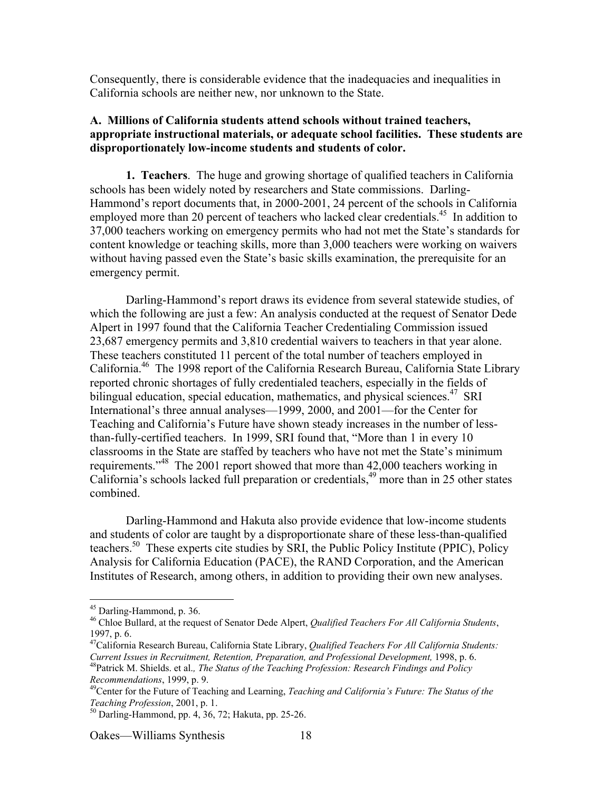Consequently, there is considerable evidence that the inadequacies and inequalities in California schools are neither new, nor unknown to the State.

## **A. Millions of California students attend schools without trained teachers, appropriate instructional materials, or adequate school facilities. These students are disproportionately low-income students and students of color.**

**1. Teachers**. The huge and growing shortage of qualified teachers in California schools has been widely noted by researchers and State commissions. Darling-Hammond's report documents that, in 2000-2001, 24 percent of the schools in California employed more than 20 percent of teachers who lacked clear credentials.<sup>45</sup> In addition to 37,000 teachers working on emergency permits who had not met the State's standards for content knowledge or teaching skills, more than 3,000 teachers were working on waivers without having passed even the State's basic skills examination, the prerequisite for an emergency permit.

Darling-Hammond's report draws its evidence from several statewide studies, of which the following are just a few: An analysis conducted at the request of Senator Dede Alpert in 1997 found that the California Teacher Credentialing Commission issued 23,687 emergency permits and 3,810 credential waivers to teachers in that year alone. These teachers constituted 11 percent of the total number of teachers employed in California.<sup>46</sup> The 1998 report of the California Research Bureau, California State Library reported chronic shortages of fully credentialed teachers, especially in the fields of bilingual education, special education, mathematics, and physical sciences.<sup>47</sup> SRI International's three annual analyses—1999, 2000, and 2001—for the Center for Teaching and California's Future have shown steady increases in the number of lessthan-fully-certified teachers. In 1999, SRI found that, "More than 1 in every 10 classrooms in the State are staffed by teachers who have not met the State's minimum requirements."<sup>48</sup> The 2001 report showed that more than 42,000 teachers working in California's schools lacked full preparation or credentials,<sup>49</sup> more than in 25 other states combined.

Darling-Hammond and Hakuta also provide evidence that low-income students and students of color are taught by a disproportionate share of these less-than-qualified teachers.<sup>50</sup> These experts cite studies by SRI, the Public Policy Institute (PPIC), Policy Analysis for California Education (PACE), the RAND Corporation, and the American Institutes of Research, among others, in addition to providing their own new analyses.

 <sup>45</sup> Darling-Hammond, p. 36.

<sup>46</sup> Chloe Bullard, at the request of Senator Dede Alpert, *Qualified Teachers For All California Students*, 1997, p. 6.

<sup>47</sup> California Research Bureau, California State Library, *Qualified Teachers For All California Students: Current Issues in Recruitment, Retention, Preparation, and Professional Development, 1998, p. 6.* 

Patrick M. Shields. et al.*, The Status of the Teaching Profession: Research Findings and Policy Recommendations*, 1999, p. 9.

Center for the Future of Teaching and Learning, *Teaching and California's Future: The Status of the Teaching Profession*, 2001, p. 1.

Darling-Hammond, pp. 4, 36, 72; Hakuta, pp. 25-26.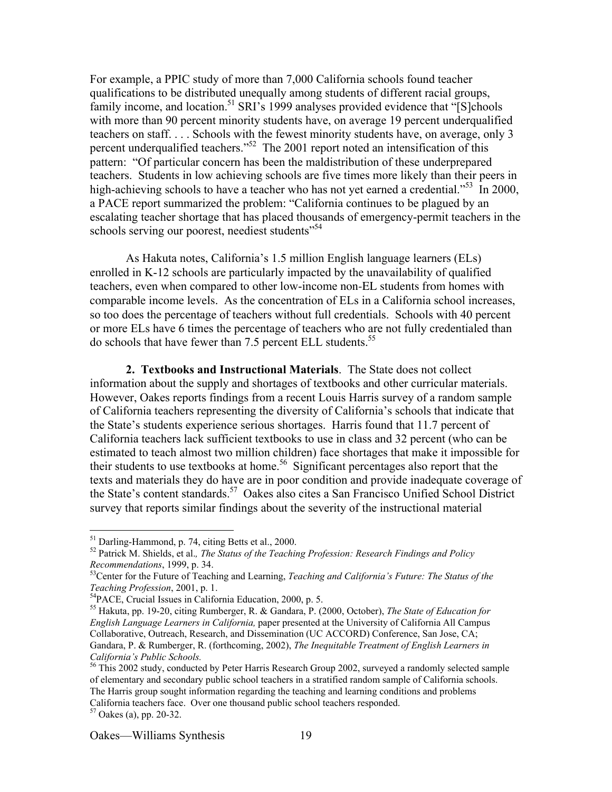For example, a PPIC study of more than 7,000 California schools found teacher qualifications to be distributed unequally among students of different racial groups, family income, and location.<sup>51</sup> SRI's 1999 analyses provided evidence that "[S]chools with more than 90 percent minority students have, on average 19 percent underqualified teachers on staff. . . . Schools with the fewest minority students have, on average, only 3 percent underqualified teachers."<sup>52</sup> The 2001 report noted an intensification of this pattern: "Of particular concern has been the maldistribution of these underprepared teachers. Students in low achieving schools are five times more likely than their peers in high-achieving schools to have a teacher who has not yet earned a credential."<sup>53</sup> In 2000, a PACE report summarized the problem: "California continues to be plagued by an escalating teacher shortage that has placed thousands of emergency-permit teachers in the schools serving our poorest, neediest students<sup>554</sup>

As Hakuta notes, California's 1.5 million English language learners (ELs) enrolled in K-12 schools are particularly impacted by the unavailability of qualified teachers, even when compared to other low-income non-EL students from homes with comparable income levels. As the concentration of ELs in a California school increases, so too does the percentage of teachers without full credentials. Schools with 40 percent or more ELs have 6 times the percentage of teachers who are not fully credentialed than do schools that have fewer than 7.5 percent ELL students.<sup>55</sup>

**2. Textbooks and Instructional Materials**. The State does not collect information about the supply and shortages of textbooks and other curricular materials. However, Oakes reports findings from a recent Louis Harris survey of a random sample of California teachers representing the diversity of California's schools that indicate that the State's students experience serious shortages. Harris found that 11.7 percent of California teachers lack sufficient textbooks to use in class and 32 percent (who can be estimated to teach almost two million children) face shortages that make it impossible for their students to use textbooks at home.<sup>56</sup> Significant percentages also report that the texts and materials they do have are in poor condition and provide inadequate coverage of the State's content standards.<sup>57</sup> Oakes also cites a San Francisco Unified School District survey that reports similar findings about the severity of the instructional material

 <sup>51</sup> Darling-Hammond, p. 74, citing Betts et al., 2000.

<sup>52</sup> Patrick M. Shields, et al.*, The Status of the Teaching Profession: Research Findings and Policy* Recommendations, 1999, p. 34.<br><sup>53</sup>Center for the Future of Teaching and Learning, *Teaching and California's Future: The Status of the* 

*Teaching Profession*, 2001, p. 1.

PACE, Crucial Issues in California Education, 2000, p. 5.

<sup>55</sup> Hakuta, pp. 19-20, citing Rumberger, R. & Gandara, P. (2000, October), *The State of Education for English Language Learners in California,* paper presented at the University of California All Campus Collaborative, Outreach, Research, and Dissemination (UC ACCORD) Conference, San Jose, CA; Gandara, P. & Rumberger, R. (forthcoming, 2002), *The Inequitable Treatment of English Learners in California's Public Schools.*

<sup>&</sup>lt;sup>56</sup> This 2002 study, conducted by Peter Harris Research Group 2002, surveyed a randomly selected sample of elementary and secondary public school teachers in a stratified random sample of California schools. The Harris group sought information regarding the teaching and learning conditions and problems California teachers face. Over one thousand public school teachers responded.

 $57$  Oakes (a), pp. 20-32.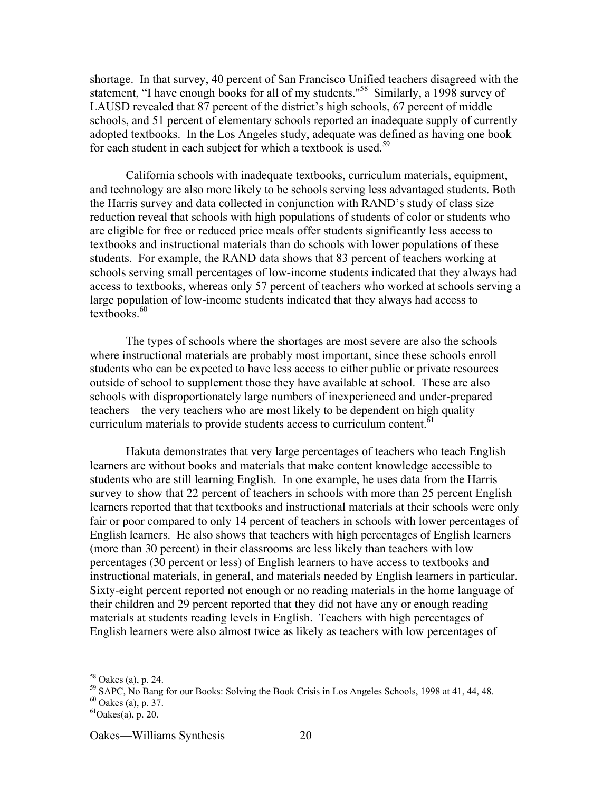shortage. In that survey, 40 percent of San Francisco Unified teachers disagreed with the statement, "I have enough books for all of my students."<sup>58</sup> Similarly, a 1998 survey of LAUSD revealed that 87 percent of the district's high schools, 67 percent of middle schools, and 51 percent of elementary schools reported an inadequate supply of currently adopted textbooks. In the Los Angeles study, adequate was defined as having one book for each student in each subject for which a textbook is used.<sup>59</sup>

California schools with inadequate textbooks, curriculum materials, equipment, and technology are also more likely to be schools serving less advantaged students. Both the Harris survey and data collected in conjunction with RAND's study of class size reduction reveal that schools with high populations of students of color or students who are eligible for free or reduced price meals offer students significantly less access to textbooks and instructional materials than do schools with lower populations of these students. For example, the RAND data shows that 83 percent of teachers working at schools serving small percentages of low-income students indicated that they always had access to textbooks, whereas only 57 percent of teachers who worked at schools serving a large population of low-income students indicated that they always had access to textbooks. $60$ 

The types of schools where the shortages are most severe are also the schools where instructional materials are probably most important, since these schools enroll students who can be expected to have less access to either public or private resources outside of school to supplement those they have available at school. These are also schools with disproportionately large numbers of inexperienced and under-prepared teachers—the very teachers who are most likely to be dependent on high quality curriculum materials to provide students access to curriculum content.<sup>61</sup>

Hakuta demonstrates that very large percentages of teachers who teach English learners are without books and materials that make content knowledge accessible to students who are still learning English. In one example, he uses data from the Harris survey to show that 22 percent of teachers in schools with more than 25 percent English learners reported that that textbooks and instructional materials at their schools were only fair or poor compared to only 14 percent of teachers in schools with lower percentages of English learners. He also shows that teachers with high percentages of English learners (more than 30 percent) in their classrooms are less likely than teachers with low percentages (30 percent or less) of English learners to have access to textbooks and instructional materials, in general, and materials needed by English learners in particular. Sixty-eight percent reported not enough or no reading materials in the home language of their children and 29 percent reported that they did not have any or enough reading materials at students reading levels in English. Teachers with high percentages of English learners were also almost twice as likely as teachers with low percentages of

 <sup>58</sup> Oakes (a), p. 24.

<sup>&</sup>lt;sup>59</sup> SAPC, No Bang for our Books: Solving the Book Crisis in Los Angeles Schools, 1998 at 41, 44, 48.

 $60$  Oakes (a), p. 37.

 ${}^{61}$ Oakes(a), p. 20.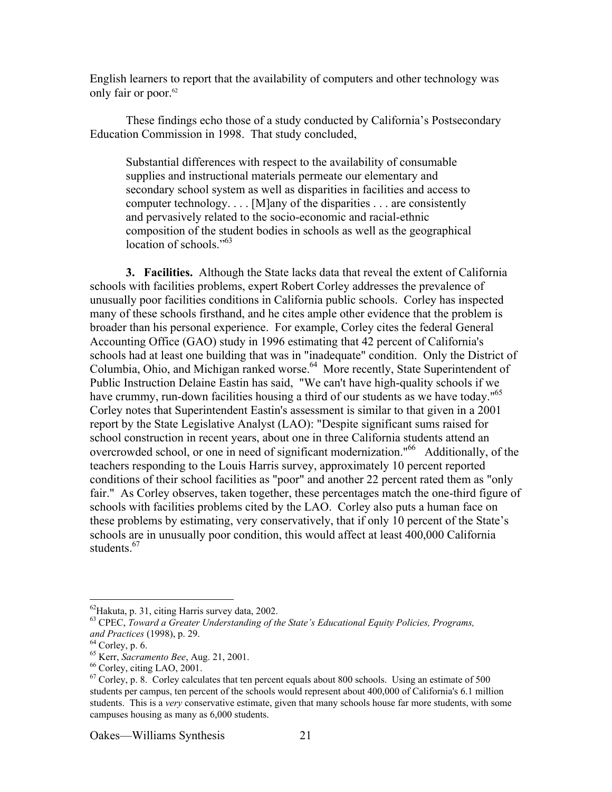English learners to report that the availability of computers and other technology was only fair or poor.<sup>62</sup>

These findings echo those of a study conducted by California's Postsecondary Education Commission in 1998. That study concluded,

Substantial differences with respect to the availability of consumable supplies and instructional materials permeate our elementary and secondary school system as well as disparities in facilities and access to computer technology. . . . [M]any of the disparities . . . are consistently and pervasively related to the socio-economic and racial-ethnic composition of the student bodies in schools as well as the geographical location of schools." $63$ 

**3. Facilities.** Although the State lacks data that reveal the extent of California schools with facilities problems, expert Robert Corley addresses the prevalence of unusually poor facilities conditions in California public schools. Corley has inspected many of these schools firsthand, and he cites ample other evidence that the problem is broader than his personal experience. For example, Corley cites the federal General Accounting Office (GAO) study in 1996 estimating that 42 percent of California's schools had at least one building that was in "inadequate" condition. Only the District of Columbia, Ohio, and Michigan ranked worse.<sup>64</sup> More recently, State Superintendent of Public Instruction Delaine Eastin has said, "We can't have high-quality schools if we have crummy, run-down facilities housing a third of our students as we have today."<sup>65</sup> Corley notes that Superintendent Eastin's assessment is similar to that given in a 2001 report by the State Legislative Analyst (LAO): "Despite significant sums raised for school construction in recent years, about one in three California students attend an overcrowded school, or one in need of significant modernization."<sup>66</sup> Additionally, of the teachers responding to the Louis Harris survey, approximately 10 percent reported conditions of their school facilities as "poor" and another 22 percent rated them as "only fair." As Corley observes, taken together, these percentages match the one-third figure of schools with facilities problems cited by the LAO. Corley also puts a human face on these problems by estimating, very conservatively, that if only 10 percent of the State's schools are in unusually poor condition, this would affect at least 400,000 California students.<sup>67</sup>

 <sup>62</sup> Hakuta, p. 31, citing Harris survey data, 2002.

<sup>63</sup> CPEC, *Toward a Greater Understanding of the State's Educational Equity Policies, Programs, and Practices* (1998), p. 29.

 $64$  Corley, p. 6.

<sup>&</sup>lt;sup>65</sup> Kerr, *Sacramento Bee*, Aug. 21, 2001.

<sup>&</sup>lt;sup>66</sup> Corley, citing LAO, 2001.

 $67$  Corley, p. 8. Corley calculates that ten percent equals about 800 schools. Using an estimate of 500 students per campus, ten percent of the schools would represent about 400,000 of California's 6.1 million students. This is a *very* conservative estimate, given that many schools house far more students, with some campuses housing as many as 6,000 students.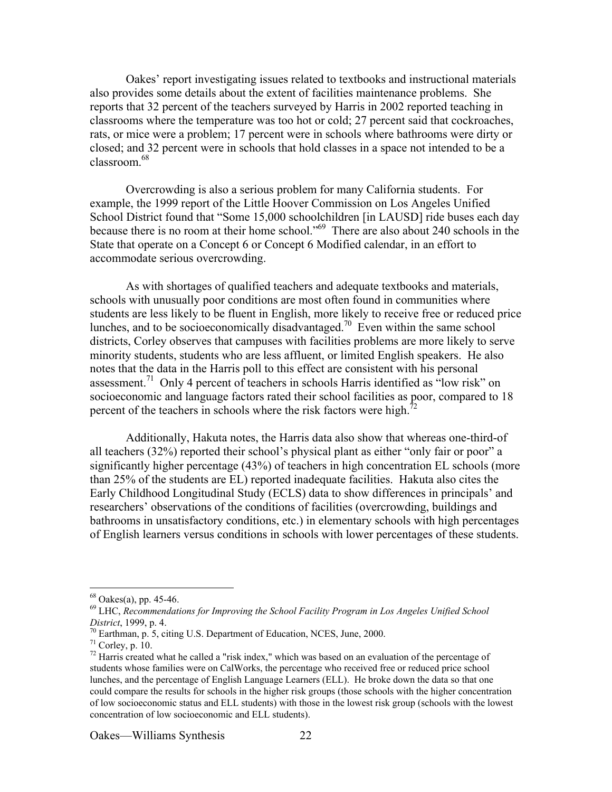Oakes' report investigating issues related to textbooks and instructional materials also provides some details about the extent of facilities maintenance problems. She reports that 32 percent of the teachers surveyed by Harris in 2002 reported teaching in classrooms where the temperature was too hot or cold; 27 percent said that cockroaches, rats, or mice were a problem; 17 percent were in schools where bathrooms were dirty or closed; and 32 percent were in schools that hold classes in a space not intended to be a classroom.68

Overcrowding is also a serious problem for many California students. For example, the 1999 report of the Little Hoover Commission on Los Angeles Unified School District found that "Some 15,000 schoolchildren [in LAUSD] ride buses each day because there is no room at their home school."<sup>69</sup> There are also about 240 schools in the State that operate on a Concept 6 or Concept 6 Modified calendar, in an effort to accommodate serious overcrowding.

As with shortages of qualified teachers and adequate textbooks and materials, schools with unusually poor conditions are most often found in communities where students are less likely to be fluent in English, more likely to receive free or reduced price lunches, and to be socioeconomically disadvantaged.<sup>70</sup> Even within the same school districts, Corley observes that campuses with facilities problems are more likely to serve minority students, students who are less affluent, or limited English speakers. He also notes that the data in the Harris poll to this effect are consistent with his personal assessment.<sup>71</sup> Only 4 percent of teachers in schools Harris identified as "low risk" on socioeconomic and language factors rated their school facilities as poor, compared to 18 percent of the teachers in schools where the risk factors were high.<sup>72</sup>

Additionally, Hakuta notes, the Harris data also show that whereas one-third-of all teachers (32%) reported their school's physical plant as either "only fair or poor" a significantly higher percentage (43%) of teachers in high concentration EL schools (more than 25% of the students are EL) reported inadequate facilities. Hakuta also cites the Early Childhood Longitudinal Study (ECLS) data to show differences in principals' and researchers' observations of the conditions of facilities (overcrowding, buildings and bathrooms in unsatisfactory conditions, etc.) in elementary schools with high percentages of English learners versus conditions in schools with lower percentages of these students.

 $68 \text{ Oakes}(a)$ , pp. 45-46.

<sup>69</sup> LHC, *Recommendations for Improving the School Facility Program in Los Angeles Unified School District*, 1999, p. 4.

<sup>&</sup>lt;sup>10</sup> Earthman, p. 5, citing U.S. Department of Education, NCES, June, 2000.<sup>71</sup> Corley, p. 10.

 $72$  Harris created what he called a "risk index," which was based on an evaluation of the percentage of students whose families were on CalWorks, the percentage who received free or reduced price school lunches, and the percentage of English Language Learners (ELL). He broke down the data so that one could compare the results for schools in the higher risk groups (those schools with the higher concentration of low socioeconomic status and ELL students) with those in the lowest risk group (schools with the lowest concentration of low socioeconomic and ELL students).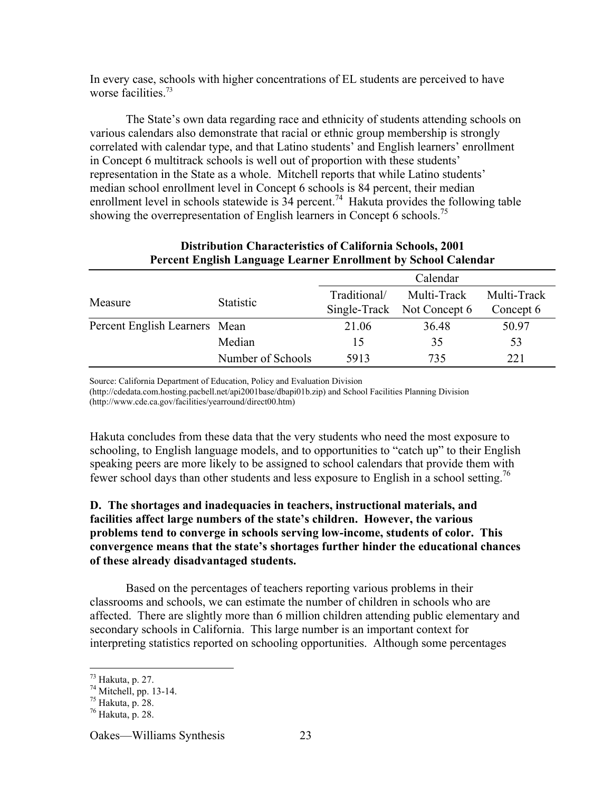In every case, schools with higher concentrations of EL students are perceived to have worse facilities  $73$ 

The State's own data regarding race and ethnicity of students attending schools on various calendars also demonstrate that racial or ethnic group membership is strongly correlated with calendar type, and that Latino students' and English learners' enrollment in Concept 6 multitrack schools is well out of proportion with these students' representation in the State as a whole. Mitchell reports that while Latino students' median school enrollment level in Concept 6 schools is 84 percent, their median enrollment level in schools statewide is  $34$  percent.<sup>74</sup> Hakuta provides the following table showing the overrepresentation of English learners in Concept 6 schools.<sup>75</sup>

| Tercent English Language Learner Enforment by School Calendar |                   |              |                                           |                          |  |  |
|---------------------------------------------------------------|-------------------|--------------|-------------------------------------------|--------------------------|--|--|
|                                                               |                   | Calendar     |                                           |                          |  |  |
| Measure                                                       | <b>Statistic</b>  | Traditional/ | Multi-Track<br>Single-Track Not Concept 6 | Multi-Track<br>Concept 6 |  |  |
| Percent English Learners Mean                                 |                   | 21.06        | 36.48                                     | 50.97                    |  |  |
|                                                               | Median            | 15           | 35                                        | 53                       |  |  |
|                                                               | Number of Schools | 5913         | 735                                       | 221                      |  |  |

## **Distribution Characteristics of California Schools, 2001 Percent English Language Learner Enrollment by School Calendar**

Source: California Department of Education, Policy and Evaluation Division

(http://cdedata.com.hosting.pacbell.net/api2001base/dbapi01b.zip) and School Facilities Planning Division (http://www.cde.ca.gov/facilities/yearround/direct00.htm)

Hakuta concludes from these data that the very students who need the most exposure to schooling, to English language models, and to opportunities to "catch up" to their English speaking peers are more likely to be assigned to school calendars that provide them with fewer school days than other students and less exposure to English in a school setting.<sup>76</sup>

# **D. The shortages and inadequacies in teachers, instructional materials, and facilities affect large numbers of the state's children. However, the various problems tend to converge in schools serving low-income, students of color. This convergence means that the state's shortages further hinder the educational chances of these already disadvantaged students.**

Based on the percentages of teachers reporting various problems in their classrooms and schools, we can estimate the number of children in schools who are affected. There are slightly more than 6 million children attending public elementary and secondary schools in California. This large number is an important context for interpreting statistics reported on schooling opportunities. Although some percentages

 <sup>73</sup> Hakuta, p. 27.

 $74$  Mitchell, pp. 13-14.

<sup>75</sup> Hakuta, p. 28.

<sup>76</sup> Hakuta, p. 28.

Oakes—Williams Synthesis 23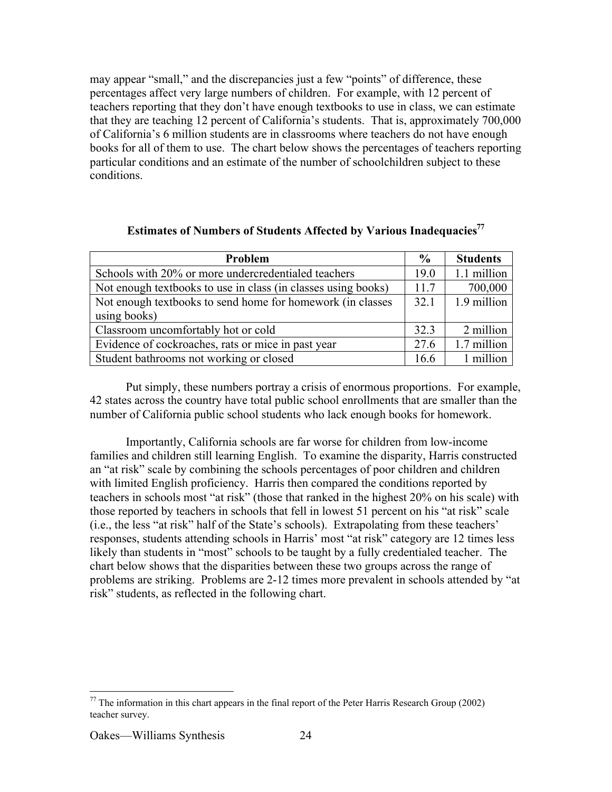may appear "small," and the discrepancies just a few "points" of difference, these percentages affect very large numbers of children. For example, with 12 percent of teachers reporting that they don't have enough textbooks to use in class, we can estimate that they are teaching 12 percent of California's students. That is, approximately 700,000 of California's 6 million students are in classrooms where teachers do not have enough books for all of them to use. The chart below shows the percentages of teachers reporting particular conditions and an estimate of the number of schoolchildren subject to these conditions.

| Problem                                                       |  | <b>Students</b> |
|---------------------------------------------------------------|--|-----------------|
| Schools with 20% or more undercredentialed teachers           |  | 1.1 million     |
| Not enough textbooks to use in class (in classes using books) |  | 700,000         |
| Not enough textbooks to send home for homework (in classes)   |  | 1.9 million     |
| using books)                                                  |  |                 |
| Classroom uncomfortably hot or cold                           |  | 2 million       |
| Evidence of cockroaches, rats or mice in past year            |  | 1.7 million     |
| Student bathrooms not working or closed                       |  | 1 million       |

# **Estimates of Numbers of Students Affected by Various Inadequacies77**

Put simply, these numbers portray a crisis of enormous proportions. For example, 42 states across the country have total public school enrollments that are smaller than the number of California public school students who lack enough books for homework.

Importantly, California schools are far worse for children from low-income families and children still learning English. To examine the disparity, Harris constructed an "at risk" scale by combining the schools percentages of poor children and children with limited English proficiency. Harris then compared the conditions reported by teachers in schools most "at risk" (those that ranked in the highest 20% on his scale) with those reported by teachers in schools that fell in lowest 51 percent on his "at risk" scale (i.e., the less "at risk" half of the State's schools). Extrapolating from these teachers' responses, students attending schools in Harris' most "at risk" category are 12 times less likely than students in "most" schools to be taught by a fully credentialed teacher. The chart below shows that the disparities between these two groups across the range of problems are striking. Problems are 2-12 times more prevalent in schools attended by "at risk" students, as reflected in the following chart.

<sup>&</sup>lt;sup>77</sup> The information in this chart appears in the final report of the Peter Harris Research Group (2002) teacher survey.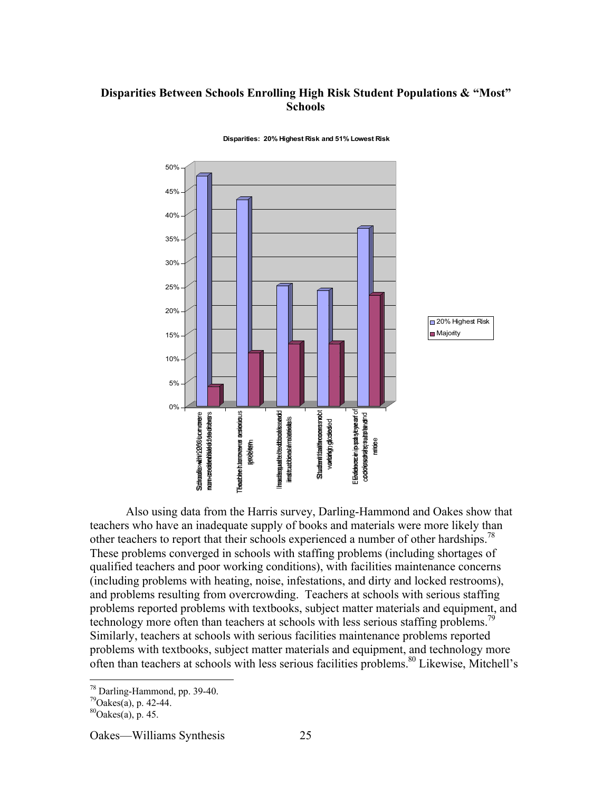# **Disparities Between Schools Enrolling High Risk Student Populations & "Most" Schools**



#### **Disparities: 20% Highest Risk and 51% Lowest Risk**

Also using data from the Harris survey, Darling-Hammond and Oakes show that teachers who have an inadequate supply of books and materials were more likely than other teachers to report that their schools experienced a number of other hardships.<sup>78</sup> These problems converged in schools with staffing problems (including shortages of qualified teachers and poor working conditions), with facilities maintenance concerns (including problems with heating, noise, infestations, and dirty and locked restrooms), and problems resulting from overcrowding. Teachers at schools with serious staffing problems reported problems with textbooks, subject matter materials and equipment, and technology more often than teachers at schools with less serious staffing problems.<sup>79</sup> Similarly, teachers at schools with serious facilities maintenance problems reported problems with textbooks, subject matter materials and equipment, and technology more often than teachers at schools with less serious facilities problems.<sup>80</sup> Likewise, Mitchell's

<sup>&</sup>lt;sup>78</sup> Darling-Hammond, pp. 39-40.

 $79$ Oakes(a), p. 42-44.

 $^{80}$ Oakes(a), p. 45.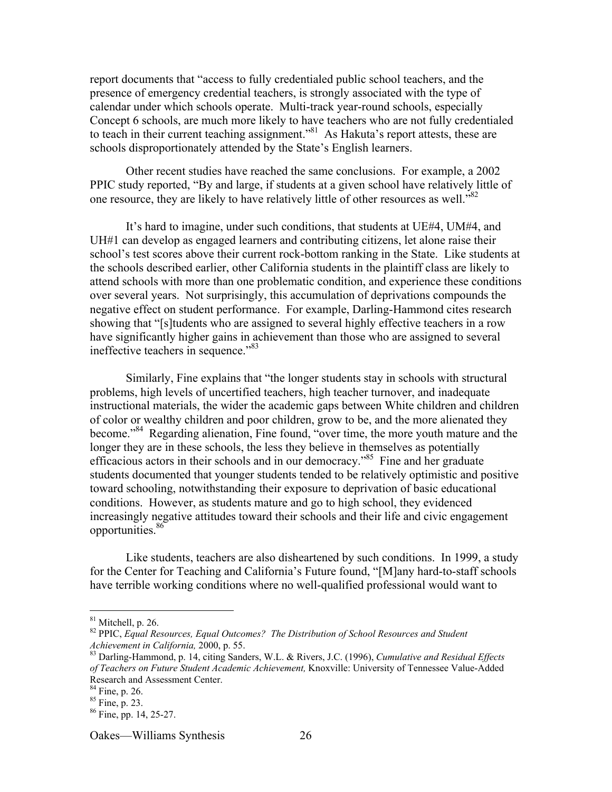report documents that "access to fully credentialed public school teachers, and the presence of emergency credential teachers, is strongly associated with the type of calendar under which schools operate. Multi-track year-round schools, especially Concept 6 schools, are much more likely to have teachers who are not fully credentialed to teach in their current teaching assignment."<sup>81</sup> As Hakuta's report attests, these are schools disproportionately attended by the State's English learners.

Other recent studies have reached the same conclusions. For example, a 2002 PPIC study reported, "By and large, if students at a given school have relatively little of one resource, they are likely to have relatively little of other resources as well."<sup>82</sup>

It's hard to imagine, under such conditions, that students at UE#4, UM#4, and UH#1 can develop as engaged learners and contributing citizens, let alone raise their school's test scores above their current rock-bottom ranking in the State. Like students at the schools described earlier, other California students in the plaintiff class are likely to attend schools with more than one problematic condition, and experience these conditions over several years. Not surprisingly, this accumulation of deprivations compounds the negative effect on student performance. For example, Darling-Hammond cites research showing that "[s]tudents who are assigned to several highly effective teachers in a row have significantly higher gains in achievement than those who are assigned to several ineffective teachers in sequence."83

Similarly, Fine explains that "the longer students stay in schools with structural problems, high levels of uncertified teachers, high teacher turnover, and inadequate instructional materials, the wider the academic gaps between White children and children of color or wealthy children and poor children, grow to be, and the more alienated they become."<sup>84</sup> Regarding alienation, Fine found, "over time, the more youth mature and the longer they are in these schools, the less they believe in themselves as potentially efficacious actors in their schools and in our democracy."<sup>85</sup> Fine and her graduate students documented that younger students tended to be relatively optimistic and positive toward schooling, notwithstanding their exposure to deprivation of basic educational conditions. However, as students mature and go to high school, they evidenced increasingly negative attitudes toward their schools and their life and civic engagement opportunities.86

Like students, teachers are also disheartened by such conditions. In 1999, a study for the Center for Teaching and California's Future found, "[M]any hard-to-staff schools have terrible working conditions where no well-qualified professional would want to

 $81$  Mitchell, p. 26.

<sup>82</sup> PPIC, *Equal Resources, Equal Outcomes? The Distribution of School Resources and Student Achievement in California, 2000, p. 55.* 

Darling-Hammond, p. 14, citing Sanders, W.L. & Rivers, J.C. (1996), *Cumulative and Residual Effects of Teachers on Future Student Academic Achievement,* Knoxville: University of Tennessee Value-Added Research and Assessment Center.

<sup>&</sup>lt;sup>84</sup> Fine, p. 26.

<sup>85</sup> Fine, p. 23.

<sup>86</sup> Fine, pp. 14, 25-27.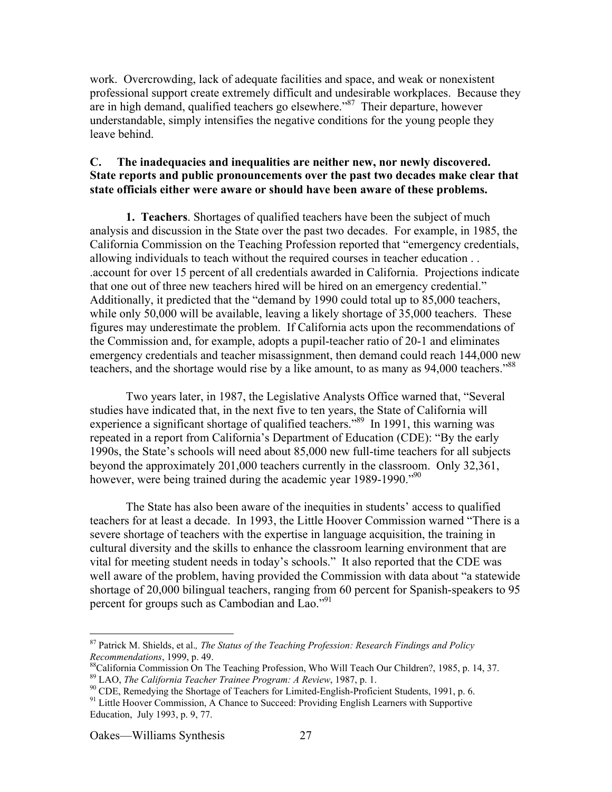work. Overcrowding, lack of adequate facilities and space, and weak or nonexistent professional support create extremely difficult and undesirable workplaces. Because they are in high demand, qualified teachers go elsewhere."<sup>87</sup> Their departure, however understandable, simply intensifies the negative conditions for the young people they leave behind.

## **C. The inadequacies and inequalities are neither new, nor newly discovered. State reports and public pronouncements over the past two decades make clear that state officials either were aware or should have been aware of these problems.**

**1. Teachers**. Shortages of qualified teachers have been the subject of much analysis and discussion in the State over the past two decades. For example, in 1985, the California Commission on the Teaching Profession reported that "emergency credentials, allowing individuals to teach without the required courses in teacher education . . .account for over 15 percent of all credentials awarded in California. Projections indicate that one out of three new teachers hired will be hired on an emergency credential." Additionally, it predicted that the "demand by 1990 could total up to 85,000 teachers, while only 50,000 will be available, leaving a likely shortage of 35,000 teachers. These figures may underestimate the problem. If California acts upon the recommendations of the Commission and, for example, adopts a pupil-teacher ratio of 20-1 and eliminates emergency credentials and teacher misassignment, then demand could reach 144,000 new teachers, and the shortage would rise by a like amount, to as many as 94,000 teachers.<sup>88</sup>

Two years later, in 1987, the Legislative Analysts Office warned that, "Several studies have indicated that, in the next five to ten years, the State of California will experience a significant shortage of qualified teachers.<sup>589</sup> In 1991, this warning was repeated in a report from California's Department of Education (CDE): "By the early 1990s, the State's schools will need about 85,000 new full-time teachers for all subjects beyond the approximately 201,000 teachers currently in the classroom. Only 32,361, however, were being trained during the academic year 1989-1990."<sup>90</sup>

The State has also been aware of the inequities in students' access to qualified teachers for at least a decade. In 1993, the Little Hoover Commission warned "There is a severe shortage of teachers with the expertise in language acquisition, the training in cultural diversity and the skills to enhance the classroom learning environment that are vital for meeting student needs in today's schools." It also reported that the CDE was well aware of the problem, having provided the Commission with data about "a statewide shortage of 20,000 bilingual teachers, ranging from 60 percent for Spanish-speakers to 95 percent for groups such as Cambodian and Lao."<sup>91</sup>

 <sup>87</sup> Patrick M. Shields, et al.*, The Status of the Teaching Profession: Research Findings and Policy Recommendations*, 1999, p. 49.

California Commission On The Teaching Profession, Who Will Teach Our Children?, 1985, p. 14, 37.

<sup>&</sup>lt;sup>89</sup> LAO, *The California Teacher Trainee Program: A Review*, 1987, p. 1.<br><sup>90</sup> CDE, Remedving the Shortage of Teachers for Limited English Profia

<sup>&</sup>lt;sup>90</sup> CDE, Remedying the Shortage of Teachers for Limited-English-Proficient Students, 1991, p. 6.

<sup>&</sup>lt;sup>91</sup> Little Hoover Commission, A Chance to Succeed: Providing English Learners with Supportive Education, July 1993, p. 9, 77.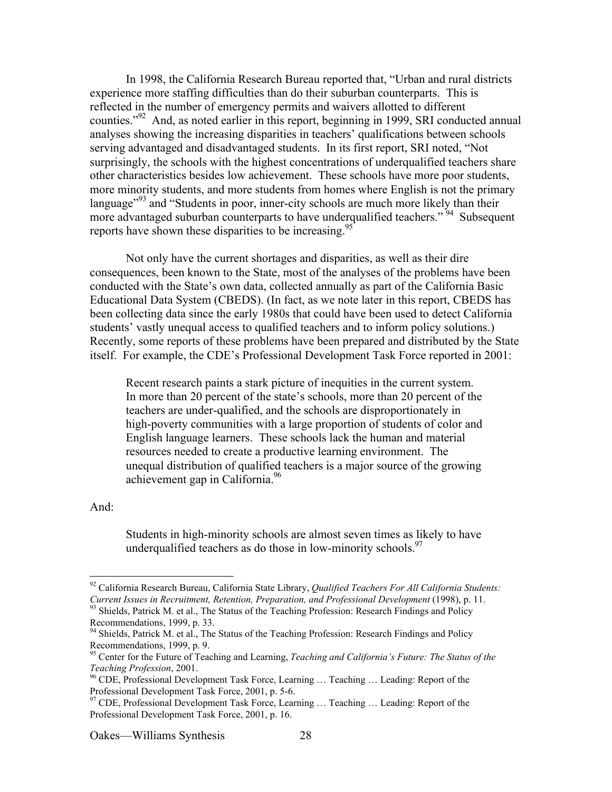In 1998, the California Research Bureau reported that, "Urban and rural districts experience more staffing difficulties than do their suburban counterparts. This is reflected in the number of emergency permits and waivers allotted to different counties."<sup>92</sup> And, as noted earlier in this report, beginning in 1999, SRI conducted annual analyses showing the increasing disparities in teachers' qualifications between schools serving advantaged and disadvantaged students. In its first report, SRI noted, "Not surprisingly, the schools with the highest concentrations of underqualified teachers share other characteristics besides low achievement. These schools have more poor students, more minority students, and more students from homes where English is not the primary language"<sup>93</sup> and "Students in poor, inner-city schools are much more likely than their more advantaged suburban counterparts to have underqualified teachers."<sup>94</sup> Subsequent reports have shown these disparities to be increasing.<sup>95</sup>

Not only have the current shortages and disparities, as well as their dire consequences, been known to the State, most of the analyses of the problems have been conducted with the State's own data, collected annually as part of the California Basic Educational Data System (CBEDS). (In fact, as we note later in this report, CBEDS has been collecting data since the early 1980s that could have been used to detect California students' vastly unequal access to qualified teachers and to inform policy solutions.) Recently, some reports of these problems have been prepared and distributed by the State itself. For example, the CDE's Professional Development Task Force reported in 2001:

Recent research paints a stark picture of inequities in the current system. In more than 20 percent of the state's schools, more than 20 percent of the teachers are under-qualified, and the schools are disproportionately in high-poverty communities with a large proportion of students of color and English language learners. These schools lack the human and material resources needed to create a productive learning environment. The unequal distribution of qualified teachers is a major source of the growing achievement gap in California.<sup>96</sup>

#### And:

Students in high-minority schools are almost seven times as likely to have underqualified teachers as do those in low-minority schools.  $97$ 

 <sup>92</sup> California Research Bureau, California State Library, *Qualified Teachers For All California Students: Current Issues in Recruitment, Retention, Preparation, and Professional Development* (1998), p. 11. <sup>93</sup> Shields, Patrick M. et al., The Status of the Teaching Profession: Research Findings and Policy

Recommendations, 1999, p. 33.

<sup>&</sup>lt;sup>94</sup> Shields, Patrick M. et al., The Status of the Teaching Profession: Research Findings and Policy Recommendations, 1999, p. 9.

<sup>95</sup> Center for the Future of Teaching and Learning, *Teaching and California's Future: The Status of the* **Teaching Profession**, 2001.

CDE, Professional Development Task Force, Learning … Teaching … Leading: Report of the Professional Development Task Force, 2001, p. 5-6.

<sup>&</sup>lt;sup>97</sup> CDE, Professional Development Task Force, Learning ... Teaching ... Leading: Report of the Professional Development Task Force, 2001, p. 16.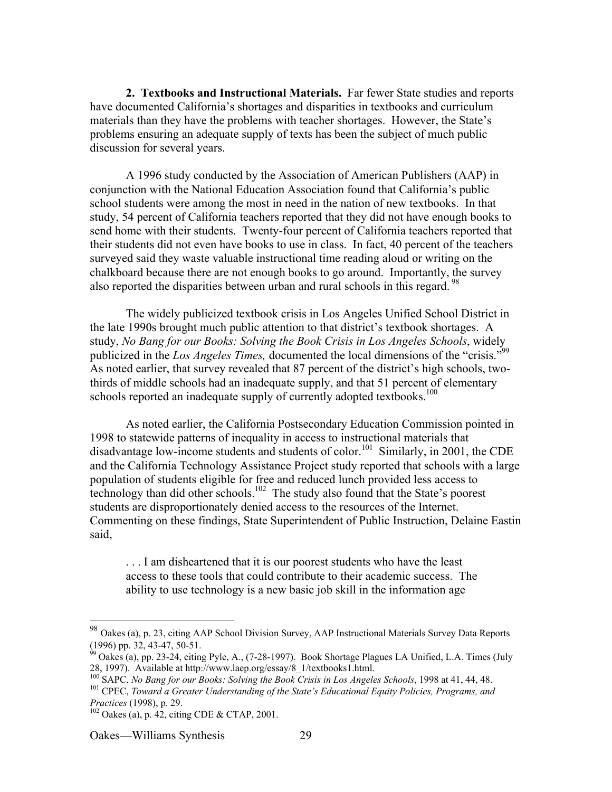**2. Textbooks and Instructional Materials.** Far fewer State studies and reports have documented California's shortages and disparities in textbooks and curriculum materials than they have the problems with teacher shortages. However, the State's problems ensuring an adequate supply of texts has been the subject of much public discussion for several years.

A 1996 study conducted by the Association of American Publishers (AAP) in conjunction with the National Education Association found that California's public school students were among the most in need in the nation of new textbooks. In that study, 54 percent of California teachers reported that they did not have enough books to send home with their students. Twenty-four percent of California teachers reported that their students did not even have books to use in class. In fact, 40 percent of the teachers surveyed said they waste valuable instructional time reading aloud or writing on the chalkboard because there are not enough books to go around. Importantly, the survey also reported the disparities between urban and rural schools in this regard.<sup>98</sup>

The widely publicized textbook crisis in Los Angeles Unified School District in the late 1990s brought much public attention to that district's textbook shortages. A study, *No Bang for our Books: Solving the Book Crisis in Los Angeles Schools*, widely publicized in the *Los Angeles Times*, documented the local dimensions of the "crisis."<sup>99</sup> As noted earlier, that survey revealed that 87 percent of the district's high schools, twothirds of middle schools had an inadequate supply, and that 51 percent of elementary schools reported an inadequate supply of currently adopted textbooks.<sup>100</sup>

As noted earlier, the California Postsecondary Education Commission pointed in 1998 to statewide patterns of inequality in access to instructional materials that disadvantage low-income students and students of color.<sup>101</sup> Similarly, in 2001, the CDE and the California Technology Assistance Project study reported that schools with a large population of students eligible for free and reduced lunch provided less access to technology than did other schools.<sup>102</sup> The study also found that the State's poorest students are disproportionately denied access to the resources of the Internet. Commenting on these findings, State Superintendent of Public Instruction, Delaine Eastin said,

. . . I am disheartened that it is our poorest students who have the least access to these tools that could contribute to their academic success. The ability to use technology is a new basic job skill in the information age

 <sup>98</sup> Oakes (a), p. 23, citing AAP School Division Survey, AAP Instructional Materials Survey Data Reports

<sup>(1996)</sup> pp. 32, 43-47, 50-51.<br><sup>99</sup> Oakes (a), pp. 23-24, citing Pyle, A., (7-28-1997). Book Shortage Plagues LA Unified, L.A. Times (July 28, 1997). Available at http://www.laep.org/essay/8\_1/textbooks1.html.<br><sup>100</sup> SABC, No Bang for our Books: Solving the Book Crisis in Les Angels

<sup>&</sup>lt;sup>100</sup> SAPC, *No Bang for our Books: Solving the Book Crisis in Los Angeles Schools*, 1998 at 41, 44, 48.<br><sup>101</sup> CDEC, *Toward a Creater Understanding of the State's Educational Equity Policies, Programs, and* 

<sup>&</sup>lt;sup>101</sup> CPEC, *Toward a Greater Understanding of the State's Educational Equity Policies, Programs, and Practices* (1998), p. 29.

 $102$  Oakes (a), p. 42, citing CDE & CTAP, 2001.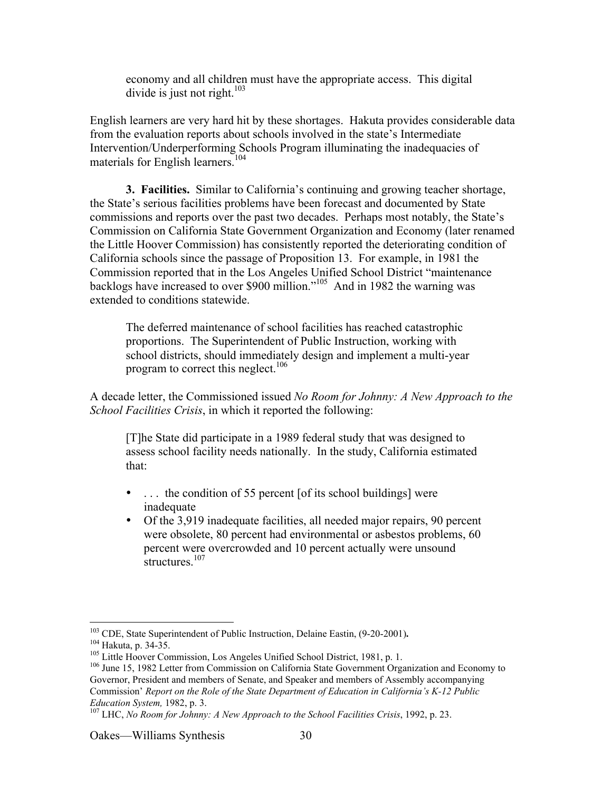economy and all children must have the appropriate access. This digital divide is just not right.<sup>103</sup>

English learners are very hard hit by these shortages. Hakuta provides considerable data from the evaluation reports about schools involved in the state's Intermediate Intervention/Underperforming Schools Program illuminating the inadequacies of materials for English learners.<sup>104</sup>

**3. Facilities.** Similar to California's continuing and growing teacher shortage, the State's serious facilities problems have been forecast and documented by State commissions and reports over the past two decades. Perhaps most notably, the State's Commission on California State Government Organization and Economy (later renamed the Little Hoover Commission) has consistently reported the deteriorating condition of California schools since the passage of Proposition 13. For example, in 1981 the Commission reported that in the Los Angeles Unified School District "maintenance backlogs have increased to over \$900 million."<sup>105</sup> And in 1982 the warning was extended to conditions statewide.

The deferred maintenance of school facilities has reached catastrophic proportions. The Superintendent of Public Instruction, working with school districts, should immediately design and implement a multi-year program to correct this neglect.<sup>106</sup>

A decade letter, the Commissioned issued *No Room for Johnny: A New Approach to the School Facilities Crisis*, in which it reported the following:

[T]he State did participate in a 1989 federal study that was designed to assess school facility needs nationally. In the study, California estimated that:

. . . the condition of 55 percent [of its school buildings] were inadequate

Of the 3,919 inadequate facilities, all needed major repairs, 90 percent were obsolete, 80 percent had environmental or asbestos problems, 60 percent were overcrowded and 10 percent actually were unsound structures.<sup>107</sup>

 <sup>103</sup> <sup>103</sup> CDE, State Superintendent of Public Instruction, Delaine Eastin, (9-20-2001).<br><sup>104</sup> Helaite, p. <sup>24, 25</sup>

<sup>&</sup>lt;sup>104</sup> Hakuta, p. 34-35.

<sup>&</sup>lt;sup>105</sup> Little Hoover Commission, Los Angeles Unified School District, 1981, p. 1.

<sup>&</sup>lt;sup>106</sup> June 15, 1982 Letter from Commission on California State Government Organization and Economy to Governor, President and members of Senate, and Speaker and members of Assembly accompanying Commission' *Report on the Role of the State Department of Education in California's K-12 Public Education System,* 1982, p. 3.

LHC, *No Room for Johnny: A New Approach to the School Facilities Crisis*, 1992, p. 23.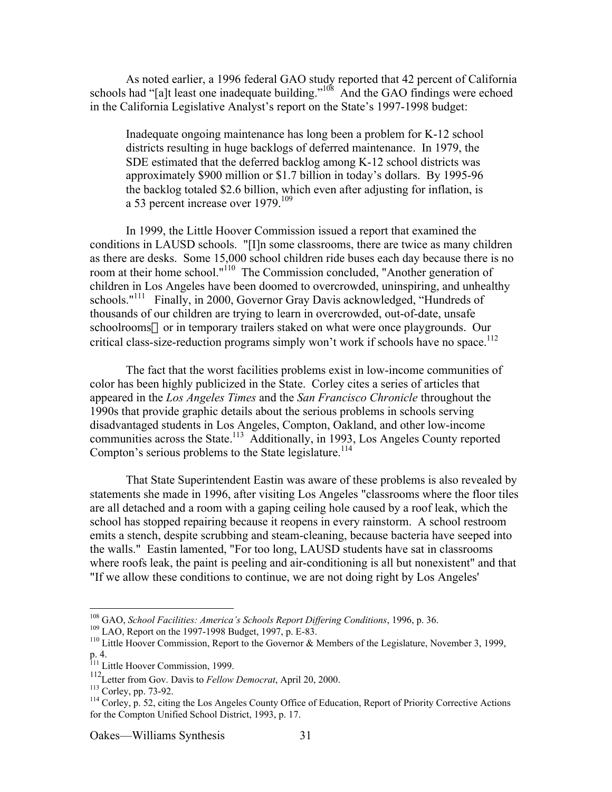As noted earlier, a 1996 federal GAO study reported that 42 percent of California schools had "[a]t least one inadequate building."<sup>108</sup> And the GAO findings were echoed in the California Legislative Analyst's report on the State's 1997-1998 budget:

Inadequate ongoing maintenance has long been a problem for K-12 school districts resulting in huge backlogs of deferred maintenance. In 1979, the SDE estimated that the deferred backlog among K-12 school districts was approximately \$900 million or \$1.7 billion in today's dollars. By 1995-96 the backlog totaled \$2.6 billion, which even after adjusting for inflation, is a 53 percent increase over 1979.<sup>109</sup>

In 1999, the Little Hoover Commission issued a report that examined the conditions in LAUSD schools. "[I]n some classrooms, there are twice as many children as there are desks. Some 15,000 school children ride buses each day because there is no room at their home school."<sup>110</sup> The Commission concluded, "Another generation of children in Los Angeles have been doomed to overcrowded, uninspiring, and unhealthy schools."<sup>111</sup> Finally, in 2000, Governor Gray Davis acknowledged, "Hundreds of thousands of our children are trying to learn in overcrowded, out-of-date, unsafe schoolrooms—or in temporary trailers staked on what were once playgrounds. Our critical class-size-reduction programs simply won't work if schools have no space.<sup>112</sup>

The fact that the worst facilities problems exist in low-income communities of color has been highly publicized in the State. Corley cites a series of articles that appeared in the *Los Angeles Times* and the *San Francisco Chronicle* throughout the 1990s that provide graphic details about the serious problems in schools serving disadvantaged students in Los Angeles, Compton, Oakland, and other low-income communities across the State.<sup>113</sup> Additionally, in 1993, Los Angeles County reported Compton's serious problems to the State legislature.<sup>114</sup>

That State Superintendent Eastin was aware of these problems is also revealed by statements she made in 1996, after visiting Los Angeles "classrooms where the floor tiles are all detached and a room with a gaping ceiling hole caused by a roof leak, which the school has stopped repairing because it reopens in every rainstorm. A school restroom emits a stench, despite scrubbing and steam-cleaning, because bacteria have seeped into the walls." Eastin lamented, "For too long, LAUSD students have sat in classrooms where roofs leak, the paint is peeling and air-conditioning is all but nonexistent" and that "If we allow these conditions to continue, we are not doing right by Los Angeles'

 <sup>108</sup> <sup>108</sup> GAO, *School Facilities: America's Schools Report Differing Conditions*, 1996, p. 36. 109 LAO, Benert on the 1007 1008 Budget 1007 p. E 83.

<sup>&</sup>lt;sup>109</sup> LAO, Report on the 1997-1998 Budget, 1997, p. E-83.

<sup>&</sup>lt;sup>110</sup> Little Hoover Commission, Report to the Governor & Members of the Legislature, November 3, 1999, p. 4. 111 Little Hoover Commission, 1999.

<sup>112</sup> Letter from Gov. Davis to *Fellow Democrat*, April 20, 2000.

 $^{113}$  Corley, pp. 73-92.

 $^{114}$  Corley, p. 52, citing the Los Angeles County Office of Education, Report of Priority Corrective Actions for the Compton Unified School District, 1993, p. 17.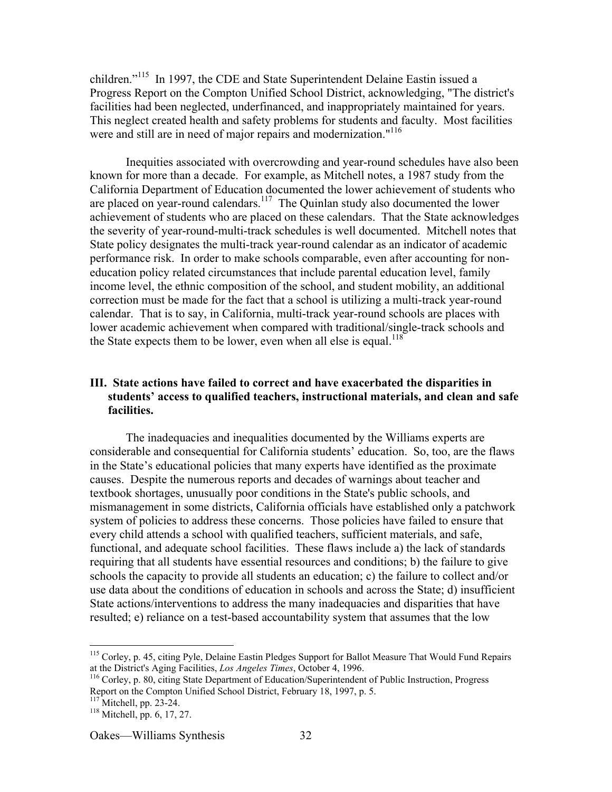children."<sup>115</sup> In 1997, the CDE and State Superintendent Delaine Eastin issued a Progress Report on the Compton Unified School District, acknowledging, "The district's facilities had been neglected, underfinanced, and inappropriately maintained for years. This neglect created health and safety problems for students and faculty. Most facilities were and still are in need of major repairs and modernization."<sup>116</sup>

Inequities associated with overcrowding and year-round schedules have also been known for more than a decade. For example, as Mitchell notes, a 1987 study from the California Department of Education documented the lower achievement of students who are placed on year-round calendars.<sup>117</sup> The Quinlan study also documented the lower achievement of students who are placed on these calendars. That the State acknowledges the severity of year-round-multi-track schedules is well documented. Mitchell notes that State policy designates the multi-track year-round calendar as an indicator of academic performance risk. In order to make schools comparable, even after accounting for noneducation policy related circumstances that include parental education level, family income level, the ethnic composition of the school, and student mobility, an additional correction must be made for the fact that a school is utilizing a multi-track year-round calendar. That is to say, in California, multi-track year-round schools are places with lower academic achievement when compared with traditional/single-track schools and the State expects them to be lower, even when all else is equal.<sup>118</sup>

## **III. State actions have failed to correct and have exacerbated the disparities in students' access to qualified teachers, instructional materials, and clean and safe facilities.**

The inadequacies and inequalities documented by the Williams experts are considerable and consequential for California students' education. So, too, are the flaws in the State's educational policies that many experts have identified as the proximate causes. Despite the numerous reports and decades of warnings about teacher and textbook shortages, unusually poor conditions in the State's public schools, and mismanagement in some districts, California officials have established only a patchwork system of policies to address these concerns. Those policies have failed to ensure that every child attends a school with qualified teachers, sufficient materials, and safe, functional, and adequate school facilities. These flaws include a) the lack of standards requiring that all students have essential resources and conditions; b) the failure to give schools the capacity to provide all students an education; c) the failure to collect and/or use data about the conditions of education in schools and across the State; d) insufficient State actions/interventions to address the many inadequacies and disparities that have resulted; e) reliance on a test-based accountability system that assumes that the low

 $^{117}$  Mitchell, pp. 23-24.

<sup>&</sup>lt;sup>115</sup> Corley, p. 45, citing Pyle, Delaine Eastin Pledges Support for Ballot Measure That Would Fund Repairs at the District's Aging Facilities, *Los Angeles Times*, October 4, 1996.

<sup>&</sup>lt;sup>116</sup> Corley, p. 80, citing State Department of Education/Superintendent of Public Instruction, Progress Report on the Compton Unified School District, February 18, 1997, p. 5.

 $118$  Mitchell, pp. 6, 17, 27.

Oakes—Williams Synthesis 32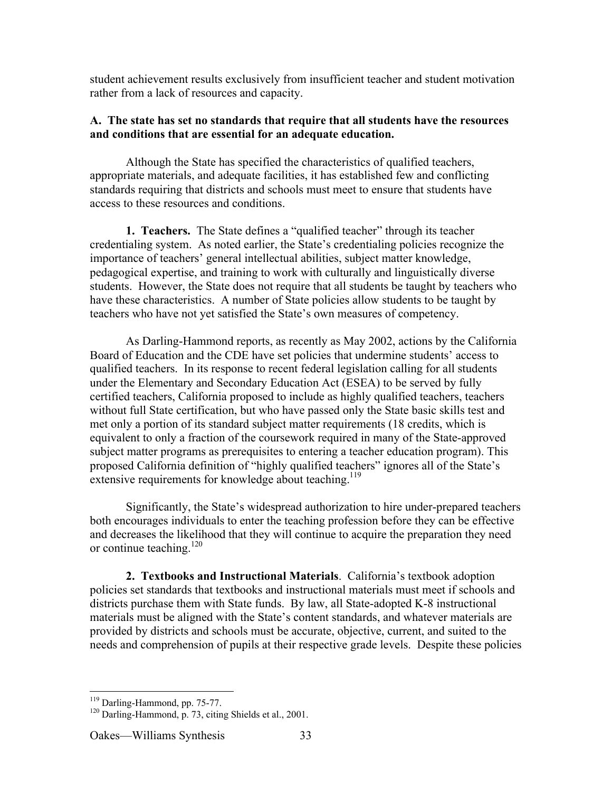student achievement results exclusively from insufficient teacher and student motivation rather from a lack of resources and capacity.

## **A. The state has set no standards that require that all students have the resources and conditions that are essential for an adequate education.**

Although the State has specified the characteristics of qualified teachers, appropriate materials, and adequate facilities, it has established few and conflicting standards requiring that districts and schools must meet to ensure that students have access to these resources and conditions.

**1. Teachers.** The State defines a "qualified teacher" through its teacher credentialing system. As noted earlier, the State's credentialing policies recognize the importance of teachers' general intellectual abilities, subject matter knowledge, pedagogical expertise, and training to work with culturally and linguistically diverse students. However, the State does not require that all students be taught by teachers who have these characteristics. A number of State policies allow students to be taught by teachers who have not yet satisfied the State's own measures of competency.

As Darling-Hammond reports, as recently as May 2002, actions by the California Board of Education and the CDE have set policies that undermine students' access to qualified teachers. In its response to recent federal legislation calling for all students under the Elementary and Secondary Education Act (ESEA) to be served by fully certified teachers, California proposed to include as highly qualified teachers, teachers without full State certification, but who have passed only the State basic skills test and met only a portion of its standard subject matter requirements (18 credits, which is equivalent to only a fraction of the coursework required in many of the State-approved subject matter programs as prerequisites to entering a teacher education program). This proposed California definition of "highly qualified teachers" ignores all of the State's extensive requirements for knowledge about teaching.<sup>119</sup>

Significantly, the State's widespread authorization to hire under-prepared teachers both encourages individuals to enter the teaching profession before they can be effective and decreases the likelihood that they will continue to acquire the preparation they need or continue teaching. $120$ 

**2. Textbooks and Instructional Materials**. California's textbook adoption policies set standards that textbooks and instructional materials must meet if schools and districts purchase them with State funds. By law, all State-adopted K-8 instructional materials must be aligned with the State's content standards, and whatever materials are provided by districts and schools must be accurate, objective, current, and suited to the needs and comprehension of pupils at their respective grade levels. Despite these policies

<sup>&</sup>lt;sup>119</sup>  $\frac{119}{120}$  Darling-Hammond, pp. 75-77.

<sup>&</sup>lt;sup>120</sup> Darling-Hammond, p. 73, citing Shields et al., 2001.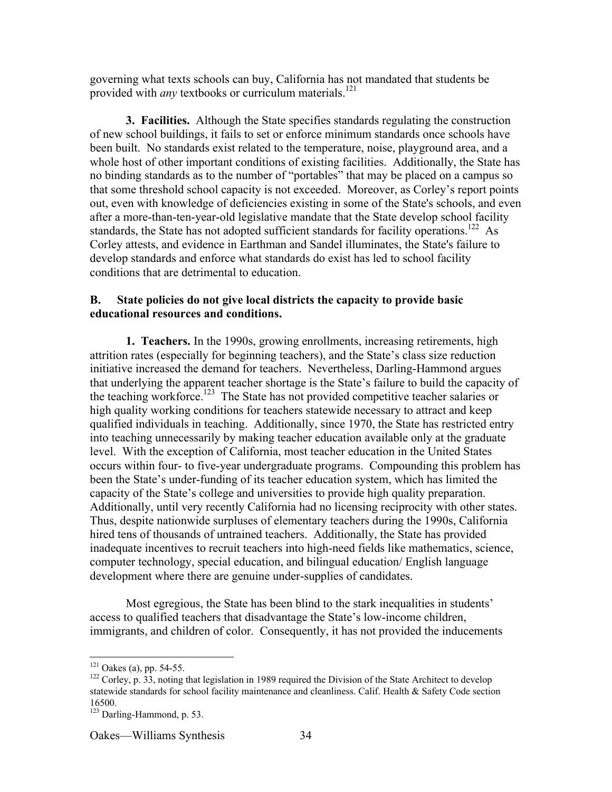governing what texts schools can buy, California has not mandated that students be provided with *any* textbooks or curriculum materials.<sup>121</sup>

**3. Facilities.** Although the State specifies standards regulating the construction of new school buildings, it fails to set or enforce minimum standards once schools have been built. No standards exist related to the temperature, noise, playground area, and a whole host of other important conditions of existing facilities. Additionally, the State has no binding standards as to the number of "portables" that may be placed on a campus so that some threshold school capacity is not exceeded. Moreover, as Corley's report points out, even with knowledge of deficiencies existing in some of the State's schools, and even after a more-than-ten-year-old legislative mandate that the State develop school facility standards, the State has not adopted sufficient standards for facility operations.<sup>122</sup> As Corley attests, and evidence in Earthman and Sandel illuminates, the State's failure to develop standards and enforce what standards do exist has led to school facility conditions that are detrimental to education.

#### **B. State policies do not give local districts the capacity to provide basic educational resources and conditions.**

**1. Teachers.** In the 1990s, growing enrollments, increasing retirements, high attrition rates (especially for beginning teachers), and the State's class size reduction initiative increased the demand for teachers. Nevertheless, Darling-Hammond argues that underlying the apparent teacher shortage is the State's failure to build the capacity of the teaching workforce.<sup>123</sup> The State has not provided competitive teacher salaries or high quality working conditions for teachers statewide necessary to attract and keep qualified individuals in teaching. Additionally, since 1970, the State has restricted entry into teaching unnecessarily by making teacher education available only at the graduate level. With the exception of California, most teacher education in the United States occurs within four- to five-year undergraduate programs. Compounding this problem has been the State's under-funding of its teacher education system, which has limited the capacity of the State's college and universities to provide high quality preparation. Additionally, until very recently California had no licensing reciprocity with other states. Thus, despite nationwide surpluses of elementary teachers during the 1990s, California hired tens of thousands of untrained teachers. Additionally, the State has provided inadequate incentives to recruit teachers into high-need fields like mathematics, science, computer technology, special education, and bilingual education/ English language development where there are genuine under-supplies of candidates.

Most egregious, the State has been blind to the stark inequalities in students' access to qualified teachers that disadvantage the State's low-income children, immigrants, and children of color. Consequently, it has not provided the inducements

 $\frac{1}{121}$  $^{121}$  Oakes (a), pp. 54-55.

 $122$  Corley, p. 33, noting that legislation in 1989 required the Division of the State Architect to develop statewide standards for school facility maintenance and cleanliness. Calif. Health & Safety Code section 16500.

<sup>&</sup>lt;sup>123</sup> Darling-Hammond, p. 53.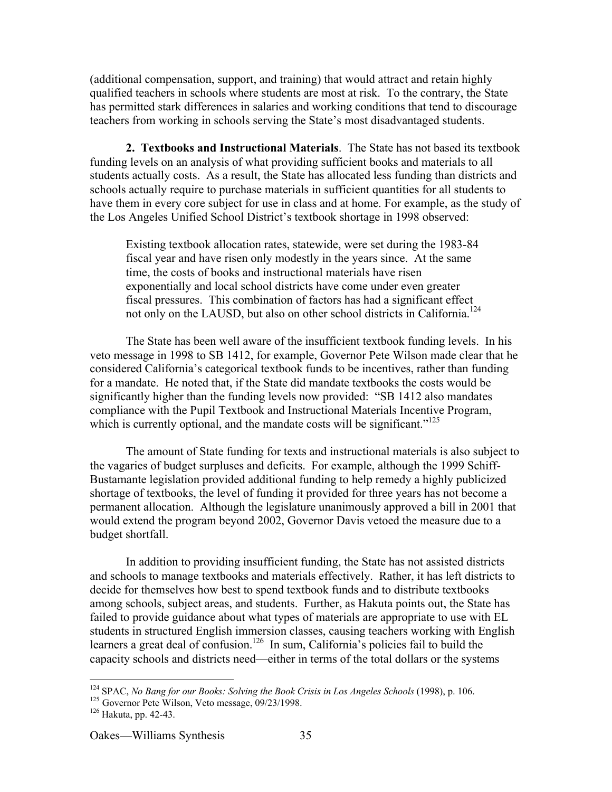(additional compensation, support, and training) that would attract and retain highly qualified teachers in schools where students are most at risk. To the contrary, the State has permitted stark differences in salaries and working conditions that tend to discourage teachers from working in schools serving the State's most disadvantaged students.

**2. Textbooks and Instructional Materials**. The State has not based its textbook funding levels on an analysis of what providing sufficient books and materials to all students actually costs. As a result, the State has allocated less funding than districts and schools actually require to purchase materials in sufficient quantities for all students to have them in every core subject for use in class and at home. For example, as the study of the Los Angeles Unified School District's textbook shortage in 1998 observed:

Existing textbook allocation rates, statewide, were set during the 1983-84 fiscal year and have risen only modestly in the years since. At the same time, the costs of books and instructional materials have risen exponentially and local school districts have come under even greater fiscal pressures. This combination of factors has had a significant effect not only on the LAUSD, but also on other school districts in California.<sup>124</sup>

The State has been well aware of the insufficient textbook funding levels. In his veto message in 1998 to SB 1412, for example, Governor Pete Wilson made clear that he considered California's categorical textbook funds to be incentives, rather than funding for a mandate. He noted that, if the State did mandate textbooks the costs would be significantly higher than the funding levels now provided: "SB 1412 also mandates compliance with the Pupil Textbook and Instructional Materials Incentive Program, which is currently optional, and the mandate costs will be significant."<sup>125</sup>

The amount of State funding for texts and instructional materials is also subject to the vagaries of budget surpluses and deficits. For example, although the 1999 Schiff-Bustamante legislation provided additional funding to help remedy a highly publicized shortage of textbooks, the level of funding it provided for three years has not become a permanent allocation. Although the legislature unanimously approved a bill in 2001 that would extend the program beyond 2002, Governor Davis vetoed the measure due to a budget shortfall.

In addition to providing insufficient funding, the State has not assisted districts and schools to manage textbooks and materials effectively. Rather, it has left districts to decide for themselves how best to spend textbook funds and to distribute textbooks among schools, subject areas, and students. Further, as Hakuta points out, the State has failed to provide guidance about what types of materials are appropriate to use with EL students in structured English immersion classes, causing teachers working with English learners a great deal of confusion.<sup>126</sup> In sum, California's policies fail to build the capacity schools and districts need—either in terms of the total dollars or the systems

<sup>&</sup>lt;sup>124</sup> <sup>124</sup> SPAC, *No Bang for our Books: Solving the Book Crisis in Los Angeles Schools* (1998), p. 106.<br><sup>125</sup> Governor Pete Wilson, Veto message, 09/23/1998.<br><sup>126</sup> Helpte, an. 42, 42

 $126$  Hakuta, pp. 42-43.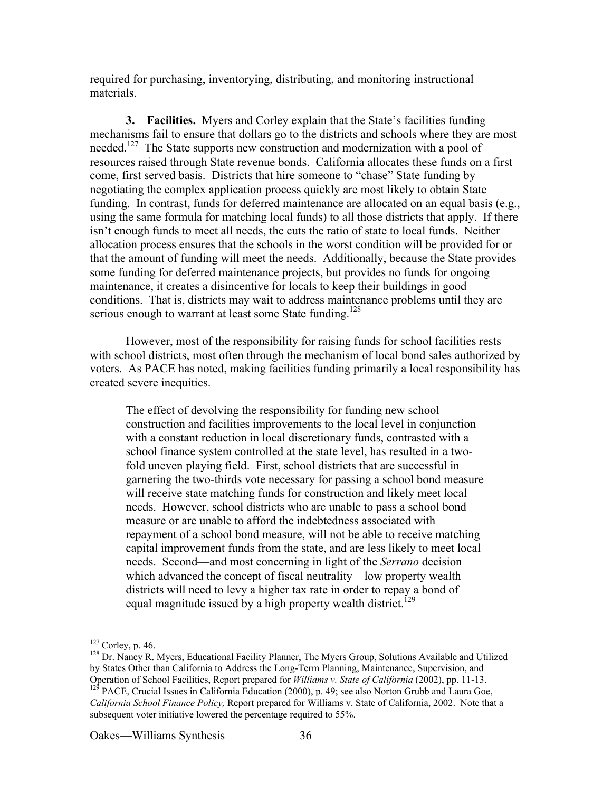required for purchasing, inventorying, distributing, and monitoring instructional materials.

**3. Facilities.** Myers and Corley explain that the State's facilities funding mechanisms fail to ensure that dollars go to the districts and schools where they are most needed.<sup>127</sup> The State supports new construction and modernization with a pool of resources raised through State revenue bonds. California allocates these funds on a first come, first served basis. Districts that hire someone to "chase" State funding by negotiating the complex application process quickly are most likely to obtain State funding. In contrast, funds for deferred maintenance are allocated on an equal basis (e.g., using the same formula for matching local funds) to all those districts that apply. If there isn't enough funds to meet all needs, the cuts the ratio of state to local funds. Neither allocation process ensures that the schools in the worst condition will be provided for or that the amount of funding will meet the needs. Additionally, because the State provides some funding for deferred maintenance projects, but provides no funds for ongoing maintenance, it creates a disincentive for locals to keep their buildings in good conditions. That is, districts may wait to address maintenance problems until they are serious enough to warrant at least some State funding.<sup>128</sup>

However, most of the responsibility for raising funds for school facilities rests with school districts, most often through the mechanism of local bond sales authorized by voters. As PACE has noted, making facilities funding primarily a local responsibility has created severe inequities.

The effect of devolving the responsibility for funding new school construction and facilities improvements to the local level in conjunction with a constant reduction in local discretionary funds, contrasted with a school finance system controlled at the state level, has resulted in a twofold uneven playing field. First, school districts that are successful in garnering the two-thirds vote necessary for passing a school bond measure will receive state matching funds for construction and likely meet local needs. However, school districts who are unable to pass a school bond measure or are unable to afford the indebtedness associated with repayment of a school bond measure, will not be able to receive matching capital improvement funds from the state, and are less likely to meet local needs. Second—and most concerning in light of the *Serrano* decision which advanced the concept of fiscal neutrality—low property wealth districts will need to levy a higher tax rate in order to repay a bond of equal magnitude issued by a high property wealth district.<sup>129</sup>

<sup>128</sup> Dr. Nancy R. Myers, Educational Facility Planner, The Myers Group, Solutions Available and Utilized by States Other than California to Address the Long-Term Planning, Maintenance, Supervision, and Operation of School Facilities, Report prepared for *Williams v. State of California* (2002), pp. 11-13.  $129$  PACE, Crucial Issues in California Education (2000), p. 49; see also Norton Grubb and Laura Goe, *California School Finance Policy,* Report prepared for Williams v. State of California, 2002. Note that a subsequent voter initiative lowered the percentage required to 55%.

 $\frac{1}{127}$  $^{127}$  Corley, p. 46.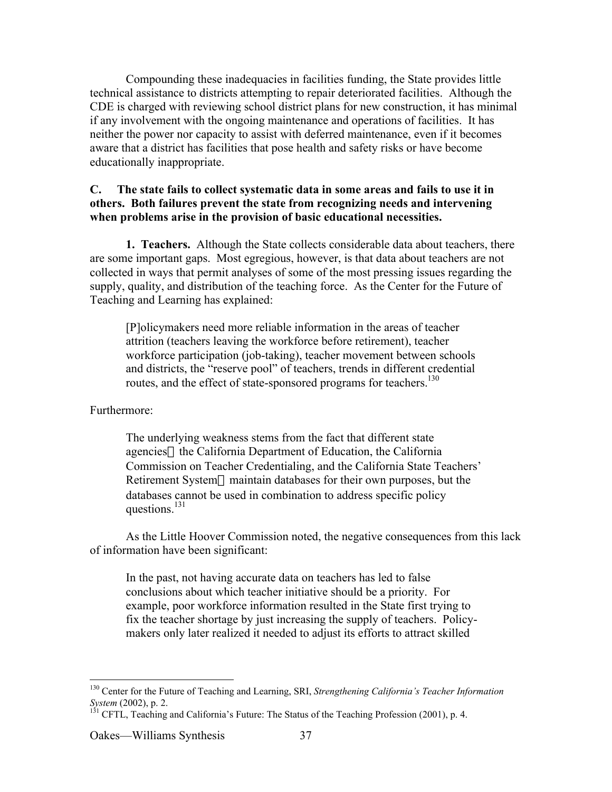Compounding these inadequacies in facilities funding, the State provides little technical assistance to districts attempting to repair deteriorated facilities. Although the CDE is charged with reviewing school district plans for new construction, it has minimal if any involvement with the ongoing maintenance and operations of facilities. It has neither the power nor capacity to assist with deferred maintenance, even if it becomes aware that a district has facilities that pose health and safety risks or have become educationally inappropriate.

### **C. The state fails to collect systematic data in some areas and fails to use it in others. Both failures prevent the state from recognizing needs and intervening when problems arise in the provision of basic educational necessities.**

**1. Teachers.** Although the State collects considerable data about teachers, there are some important gaps. Most egregious, however, is that data about teachers are not collected in ways that permit analyses of some of the most pressing issues regarding the supply, quality, and distribution of the teaching force. As the Center for the Future of Teaching and Learning has explained:

[P]olicymakers need more reliable information in the areas of teacher attrition (teachers leaving the workforce before retirement), teacher workforce participation (job-taking), teacher movement between schools and districts, the "reserve pool" of teachers, trends in different credential routes, and the effect of state-sponsored programs for teachers.<sup>130</sup>

Furthermore:

The underlying weakness stems from the fact that different state agencies—the California Department of Education, the California Commission on Teacher Credentialing, and the California State Teachers' Retirement System—maintain databases for their own purposes, but the databases cannot be used in combination to address specific policy questions. $^{131}$ 

As the Little Hoover Commission noted, the negative consequences from this lack of information have been significant:

In the past, not having accurate data on teachers has led to false conclusions about which teacher initiative should be a priority. For example, poor workforce information resulted in the State first trying to fix the teacher shortage by just increasing the supply of teachers. Policymakers only later realized it needed to adjust its efforts to attract skilled

 <sup>130</sup> Center for the Future of Teaching and Learning, SRI, *Strengthening California's Teacher Information System* (2002), p. 2.<br><sup>131</sup> CFTL, Teaching and California's Future: The Status of the Teaching Profession (2001), p. 4.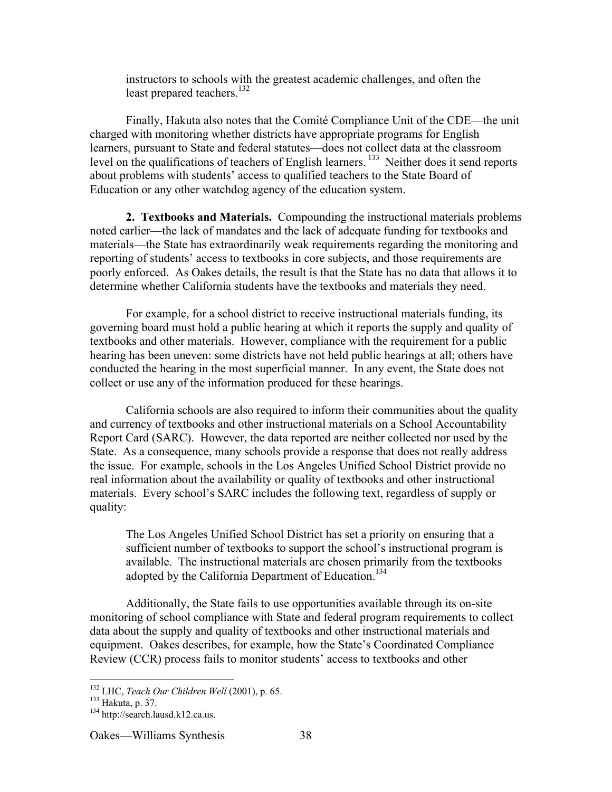instructors to schools with the greatest academic challenges, and often the least prepared teachers.<sup>132</sup>

Finally, Hakuta also notes that the Comité Compliance Unit of the CDE—the unit charged with monitoring whether districts have appropriate programs for English learners, pursuant to State and federal statutes—does not collect data at the classroom level on the qualifications of teachers of English learners.<sup>133</sup> Neither does it send reports about problems with students' access to qualified teachers to the State Board of Education or any other watchdog agency of the education system.

**2. Textbooks and Materials.** Compounding the instructional materials problems noted earlier—the lack of mandates and the lack of adequate funding for textbooks and materials—the State has extraordinarily weak requirements regarding the monitoring and reporting of students' access to textbooks in core subjects, and those requirements are poorly enforced. As Oakes details, the result is that the State has no data that allows it to determine whether California students have the textbooks and materials they need.

For example, for a school district to receive instructional materials funding, its governing board must hold a public hearing at which it reports the supply and quality of textbooks and other materials. However, compliance with the requirement for a public hearing has been uneven: some districts have not held public hearings at all; others have conducted the hearing in the most superficial manner. In any event, the State does not collect or use any of the information produced for these hearings.

California schools are also required to inform their communities about the quality and currency of textbooks and other instructional materials on a School Accountability Report Card (SARC). However, the data reported are neither collected nor used by the State. As a consequence, many schools provide a response that does not really address the issue. For example, schools in the Los Angeles Unified School District provide no real information about the availability or quality of textbooks and other instructional materials. Every school's SARC includes the following text, regardless of supply or quality:

The Los Angeles Unified School District has set a priority on ensuring that a sufficient number of textbooks to support the school's instructional program is available. The instructional materials are chosen primarily from the textbooks adopted by the California Department of Education.<sup>134</sup>

Additionally, the State fails to use opportunities available through its on-site monitoring of school compliance with State and federal program requirements to collect data about the supply and quality of textbooks and other instructional materials and equipment. Oakes describes, for example, how the State's Coordinated Compliance Review (CCR) process fails to monitor students' access to textbooks and other

 $\frac{1}{132}$ <sup>132</sup> LHC, *Teach Our Children Well* (2001), p. 65.<br><sup>133</sup> Halaite n. <sup>27</sup>

 $133$  Hakuta, p. 37.

<sup>&</sup>lt;sup>134</sup> http://search.lausd.k12.ca.us.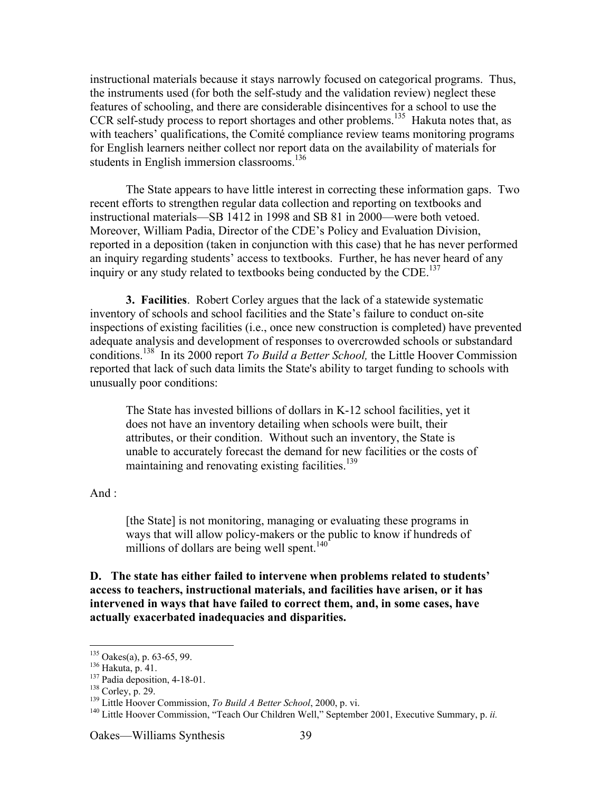instructional materials because it stays narrowly focused on categorical programs. Thus, the instruments used (for both the self-study and the validation review) neglect these features of schooling, and there are considerable disincentives for a school to use the CCR self-study process to report shortages and other problems.<sup>135</sup> Hakuta notes that, as with teachers' qualifications, the Comité compliance review teams monitoring programs for English learners neither collect nor report data on the availability of materials for students in English immersion classrooms.<sup>136</sup>

The State appears to have little interest in correcting these information gaps. Two recent efforts to strengthen regular data collection and reporting on textbooks and instructional materials—SB 1412 in 1998 and SB 81 in 2000—were both vetoed. Moreover, William Padia, Director of the CDE's Policy and Evaluation Division, reported in a deposition (taken in conjunction with this case) that he has never performed an inquiry regarding students' access to textbooks. Further, he has never heard of any inquiry or any study related to textbooks being conducted by the CDE.<sup>137</sup>

**3. Facilities**. Robert Corley argues that the lack of a statewide systematic inventory of schools and school facilities and the State's failure to conduct on-site inspections of existing facilities (i.e., once new construction is completed) have prevented adequate analysis and development of responses to overcrowded schools or substandard conditions.<sup>138</sup> In its 2000 report *To Build a Better School*, the Little Hoover Commission reported that lack of such data limits the State's ability to target funding to schools with unusually poor conditions:

The State has invested billions of dollars in K-12 school facilities, yet it does not have an inventory detailing when schools were built, their attributes, or their condition. Without such an inventory, the State is unable to accurately forecast the demand for new facilities or the costs of maintaining and renovating existing facilities.<sup>139</sup>

And :

[the State] is not monitoring, managing or evaluating these programs in ways that will allow policy-makers or the public to know if hundreds of millions of dollars are being well spent. $140$ <sup>-140</sup>

**D. The state has either failed to intervene when problems related to students' access to teachers, instructional materials, and facilities have arisen, or it has intervened in ways that have failed to correct them, and, in some cases, have actually exacerbated inadequacies and disparities.**

<sup>135</sup>  $^{135}$  Oakes(a), p. 63-65, 99.

 $^{136}$  Hakuta, p. 41.

 $137$  Padia deposition, 4-18-01.

 $138$  Corley, p. 29.

<sup>&</sup>lt;sup>139</sup> Little Hoover Commission, *To Build A Better School*, 2000, p. vi.

<sup>&</sup>lt;sup>140</sup> Little Hoover Commission, "Teach Our Children Well," September 2001, Executive Summary, p. *ii.*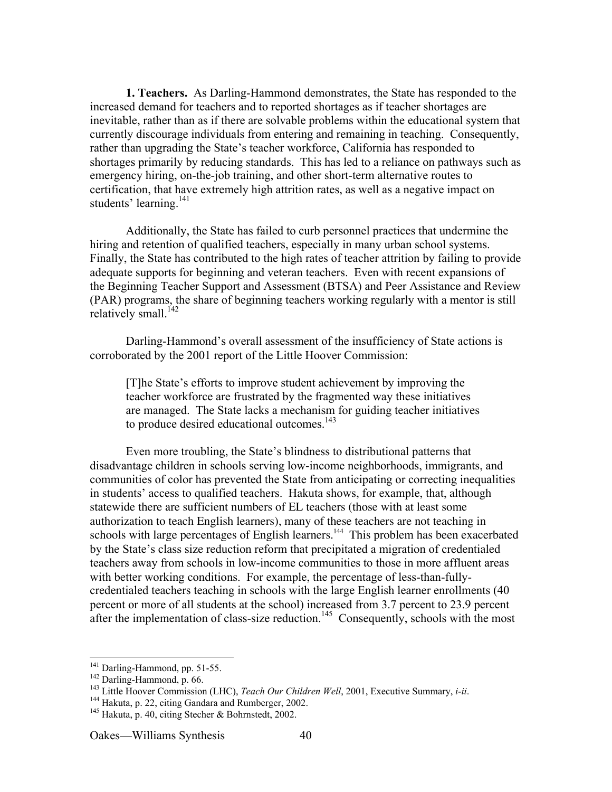**1. Teachers.** As Darling-Hammond demonstrates, the State has responded to the increased demand for teachers and to reported shortages as if teacher shortages are inevitable, rather than as if there are solvable problems within the educational system that currently discourage individuals from entering and remaining in teaching. Consequently, rather than upgrading the State's teacher workforce, California has responded to shortages primarily by reducing standards. This has led to a reliance on pathways such as emergency hiring, on-the-job training, and other short-term alternative routes to certification, that have extremely high attrition rates, as well as a negative impact on students' learning.<sup>141</sup>

Additionally, the State has failed to curb personnel practices that undermine the hiring and retention of qualified teachers, especially in many urban school systems. Finally, the State has contributed to the high rates of teacher attrition by failing to provide adequate supports for beginning and veteran teachers. Even with recent expansions of the Beginning Teacher Support and Assessment (BTSA) and Peer Assistance and Review (PAR) programs, the share of beginning teachers working regularly with a mentor is still relatively small.<sup>142</sup>

Darling-Hammond's overall assessment of the insufficiency of State actions is corroborated by the 2001 report of the Little Hoover Commission:

[T]he State's efforts to improve student achievement by improving the teacher workforce are frustrated by the fragmented way these initiatives are managed. The State lacks a mechanism for guiding teacher initiatives to produce desired educational outcomes.<sup>143</sup>

Even more troubling, the State's blindness to distributional patterns that disadvantage children in schools serving low-income neighborhoods, immigrants, and communities of color has prevented the State from anticipating or correcting inequalities in students' access to qualified teachers. Hakuta shows, for example, that, although statewide there are sufficient numbers of EL teachers (those with at least some authorization to teach English learners), many of these teachers are not teaching in schools with large percentages of English learners.<sup>144</sup> This problem has been exacerbated by the State's class size reduction reform that precipitated a migration of credentialed teachers away from schools in low-income communities to those in more affluent areas with better working conditions. For example, the percentage of less-than-fullycredentialed teachers teaching in schools with the large English learner enrollments (40 percent or more of all students at the school) increased from 3.7 percent to 23.9 percent after the implementation of class-size reduction.<sup>145</sup> Consequently, schools with the most

 $\frac{1}{141}$  $141$  Darling-Hammond, pp. 51-55.

 $142$  Darling-Hammond, p. 66.

<sup>&</sup>lt;sup>143</sup> Little Hoover Commission (LHC), *Teach Our Children Well*, 2001, Executive Summary, *i-ii*.

 $144$  Hakuta, p. 22, citing Gandara and Rumberger, 2002.

 $^{145}$  Hakuta, p. 40, citing Stecher & Bohrnstedt, 2002.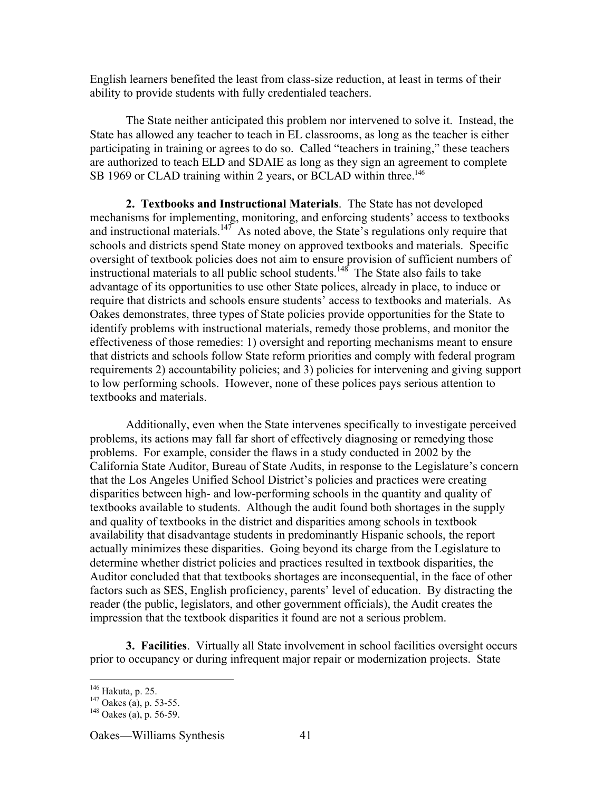English learners benefited the least from class-size reduction, at least in terms of their ability to provide students with fully credentialed teachers.

The State neither anticipated this problem nor intervened to solve it. Instead, the State has allowed any teacher to teach in EL classrooms, as long as the teacher is either participating in training or agrees to do so. Called "teachers in training," these teachers are authorized to teach ELD and SDAIE as long as they sign an agreement to complete SB 1969 or CLAD training within 2 years, or BCLAD within three.<sup>146</sup>

**2. Textbooks and Instructional Materials**. The State has not developed mechanisms for implementing, monitoring, and enforcing students' access to textbooks and instructional materials.<sup>147</sup> As noted above, the State's regulations only require that schools and districts spend State money on approved textbooks and materials. Specific oversight of textbook policies does not aim to ensure provision of sufficient numbers of instructional materials to all public school students.<sup>148</sup> The State also fails to take advantage of its opportunities to use other State polices, already in place, to induce or require that districts and schools ensure students' access to textbooks and materials. As Oakes demonstrates, three types of State policies provide opportunities for the State to identify problems with instructional materials, remedy those problems, and monitor the effectiveness of those remedies: 1) oversight and reporting mechanisms meant to ensure that districts and schools follow State reform priorities and comply with federal program requirements 2) accountability policies; and 3) policies for intervening and giving support to low performing schools. However, none of these polices pays serious attention to textbooks and materials.

Additionally, even when the State intervenes specifically to investigate perceived problems, its actions may fall far short of effectively diagnosing or remedying those problems. For example, consider the flaws in a study conducted in 2002 by the California State Auditor, Bureau of State Audits, in response to the Legislature's concern that the Los Angeles Unified School District's policies and practices were creating disparities between high- and low-performing schools in the quantity and quality of textbooks available to students. Although the audit found both shortages in the supply and quality of textbooks in the district and disparities among schools in textbook availability that disadvantage students in predominantly Hispanic schools, the report actually minimizes these disparities. Going beyond its charge from the Legislature to determine whether district policies and practices resulted in textbook disparities, the Auditor concluded that that textbooks shortages are inconsequential, in the face of other factors such as SES, English proficiency, parents' level of education. By distracting the reader (the public, legislators, and other government officials), the Audit creates the impression that the textbook disparities it found are not a serious problem.

**3. Facilities**. Virtually all State involvement in school facilities oversight occurs prior to occupancy or during infrequent major repair or modernization projects. State

 $146$  Hakuta, p. 25.  $^{146}$  Hakuta, p. 25.

<sup>&</sup>lt;sup>147</sup> Oakes (a), p. 53-55.<br><sup>148</sup> Oakes (a), p. 56-50.

 $148$  Oakes (a), p. 56-59.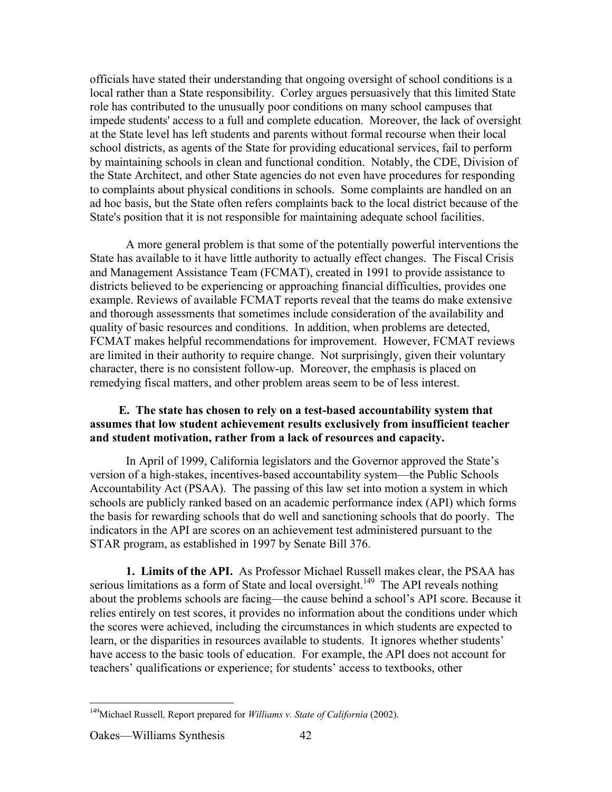officials have stated their understanding that ongoing oversight of school conditions is a local rather than a State responsibility. Corley argues persuasively that this limited State role has contributed to the unusually poor conditions on many school campuses that impede students' access to a full and complete education. Moreover, the lack of oversight at the State level has left students and parents without formal recourse when their local school districts, as agents of the State for providing educational services, fail to perform by maintaining schools in clean and functional condition. Notably, the CDE, Division of the State Architect, and other State agencies do not even have procedures for responding to complaints about physical conditions in schools. Some complaints are handled on an ad hoc basis, but the State often refers complaints back to the local district because of the State's position that it is not responsible for maintaining adequate school facilities.

A more general problem is that some of the potentially powerful interventions the State has available to it have little authority to actually effect changes. The Fiscal Crisis and Management Assistance Team (FCMAT), created in 1991 to provide assistance to districts believed to be experiencing or approaching financial difficulties, provides one example. Reviews of available FCMAT reports reveal that the teams do make extensive and thorough assessments that sometimes include consideration of the availability and quality of basic resources and conditions. In addition, when problems are detected, FCMAT makes helpful recommendations for improvement. However, FCMAT reviews are limited in their authority to require change. Not surprisingly, given their voluntary character, there is no consistent follow-up. Moreover, the emphasis is placed on remedying fiscal matters, and other problem areas seem to be of less interest.

# **E. The state has chosen to rely on a test-based accountability system that assumes that low student achievement results exclusively from insufficient teacher and student motivation, rather from a lack of resources and capacity.**

In April of 1999, California legislators and the Governor approved the State's version of a high-stakes, incentives-based accountability system—the Public Schools Accountability Act (PSAA). The passing of this law set into motion a system in which schools are publicly ranked based on an academic performance index (API) which forms the basis for rewarding schools that do well and sanctioning schools that do poorly. The indicators in the API are scores on an achievement test administered pursuant to the STAR program, as established in 1997 by Senate Bill 376.

**1. Limits of the API.** As Professor Michael Russell makes clear, the PSAA has serious limitations as a form of State and local oversight.<sup>149</sup> The API reveals nothing about the problems schools are facing—the cause behind a school's API score. Because it relies entirely on test scores, it provides no information about the conditions under which the scores were achieved, including the circumstances in which students are expected to learn, or the disparities in resources available to students. It ignores whether students' have access to the basic tools of education. For example, the API does not account for teachers' qualifications or experience; for students' access to textbooks, other

 <sup>149</sup> Michael Russell*,* Report prepared for *Williams v. State of California* (2002).

Oakes—Williams Synthesis 42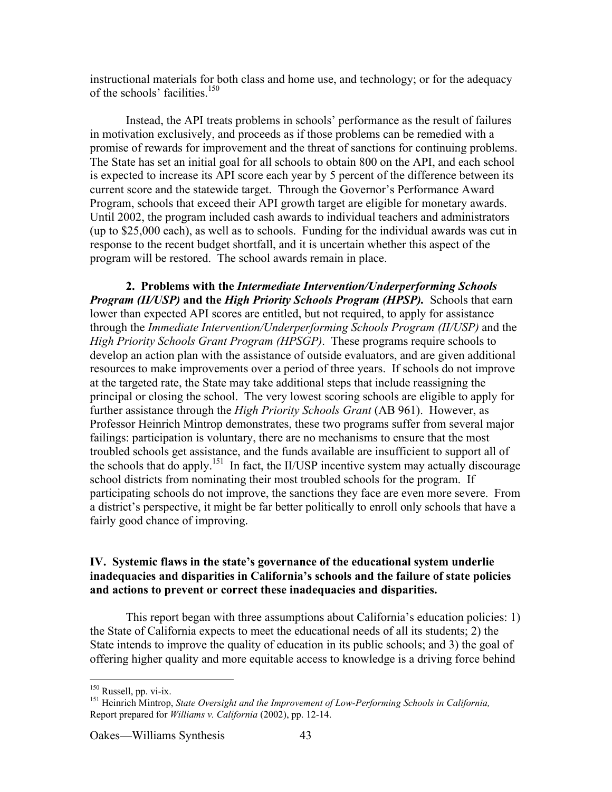instructional materials for both class and home use, and technology; or for the adequacy of the schools' facilities.<sup>150</sup>

Instead, the API treats problems in schools' performance as the result of failures in motivation exclusively, and proceeds as if those problems can be remedied with a promise of rewards for improvement and the threat of sanctions for continuing problems. The State has set an initial goal for all schools to obtain 800 on the API, and each school is expected to increase its API score each year by 5 percent of the difference between its current score and the statewide target. Through the Governor's Performance Award Program, schools that exceed their API growth target are eligible for monetary awards. Until 2002, the program included cash awards to individual teachers and administrators (up to \$25,000 each), as well as to schools. Funding for the individual awards was cut in response to the recent budget shortfall, and it is uncertain whether this aspect of the program will be restored. The school awards remain in place.

**2. Problems with the** *Intermediate Intervention/Underperforming Schools Program (II/USP)* **and the** *High Priority Schools Program (HPSP).* Schools that earn lower than expected API scores are entitled, but not required, to apply for assistance through the *Immediate Intervention/Underperforming Schools Program (II/USP)* and the *High Priority Schools Grant Program (HPSGP)*. These programs require schools to develop an action plan with the assistance of outside evaluators, and are given additional resources to make improvements over a period of three years. If schools do not improve at the targeted rate, the State may take additional steps that include reassigning the principal or closing the school. The very lowest scoring schools are eligible to apply for further assistance through the *High Priority Schools Grant* (AB 961). However, as Professor Heinrich Mintrop demonstrates, these two programs suffer from several major failings: participation is voluntary, there are no mechanisms to ensure that the most troubled schools get assistance, and the funds available are insufficient to support all of the schools that do apply.<sup>151</sup> In fact, the II/USP incentive system may actually discourage school districts from nominating their most troubled schools for the program. If participating schools do not improve, the sanctions they face are even more severe. From a district's perspective, it might be far better politically to enroll only schools that have a fairly good chance of improving.

### **IV. Systemic flaws in the state's governance of the educational system underlie inadequacies and disparities in California's schools and the failure of state policies and actions to prevent or correct these inadequacies and disparities.**

This report began with three assumptions about California's education policies: 1) the State of California expects to meet the educational needs of all its students; 2) the State intends to improve the quality of education in its public schools; and 3) the goal of offering higher quality and more equitable access to knowledge is a driving force behind

<sup>&</sup>lt;sup>150</sup>  $\frac{150}{151}$  Russell, pp. vi-ix.

<sup>&</sup>lt;sup>151</sup> Heinrich Mintrop, *State Oversight and the Improvement of Low-Performing Schools in California*, Report prepared for *Williams v. California* (2002), pp. 12-14.

Oakes—Williams Synthesis 43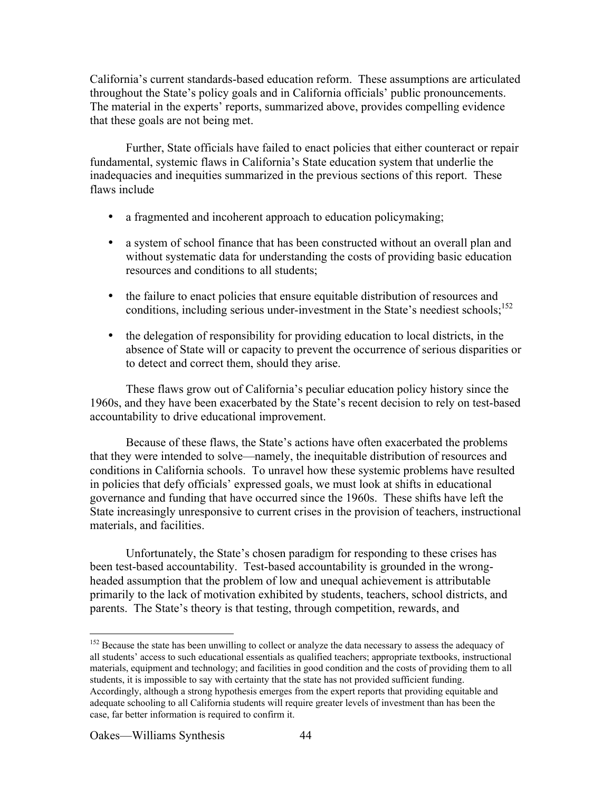California's current standards-based education reform. These assumptions are articulated throughout the State's policy goals and in California officials' public pronouncements. The material in the experts' reports, summarized above, provides compelling evidence that these goals are not being met.

Further, State officials have failed to enact policies that either counteract or repair fundamental, systemic flaws in California's State education system that underlie the inadequacies and inequities summarized in the previous sections of this report. These flaws include

a fragmented and incoherent approach to education policymaking;

a system of school finance that has been constructed without an overall plan and without systematic data for understanding the costs of providing basic education resources and conditions to all students;

the failure to enact policies that ensure equitable distribution of resources and conditions, including serious under-investment in the State's neediest schools;<sup>152</sup>

the delegation of responsibility for providing education to local districts, in the absence of State will or capacity to prevent the occurrence of serious disparities or to detect and correct them, should they arise.

These flaws grow out of California's peculiar education policy history since the 1960s, and they have been exacerbated by the State's recent decision to rely on test-based accountability to drive educational improvement.

Because of these flaws, the State's actions have often exacerbated the problems that they were intended to solve—namely, the inequitable distribution of resources and conditions in California schools. To unravel how these systemic problems have resulted in policies that defy officials' expressed goals, we must look at shifts in educational governance and funding that have occurred since the 1960s. These shifts have left the State increasingly unresponsive to current crises in the provision of teachers, instructional materials, and facilities.

Unfortunately, the State's chosen paradigm for responding to these crises has been test-based accountability. Test-based accountability is grounded in the wrongheaded assumption that the problem of low and unequal achievement is attributable primarily to the lack of motivation exhibited by students, teachers, school districts, and parents. The State's theory is that testing, through competition, rewards, and

<sup>&</sup>lt;sup>152</sup> Because the state has been unwilling to collect or analyze the data necessary to assess the adequacy of all students' access to such educational essentials as qualified teachers; appropriate textbooks, instructional materials, equipment and technology; and facilities in good condition and the costs of providing them to all students, it is impossible to say with certainty that the state has not provided sufficient funding. Accordingly, although a strong hypothesis emerges from the expert reports that providing equitable and adequate schooling to all California students will require greater levels of investment than has been the case, far better information is required to confirm it.

Oakes—Williams Synthesis 44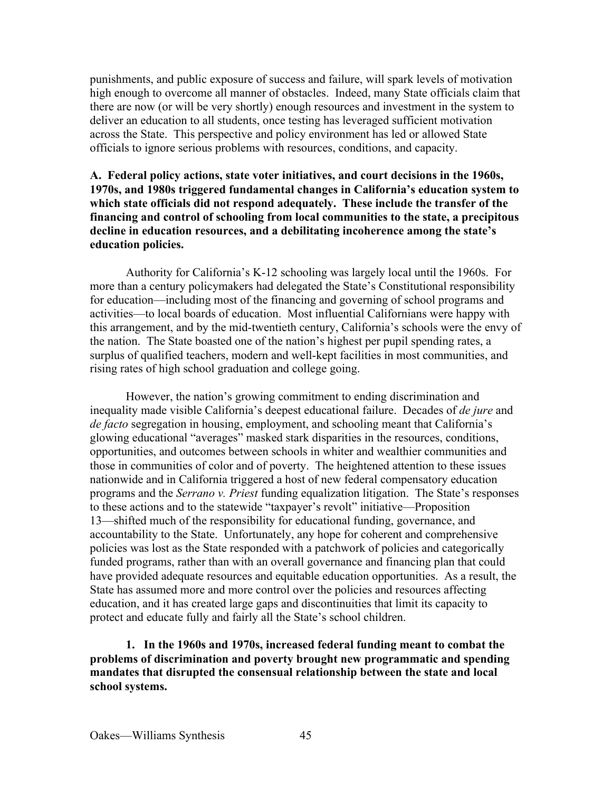punishments, and public exposure of success and failure, will spark levels of motivation high enough to overcome all manner of obstacles. Indeed, many State officials claim that there are now (or will be very shortly) enough resources and investment in the system to deliver an education to all students, once testing has leveraged sufficient motivation across the State. This perspective and policy environment has led or allowed State officials to ignore serious problems with resources, conditions, and capacity.

# **A. Federal policy actions, state voter initiatives, and court decisions in the 1960s, 1970s, and 1980s triggered fundamental changes in California's education system to which state officials did not respond adequately. These include the transfer of the financing and control of schooling from local communities to the state, a precipitous decline in education resources, and a debilitating incoherence among the state's education policies.**

Authority for California's K-12 schooling was largely local until the 1960s. For more than a century policymakers had delegated the State's Constitutional responsibility for education—including most of the financing and governing of school programs and activities—to local boards of education. Most influential Californians were happy with this arrangement, and by the mid-twentieth century, California's schools were the envy of the nation. The State boasted one of the nation's highest per pupil spending rates, a surplus of qualified teachers, modern and well-kept facilities in most communities, and rising rates of high school graduation and college going.

However, the nation's growing commitment to ending discrimination and inequality made visible California's deepest educational failure. Decades of *de jure* and *de facto* segregation in housing, employment, and schooling meant that California's glowing educational "averages" masked stark disparities in the resources, conditions, opportunities, and outcomes between schools in whiter and wealthier communities and those in communities of color and of poverty. The heightened attention to these issues nationwide and in California triggered a host of new federal compensatory education programs and the *Serrano v. Priest* funding equalization litigation. The State's responses to these actions and to the statewide "taxpayer's revolt" initiative—Proposition 13—shifted much of the responsibility for educational funding, governance, and accountability to the State. Unfortunately, any hope for coherent and comprehensive policies was lost as the State responded with a patchwork of policies and categorically funded programs, rather than with an overall governance and financing plan that could have provided adequate resources and equitable education opportunities. As a result, the State has assumed more and more control over the policies and resources affecting education, and it has created large gaps and discontinuities that limit its capacity to protect and educate fully and fairly all the State's school children.

**1. In the 1960s and 1970s, increased federal funding meant to combat the problems of discrimination and poverty brought new programmatic and spending mandates that disrupted the consensual relationship between the state and local school systems.**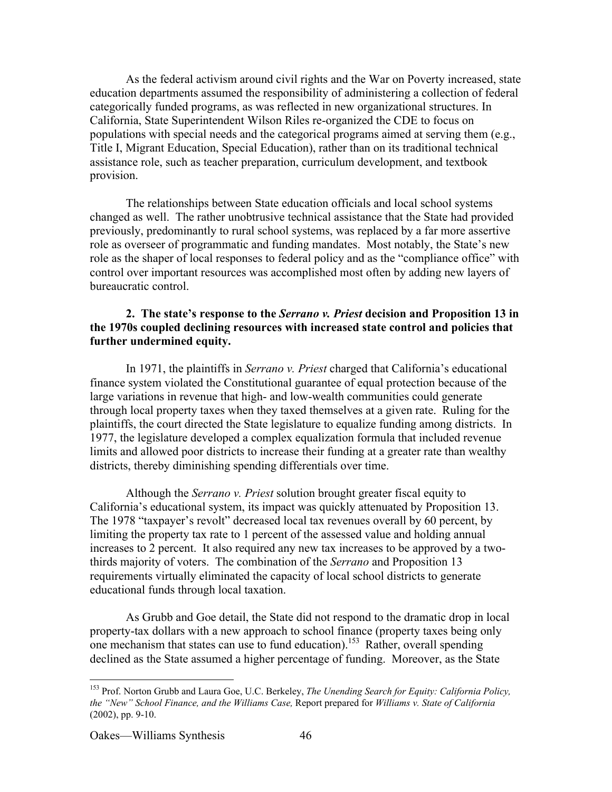As the federal activism around civil rights and the War on Poverty increased, state education departments assumed the responsibility of administering a collection of federal categorically funded programs, as was reflected in new organizational structures. In California, State Superintendent Wilson Riles re-organized the CDE to focus on populations with special needs and the categorical programs aimed at serving them (e.g., Title I, Migrant Education, Special Education), rather than on its traditional technical assistance role, such as teacher preparation, curriculum development, and textbook provision.

The relationships between State education officials and local school systems changed as well. The rather unobtrusive technical assistance that the State had provided previously, predominantly to rural school systems, was replaced by a far more assertive role as overseer of programmatic and funding mandates. Most notably, the State's new role as the shaper of local responses to federal policy and as the "compliance office" with control over important resources was accomplished most often by adding new layers of bureaucratic control.

### **2. The state's response to the** *Serrano v. Priest* **decision and Proposition 13 in the 1970s coupled declining resources with increased state control and policies that further undermined equity.**

In 1971, the plaintiffs in *Serrano v. Priest* charged that California's educational finance system violated the Constitutional guarantee of equal protection because of the large variations in revenue that high- and low-wealth communities could generate through local property taxes when they taxed themselves at a given rate. Ruling for the plaintiffs, the court directed the State legislature to equalize funding among districts. In 1977, the legislature developed a complex equalization formula that included revenue limits and allowed poor districts to increase their funding at a greater rate than wealthy districts, thereby diminishing spending differentials over time.

Although the *Serrano v. Priest* solution brought greater fiscal equity to California's educational system, its impact was quickly attenuated by Proposition 13. The 1978 "taxpayer's revolt" decreased local tax revenues overall by 60 percent, by limiting the property tax rate to 1 percent of the assessed value and holding annual increases to 2 percent. It also required any new tax increases to be approved by a twothirds majority of voters. The combination of the *Serrano* and Proposition 13 requirements virtually eliminated the capacity of local school districts to generate educational funds through local taxation.

As Grubb and Goe detail, the State did not respond to the dramatic drop in local property-tax dollars with a new approach to school finance (property taxes being only one mechanism that states can use to fund education).<sup>153</sup> Rather, overall spending declined as the State assumed a higher percentage of funding. Moreover, as the State

 <sup>153</sup> Prof. Norton Grubb and Laura Goe, U.C. Berkeley, *The Unending Search for Equity: California Policy, the "New" School Finance, and the Williams Case,* Report prepared for *Williams v. State of California* (2002), pp. 9-10.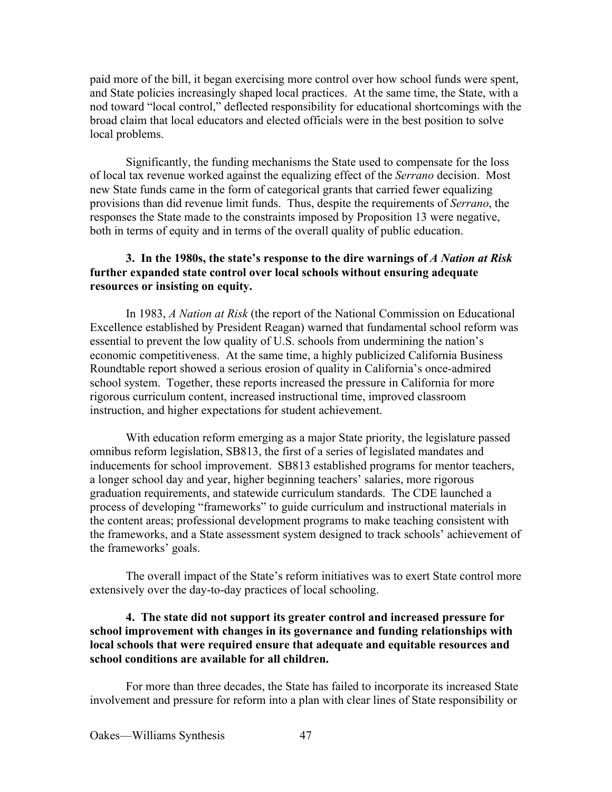paid more of the bill, it began exercising more control over how school funds were spent, and State policies increasingly shaped local practices. At the same time, the State, with a nod toward "local control," deflected responsibility for educational shortcomings with the broad claim that local educators and elected officials were in the best position to solve local problems.

Significantly, the funding mechanisms the State used to compensate for the loss of local tax revenue worked against the equalizing effect of the *Serrano* decision. Most new State funds came in the form of categorical grants that carried fewer equalizing provisions than did revenue limit funds. Thus, despite the requirements of *Serrano*, the responses the State made to the constraints imposed by Proposition 13 were negative, both in terms of equity and in terms of the overall quality of public education.

### **3. In the 1980s, the state's response to the dire warnings of** *A Nation at Risk* **further expanded state control over local schools without ensuring adequate resources or insisting on equity.**

In 1983, *A Nation at Risk* (the report of the National Commission on Educational Excellence established by President Reagan) warned that fundamental school reform was essential to prevent the low quality of U.S. schools from undermining the nation's economic competitiveness. At the same time, a highly publicized California Business Roundtable report showed a serious erosion of quality in California's once-admired school system. Together, these reports increased the pressure in California for more rigorous curriculum content, increased instructional time, improved classroom instruction, and higher expectations for student achievement.

With education reform emerging as a major State priority, the legislature passed omnibus reform legislation, SB813, the first of a series of legislated mandates and inducements for school improvement. SB813 established programs for mentor teachers, a longer school day and year, higher beginning teachers' salaries, more rigorous graduation requirements, and statewide curriculum standards. The CDE launched a process of developing "frameworks" to guide curriculum and instructional materials in the content areas; professional development programs to make teaching consistent with the frameworks, and a State assessment system designed to track schools' achievement of the frameworks' goals.

The overall impact of the State's reform initiatives was to exert State control more extensively over the day-to-day practices of local schooling.

# **4. The state did not support its greater control and increased pressure for school improvement with changes in its governance and funding relationships with local schools that were required ensure that adequate and equitable resources and school conditions are available for all children.**

For more than three decades, the State has failed to incorporate its increased State involvement and pressure for reform into a plan with clear lines of State responsibility or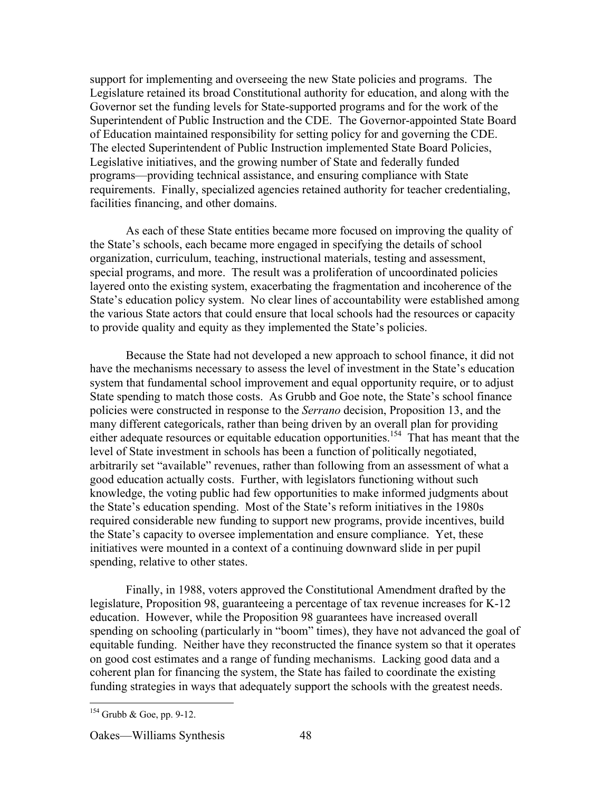support for implementing and overseeing the new State policies and programs. The Legislature retained its broad Constitutional authority for education, and along with the Governor set the funding levels for State-supported programs and for the work of the Superintendent of Public Instruction and the CDE. The Governor-appointed State Board of Education maintained responsibility for setting policy for and governing the CDE. The elected Superintendent of Public Instruction implemented State Board Policies, Legislative initiatives, and the growing number of State and federally funded programs—providing technical assistance, and ensuring compliance with State requirements. Finally, specialized agencies retained authority for teacher credentialing, facilities financing, and other domains.

As each of these State entities became more focused on improving the quality of the State's schools, each became more engaged in specifying the details of school organization, curriculum, teaching, instructional materials, testing and assessment, special programs, and more. The result was a proliferation of uncoordinated policies layered onto the existing system, exacerbating the fragmentation and incoherence of the State's education policy system. No clear lines of accountability were established among the various State actors that could ensure that local schools had the resources or capacity to provide quality and equity as they implemented the State's policies.

Because the State had not developed a new approach to school finance, it did not have the mechanisms necessary to assess the level of investment in the State's education system that fundamental school improvement and equal opportunity require, or to adjust State spending to match those costs. As Grubb and Goe note, the State's school finance policies were constructed in response to the *Serrano* decision, Proposition 13, and the many different categoricals, rather than being driven by an overall plan for providing either adequate resources or equitable education opportunities.<sup>154</sup> That has meant that the level of State investment in schools has been a function of politically negotiated, arbitrarily set "available" revenues, rather than following from an assessment of what a good education actually costs. Further, with legislators functioning without such knowledge, the voting public had few opportunities to make informed judgments about the State's education spending. Most of the State's reform initiatives in the 1980s required considerable new funding to support new programs, provide incentives, build the State's capacity to oversee implementation and ensure compliance. Yet, these initiatives were mounted in a context of a continuing downward slide in per pupil spending, relative to other states.

Finally, in 1988, voters approved the Constitutional Amendment drafted by the legislature, Proposition 98, guaranteeing a percentage of tax revenue increases for K-12 education. However, while the Proposition 98 guarantees have increased overall spending on schooling (particularly in "boom" times), they have not advanced the goal of equitable funding. Neither have they reconstructed the finance system so that it operates on good cost estimates and a range of funding mechanisms. Lacking good data and a coherent plan for financing the system, the State has failed to coordinate the existing funding strategies in ways that adequately support the schools with the greatest needs.

 <sup>154</sup> Grubb & Goe, pp. 9-12.

Oakes—Williams Synthesis 48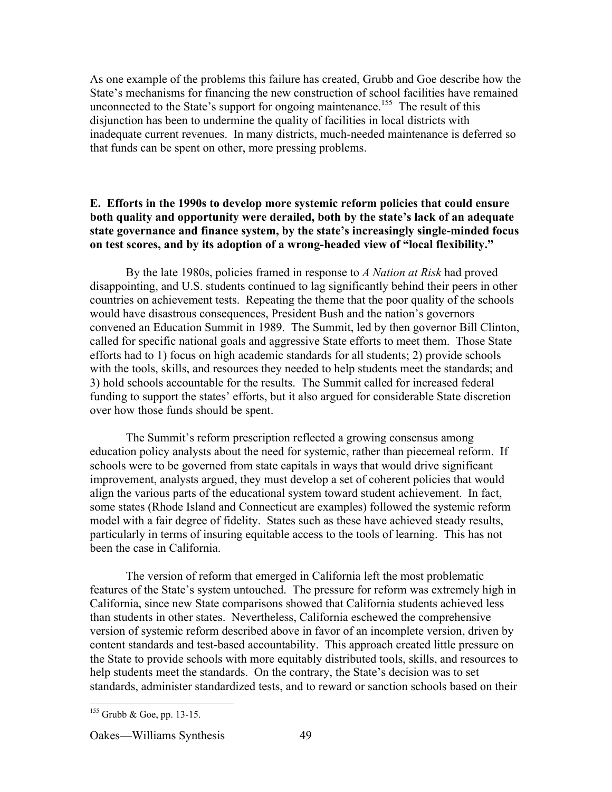As one example of the problems this failure has created, Grubb and Goe describe how the State's mechanisms for financing the new construction of school facilities have remained unconnected to the State's support for ongoing maintenance.<sup>155</sup> The result of this disjunction has been to undermine the quality of facilities in local districts with inadequate current revenues. In many districts, much-needed maintenance is deferred so that funds can be spent on other, more pressing problems.

### **E. Efforts in the 1990s to develop more systemic reform policies that could ensure both quality and opportunity were derailed, both by the state's lack of an adequate state governance and finance system, by the state's increasingly single-minded focus on test scores, and by its adoption of a wrong-headed view of "local flexibility."**

By the late 1980s, policies framed in response to *A Nation at Risk* had proved disappointing, and U.S. students continued to lag significantly behind their peers in other countries on achievement tests. Repeating the theme that the poor quality of the schools would have disastrous consequences, President Bush and the nation's governors convened an Education Summit in 1989. The Summit, led by then governor Bill Clinton, called for specific national goals and aggressive State efforts to meet them. Those State efforts had to 1) focus on high academic standards for all students; 2) provide schools with the tools, skills, and resources they needed to help students meet the standards; and 3) hold schools accountable for the results. The Summit called for increased federal funding to support the states' efforts, but it also argued for considerable State discretion over how those funds should be spent.

The Summit's reform prescription reflected a growing consensus among education policy analysts about the need for systemic, rather than piecemeal reform. If schools were to be governed from state capitals in ways that would drive significant improvement, analysts argued, they must develop a set of coherent policies that would align the various parts of the educational system toward student achievement. In fact, some states (Rhode Island and Connecticut are examples) followed the systemic reform model with a fair degree of fidelity. States such as these have achieved steady results, particularly in terms of insuring equitable access to the tools of learning. This has not been the case in California.

The version of reform that emerged in California left the most problematic features of the State's system untouched. The pressure for reform was extremely high in California, since new State comparisons showed that California students achieved less than students in other states. Nevertheless, California eschewed the comprehensive version of systemic reform described above in favor of an incomplete version, driven by content standards and test-based accountability. This approach created little pressure on the State to provide schools with more equitably distributed tools, skills, and resources to help students meet the standards. On the contrary, the State's decision was to set standards, administer standardized tests, and to reward or sanction schools based on their

<sup>&</sup>lt;sup>155</sup> Grubb & Goe, pp. 13-15.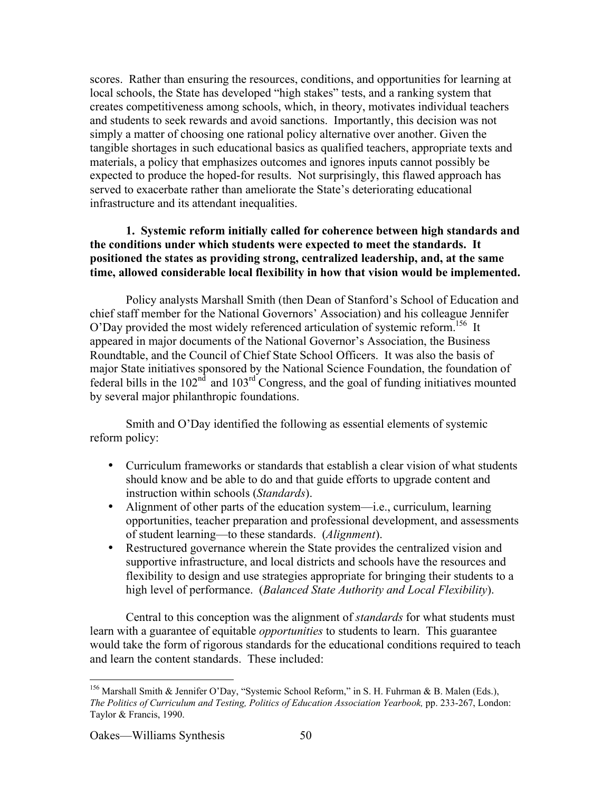scores. Rather than ensuring the resources, conditions, and opportunities for learning at local schools, the State has developed "high stakes" tests, and a ranking system that creates competitiveness among schools, which, in theory, motivates individual teachers and students to seek rewards and avoid sanctions. Importantly, this decision was not simply a matter of choosing one rational policy alternative over another. Given the tangible shortages in such educational basics as qualified teachers, appropriate texts and materials, a policy that emphasizes outcomes and ignores inputs cannot possibly be expected to produce the hoped-for results. Not surprisingly, this flawed approach has served to exacerbate rather than ameliorate the State's deteriorating educational infrastructure and its attendant inequalities.

## **1. Systemic reform initially called for coherence between high standards and the conditions under which students were expected to meet the standards. It positioned the states as providing strong, centralized leadership, and, at the same time, allowed considerable local flexibility in how that vision would be implemented.**

Policy analysts Marshall Smith (then Dean of Stanford's School of Education and chief staff member for the National Governors' Association) and his colleague Jennifer O'Day provided the most widely referenced articulation of systemic reform.<sup>156</sup> It appeared in major documents of the National Governor's Association, the Business Roundtable, and the Council of Chief State School Officers. It was also the basis of major State initiatives sponsored by the National Science Foundation, the foundation of federal bills in the  $102<sup>nd</sup>$  and  $103<sup>rd</sup>$  Congress, and the goal of funding initiatives mounted by several major philanthropic foundations.

Smith and O'Day identified the following as essential elements of systemic reform policy:

Curriculum frameworks or standards that establish a clear vision of what students should know and be able to do and that guide efforts to upgrade content and instruction within schools (*Standards*).

Alignment of other parts of the education system—i.e., curriculum, learning opportunities, teacher preparation and professional development, and assessments of student learning—to these standards. (*Alignment*).

Restructured governance wherein the State provides the centralized vision and supportive infrastructure, and local districts and schools have the resources and flexibility to design and use strategies appropriate for bringing their students to a high level of performance. (*Balanced State Authority and Local Flexibility*).

Central to this conception was the alignment of *standards* for what students must learn with a guarantee of equitable *opportunities* to students to learn. This guarantee would take the form of rigorous standards for the educational conditions required to teach and learn the content standards. These included:

 <sup>156</sup> Marshall Smith & Jennifer O'Day, "Systemic School Reform," in S. H. Fuhrman & B. Malen (Eds.), *The Politics of Curriculum and Testing, Politics of Education Association Yearbook,* pp. 233-267, London: Taylor & Francis, 1990.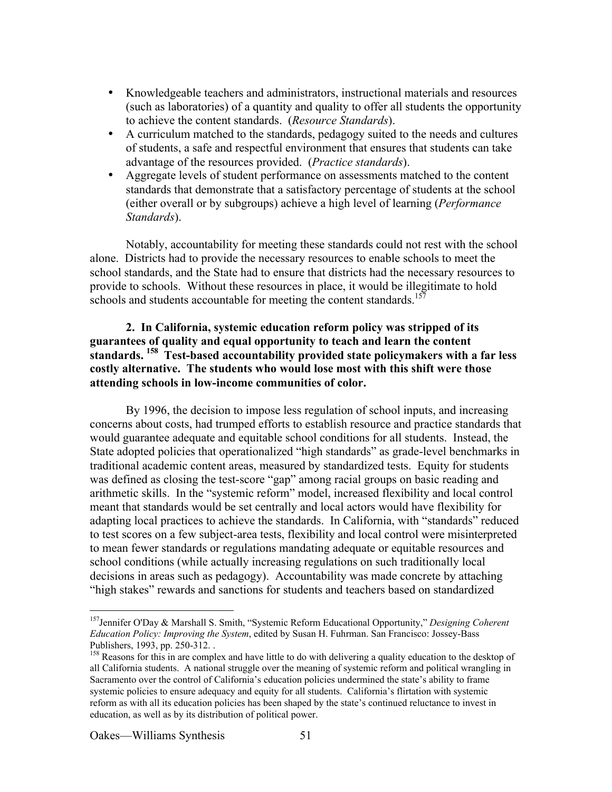Knowledgeable teachers and administrators, instructional materials and resources (such as laboratories) of a quantity and quality to offer all students the opportunity to achieve the content standards. (*Resource Standards*). A curriculum matched to the standards, pedagogy suited to the needs and cultures of students, a safe and respectful environment that ensures that students can take advantage of the resources provided. (*Practice standards*). Aggregate levels of student performance on assessments matched to the content standards that demonstrate that a satisfactory percentage of students at the school (either overall or by subgroups) achieve a high level of learning (*Performance Standards*).

Notably, accountability for meeting these standards could not rest with the school alone. Districts had to provide the necessary resources to enable schools to meet the school standards, and the State had to ensure that districts had the necessary resources to provide to schools. Without these resources in place, it would be illegitimate to hold schools and students accountable for meeting the content standards.<sup>157</sup>

### **2. In California, systemic education reform policy was stripped of its guarantees of quality and equal opportunity to teach and learn the content standards. 158 Test-based accountability provided state policymakers with a far less costly alternative. The students who would lose most with this shift were those attending schools in low-income communities of color.**

By 1996, the decision to impose less regulation of school inputs, and increasing concerns about costs, had trumped efforts to establish resource and practice standards that would guarantee adequate and equitable school conditions for all students. Instead, the State adopted policies that operationalized "high standards" as grade-level benchmarks in traditional academic content areas, measured by standardized tests. Equity for students was defined as closing the test-score "gap" among racial groups on basic reading and arithmetic skills. In the "systemic reform" model, increased flexibility and local control meant that standards would be set centrally and local actors would have flexibility for adapting local practices to achieve the standards. In California, with "standards" reduced to test scores on a few subject-area tests, flexibility and local control were misinterpreted to mean fewer standards or regulations mandating adequate or equitable resources and school conditions (while actually increasing regulations on such traditionally local decisions in areas such as pedagogy). Accountability was made concrete by attaching "high stakes" rewards and sanctions for students and teachers based on standardized

 <sup>157</sup> Jennifer O'Day & Marshall S. Smith, "Systemic Reform Educational Opportunity," *Designing Coherent Education Policy: Improving the System*, edited by Susan H. Fuhrman. San Francisco: Jossey-Bass Publishers, 1993, pp. 250-312. .

<sup>&</sup>lt;sup>158</sup> Reasons for this in are complex and have little to do with delivering a quality education to the desktop of all California students. A national struggle over the meaning of systemic reform and political wrangling in Sacramento over the control of California's education policies undermined the state's ability to frame systemic policies to ensure adequacy and equity for all students. California's flirtation with systemic reform as with all its education policies has been shaped by the state's continued reluctance to invest in education, as well as by its distribution of political power.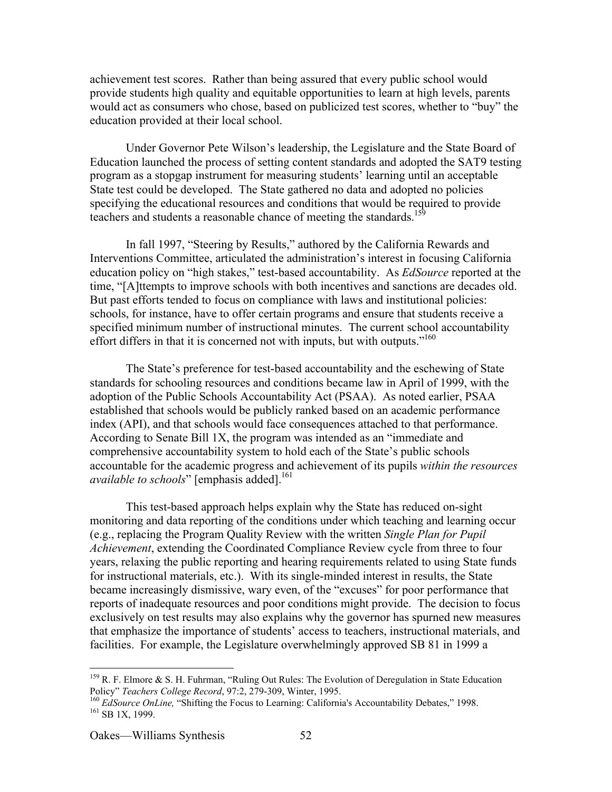achievement test scores. Rather than being assured that every public school would provide students high quality and equitable opportunities to learn at high levels, parents would act as consumers who chose, based on publicized test scores, whether to "buy" the education provided at their local school.

Under Governor Pete Wilson's leadership, the Legislature and the State Board of Education launched the process of setting content standards and adopted the SAT9 testing program as a stopgap instrument for measuring students' learning until an acceptable State test could be developed. The State gathered no data and adopted no policies specifying the educational resources and conditions that would be required to provide teachers and students a reasonable chance of meeting the standards.<sup>159</sup>

In fall 1997, "Steering by Results," authored by the California Rewards and Interventions Committee, articulated the administration's interest in focusing California education policy on "high stakes," test-based accountability. As *EdSource* reported at the time, "[A]ttempts to improve schools with both incentives and sanctions are decades old. But past efforts tended to focus on compliance with laws and institutional policies: schools, for instance, have to offer certain programs and ensure that students receive a specified minimum number of instructional minutes. The current school accountability effort differs in that it is concerned not with inputs, but with outputs."<sup>160</sup>

The State's preference for test-based accountability and the eschewing of State standards for schooling resources and conditions became law in April of 1999, with the adoption of the Public Schools Accountability Act (PSAA). As noted earlier, PSAA established that schools would be publicly ranked based on an academic performance index (API), and that schools would face consequences attached to that performance. According to Senate Bill 1X, the program was intended as an "immediate and comprehensive accountability system to hold each of the State's public schools accountable for the academic progress and achievement of its pupils *within the resources available to schools*" [emphasis added].<sup>161</sup>

This test-based approach helps explain why the State has reduced on-sight monitoring and data reporting of the conditions under which teaching and learning occur (e.g., replacing the Program Quality Review with the written *Single Plan for Pupil Achievement*, extending the Coordinated Compliance Review cycle from three to four years, relaxing the public reporting and hearing requirements related to using State funds for instructional materials, etc.). With its single-minded interest in results, the State became increasingly dismissive, wary even, of the "excuses" for poor performance that reports of inadequate resources and poor conditions might provide. The decision to focus exclusively on test results may also explains why the governor has spurned new measures that emphasize the importance of students' access to teachers, instructional materials, and facilities. For example, the Legislature overwhelmingly approved SB 81 in 1999 a

<sup>&</sup>lt;sup>159</sup> R. F. Elmore & S. H. Fuhrman, "Ruling Out Rules: The Evolution of Deregulation in State Education Policy" *Teachers College Record*, 97:2, 279-309, Winter, 1995.<br>
<sup>160</sup> *EdSource OnLine*, "Shifting the Focus to Learning: California's Accountability Debates," 1998.

 $161$  SB 1X, 1999.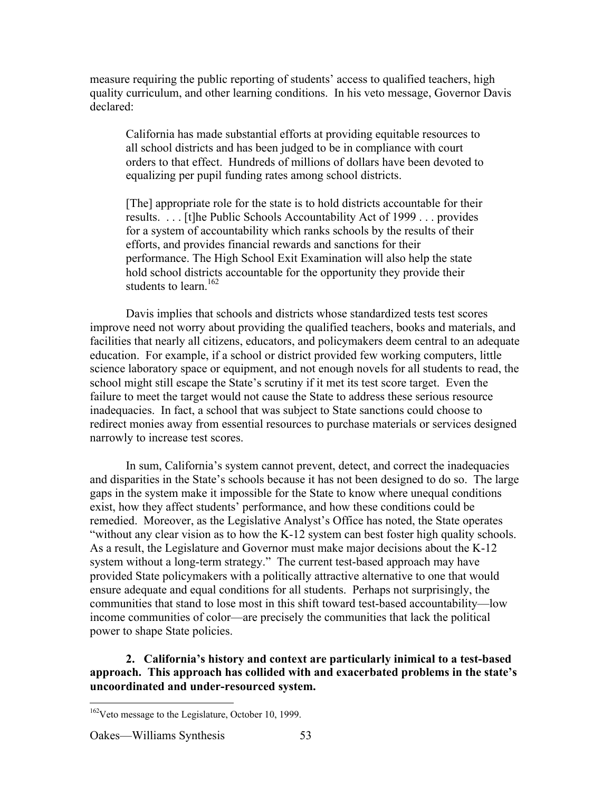measure requiring the public reporting of students' access to qualified teachers, high quality curriculum, and other learning conditions. In his veto message, Governor Davis declared:

California has made substantial efforts at providing equitable resources to all school districts and has been judged to be in compliance with court orders to that effect. Hundreds of millions of dollars have been devoted to equalizing per pupil funding rates among school districts.

[The] appropriate role for the state is to hold districts accountable for their results. . . . [t]he Public Schools Accountability Act of 1999 . . . provides for a system of accountability which ranks schools by the results of their efforts, and provides financial rewards and sanctions for their performance. The High School Exit Examination will also help the state hold school districts accountable for the opportunity they provide their students to learn.<sup>162</sup>

Davis implies that schools and districts whose standardized tests test scores improve need not worry about providing the qualified teachers, books and materials, and facilities that nearly all citizens, educators, and policymakers deem central to an adequate education. For example, if a school or district provided few working computers, little science laboratory space or equipment, and not enough novels for all students to read, the school might still escape the State's scrutiny if it met its test score target. Even the failure to meet the target would not cause the State to address these serious resource inadequacies. In fact, a school that was subject to State sanctions could choose to redirect monies away from essential resources to purchase materials or services designed narrowly to increase test scores.

In sum, California's system cannot prevent, detect, and correct the inadequacies and disparities in the State's schools because it has not been designed to do so. The large gaps in the system make it impossible for the State to know where unequal conditions exist, how they affect students' performance, and how these conditions could be remedied. Moreover, as the Legislative Analyst's Office has noted, the State operates "without any clear vision as to how the K-12 system can best foster high quality schools. As a result, the Legislature and Governor must make major decisions about the K-12 system without a long-term strategy." The current test-based approach may have provided State policymakers with a politically attractive alternative to one that would ensure adequate and equal conditions for all students. Perhaps not surprisingly, the communities that stand to lose most in this shift toward test-based accountability—low income communities of color—are precisely the communities that lack the political power to shape State policies.

**2. California's history and context are particularly inimical to a test-based approach. This approach has collided with and exacerbated problems in the state's uncoordinated and under-resourced system.**

<sup>&</sup>lt;sup>162</sup>Veto message to the Legislature, October 10, 1999.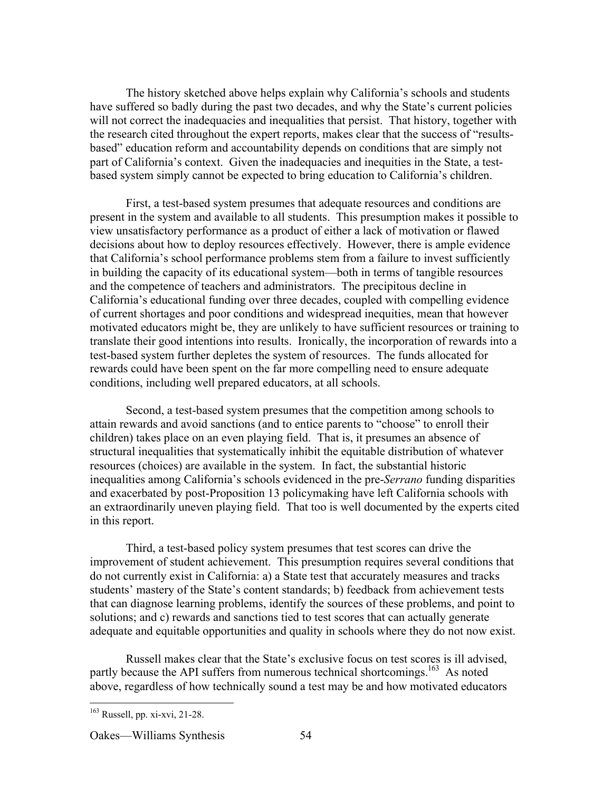The history sketched above helps explain why California's schools and students have suffered so badly during the past two decades, and why the State's current policies will not correct the inadequacies and inequalities that persist. That history, together with the research cited throughout the expert reports, makes clear that the success of "resultsbased" education reform and accountability depends on conditions that are simply not part of California's context. Given the inadequacies and inequities in the State, a testbased system simply cannot be expected to bring education to California's children.

First, a test-based system presumes that adequate resources and conditions are present in the system and available to all students. This presumption makes it possible to view unsatisfactory performance as a product of either a lack of motivation or flawed decisions about how to deploy resources effectively. However, there is ample evidence that California's school performance problems stem from a failure to invest sufficiently in building the capacity of its educational system—both in terms of tangible resources and the competence of teachers and administrators. The precipitous decline in California's educational funding over three decades, coupled with compelling evidence of current shortages and poor conditions and widespread inequities, mean that however motivated educators might be, they are unlikely to have sufficient resources or training to translate their good intentions into results. Ironically, the incorporation of rewards into a test-based system further depletes the system of resources. The funds allocated for rewards could have been spent on the far more compelling need to ensure adequate conditions, including well prepared educators, at all schools.

Second, a test-based system presumes that the competition among schools to attain rewards and avoid sanctions (and to entice parents to "choose" to enroll their children) takes place on an even playing field. That is, it presumes an absence of structural inequalities that systematically inhibit the equitable distribution of whatever resources (choices) are available in the system. In fact, the substantial historic inequalities among California's schools evidenced in the pre-*Serrano* funding disparities and exacerbated by post-Proposition 13 policymaking have left California schools with an extraordinarily uneven playing field. That too is well documented by the experts cited in this report.

Third, a test-based policy system presumes that test scores can drive the improvement of student achievement. This presumption requires several conditions that do not currently exist in California: a) a State test that accurately measures and tracks students' mastery of the State's content standards; b) feedback from achievement tests that can diagnose learning problems, identify the sources of these problems, and point to solutions; and c) rewards and sanctions tied to test scores that can actually generate adequate and equitable opportunities and quality in schools where they do not now exist.

Russell makes clear that the State's exclusive focus on test scores is ill advised, partly because the API suffers from numerous technical shortcomings.<sup>163</sup> As noted above, regardless of how technically sound a test may be and how motivated educators

 <sup>163</sup> Russell, pp. xi-xvi, 21-28.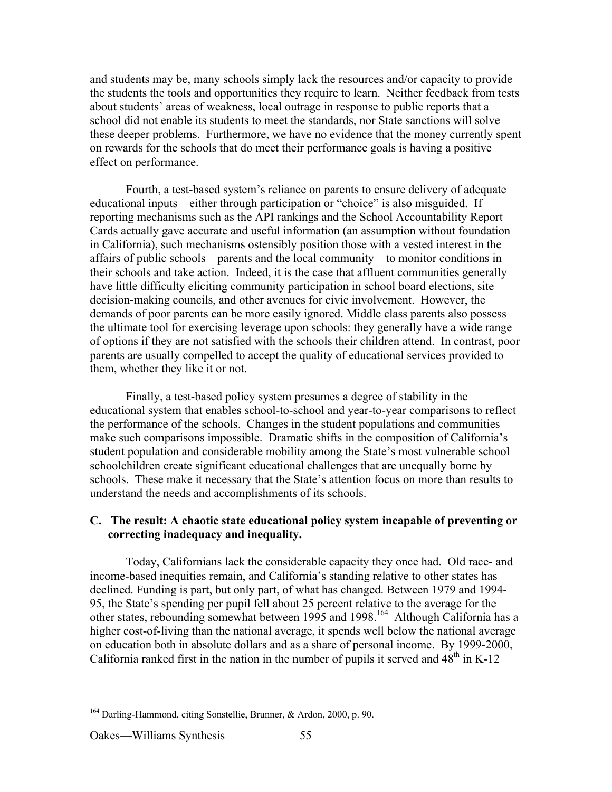and students may be, many schools simply lack the resources and/or capacity to provide the students the tools and opportunities they require to learn. Neither feedback from tests about students' areas of weakness, local outrage in response to public reports that a school did not enable its students to meet the standards, nor State sanctions will solve these deeper problems. Furthermore, we have no evidence that the money currently spent on rewards for the schools that do meet their performance goals is having a positive effect on performance.

Fourth, a test-based system's reliance on parents to ensure delivery of adequate educational inputs—either through participation or "choice" is also misguided. If reporting mechanisms such as the API rankings and the School Accountability Report Cards actually gave accurate and useful information (an assumption without foundation in California), such mechanisms ostensibly position those with a vested interest in the affairs of public schools—parents and the local community—to monitor conditions in their schools and take action. Indeed, it is the case that affluent communities generally have little difficulty eliciting community participation in school board elections, site decision-making councils, and other avenues for civic involvement. However, the demands of poor parents can be more easily ignored. Middle class parents also possess the ultimate tool for exercising leverage upon schools: they generally have a wide range of options if they are not satisfied with the schools their children attend. In contrast, poor parents are usually compelled to accept the quality of educational services provided to them, whether they like it or not.

Finally, a test-based policy system presumes a degree of stability in the educational system that enables school-to-school and year-to-year comparisons to reflect the performance of the schools. Changes in the student populations and communities make such comparisons impossible. Dramatic shifts in the composition of California's student population and considerable mobility among the State's most vulnerable school schoolchildren create significant educational challenges that are unequally borne by schools. These make it necessary that the State's attention focus on more than results to understand the needs and accomplishments of its schools.

### **C. The result: A chaotic state educational policy system incapable of preventing or correcting inadequacy and inequality.**

Today, Californians lack the considerable capacity they once had. Old race- and income-based inequities remain, and California's standing relative to other states has declined. Funding is part, but only part, of what has changed. Between 1979 and 1994- 95, the State's spending per pupil fell about 25 percent relative to the average for the other states, rebounding somewhat between 1995 and 1998.<sup>164</sup> Although California has a higher cost-of-living than the national average, it spends well below the national average on education both in absolute dollars and as a share of personal income. By 1999-2000, California ranked first in the nation in the number of pupils it served and  $48<sup>th</sup>$  in K-12

 <sup>164</sup> Darling-Hammond, citing Sonstellie, Brunner, & Ardon, 2000, p. 90.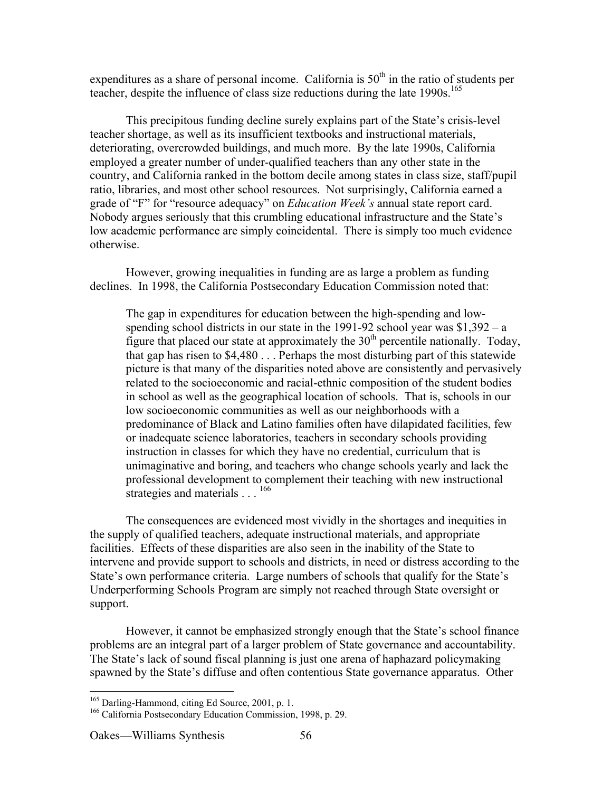expenditures as a share of personal income. California is  $50<sup>th</sup>$  in the ratio of students per teacher, despite the influence of class size reductions during the late  $1990s$ <sup>165</sup>

This precipitous funding decline surely explains part of the State's crisis-level teacher shortage, as well as its insufficient textbooks and instructional materials, deteriorating, overcrowded buildings, and much more. By the late 1990s, California employed a greater number of under-qualified teachers than any other state in the country, and California ranked in the bottom decile among states in class size, staff/pupil ratio, libraries, and most other school resources. Not surprisingly, California earned a grade of "F" for "resource adequacy" on *Education Week's* annual state report card. Nobody argues seriously that this crumbling educational infrastructure and the State's low academic performance are simply coincidental. There is simply too much evidence otherwise.

However, growing inequalities in funding are as large a problem as funding declines. In 1998, the California Postsecondary Education Commission noted that:

The gap in expenditures for education between the high-spending and lowspending school districts in our state in the 1991-92 school year was  $$1,392 - a$ figure that placed our state at approximately the  $30<sup>th</sup>$  percentile nationally. Today, that gap has risen to \$4,480 . . . Perhaps the most disturbing part of this statewide picture is that many of the disparities noted above are consistently and pervasively related to the socioeconomic and racial-ethnic composition of the student bodies in school as well as the geographical location of schools. That is, schools in our low socioeconomic communities as well as our neighborhoods with a predominance of Black and Latino families often have dilapidated facilities, few or inadequate science laboratories, teachers in secondary schools providing instruction in classes for which they have no credential, curriculum that is unimaginative and boring, and teachers who change schools yearly and lack the professional development to complement their teaching with new instructional strategies and materials . . . <sup>166</sup>

The consequences are evidenced most vividly in the shortages and inequities in the supply of qualified teachers, adequate instructional materials, and appropriate facilities. Effects of these disparities are also seen in the inability of the State to intervene and provide support to schools and districts, in need or distress according to the State's own performance criteria. Large numbers of schools that qualify for the State's Underperforming Schools Program are simply not reached through State oversight or support.

However, it cannot be emphasized strongly enough that the State's school finance problems are an integral part of a larger problem of State governance and accountability. The State's lack of sound fiscal planning is just one arena of haphazard policymaking spawned by the State's diffuse and often contentious State governance apparatus. Other

 <sup>165</sup>  $\frac{165}{166}$  Darling-Hammond, citing Ed Source, 2001, p. 1.<br> $\frac{166}{166}$  Colifornia Bostosoondary Education Commission

<sup>&</sup>lt;sup>166</sup> California Postsecondary Education Commission, 1998, p. 29.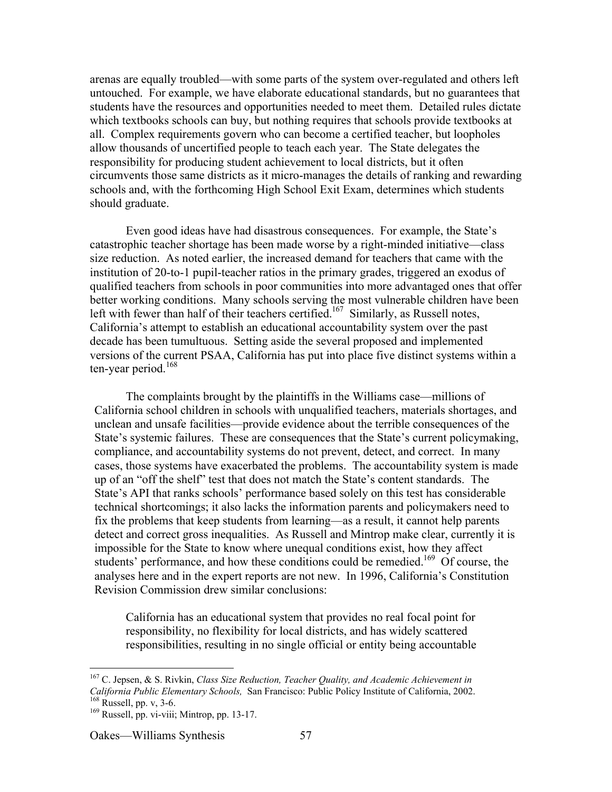arenas are equally troubled—with some parts of the system over-regulated and others left untouched. For example, we have elaborate educational standards, but no guarantees that students have the resources and opportunities needed to meet them. Detailed rules dictate which textbooks schools can buy, but nothing requires that schools provide textbooks at all. Complex requirements govern who can become a certified teacher, but loopholes allow thousands of uncertified people to teach each year. The State delegates the responsibility for producing student achievement to local districts, but it often circumvents those same districts as it micro-manages the details of ranking and rewarding schools and, with the forthcoming High School Exit Exam, determines which students should graduate.

Even good ideas have had disastrous consequences. For example, the State's catastrophic teacher shortage has been made worse by a right-minded initiative—class size reduction. As noted earlier, the increased demand for teachers that came with the institution of 20-to-1 pupil-teacher ratios in the primary grades, triggered an exodus of qualified teachers from schools in poor communities into more advantaged ones that offer better working conditions. Many schools serving the most vulnerable children have been left with fewer than half of their teachers certified.<sup>167</sup> Similarly, as Russell notes, California's attempt to establish an educational accountability system over the past decade has been tumultuous. Setting aside the several proposed and implemented versions of the current PSAA, California has put into place five distinct systems within a ten-year period.<sup>168</sup>

The complaints brought by the plaintiffs in the Williams case—millions of California school children in schools with unqualified teachers, materials shortages, and unclean and unsafe facilities—provide evidence about the terrible consequences of the State's systemic failures. These are consequences that the State's current policymaking, compliance, and accountability systems do not prevent, detect, and correct. In many cases, those systems have exacerbated the problems. The accountability system is made up of an "off the shelf" test that does not match the State's content standards. The State's API that ranks schools' performance based solely on this test has considerable technical shortcomings; it also lacks the information parents and policymakers need to fix the problems that keep students from learning—as a result, it cannot help parents detect and correct gross inequalities. As Russell and Mintrop make clear, currently it is impossible for the State to know where unequal conditions exist, how they affect students' performance, and how these conditions could be remedied.<sup>169</sup> Of course, the analyses here and in the expert reports are not new. In 1996, California's Constitution Revision Commission drew similar conclusions:

California has an educational system that provides no real focal point for responsibility, no flexibility for local districts, and has widely scattered responsibilities, resulting in no single official or entity being accountable

 <sup>167</sup> C. Jepsen, & S. Rivkin, *Class Size Reduction, Teacher Quality, and Academic Achievement in California Public Elementary Schools,* San Francisco: Public Policy Institute of California, 2002. <sup>168</sup>  $168$  Russell, pp. v, 3-6.

 $169$  Russell, pp. vi-viii; Mintrop, pp. 13-17.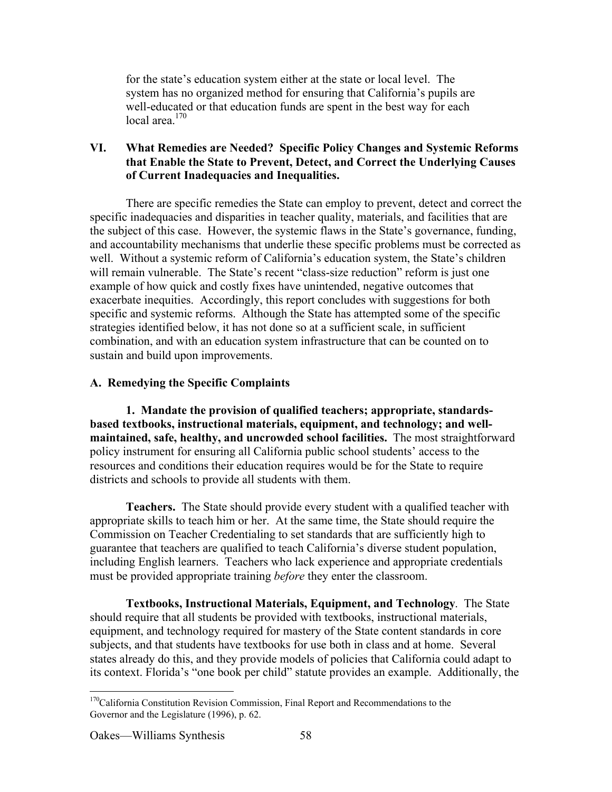for the state's education system either at the state or local level. The system has no organized method for ensuring that California's pupils are well-educated or that education funds are spent in the best way for each local area.<sup>170</sup>

# **VI. What Remedies are Needed? Specific Policy Changes and Systemic Reforms that Enable the State to Prevent, Detect, and Correct the Underlying Causes of Current Inadequacies and Inequalities.**

There are specific remedies the State can employ to prevent, detect and correct the specific inadequacies and disparities in teacher quality, materials, and facilities that are the subject of this case. However, the systemic flaws in the State's governance, funding, and accountability mechanisms that underlie these specific problems must be corrected as well. Without a systemic reform of California's education system, the State's children will remain vulnerable. The State's recent "class-size reduction" reform is just one example of how quick and costly fixes have unintended, negative outcomes that exacerbate inequities. Accordingly, this report concludes with suggestions for both specific and systemic reforms. Although the State has attempted some of the specific strategies identified below, it has not done so at a sufficient scale, in sufficient combination, and with an education system infrastructure that can be counted on to sustain and build upon improvements.

# **A. Remedying the Specific Complaints**

**1. Mandate the provision of qualified teachers; appropriate, standardsbased textbooks, instructional materials, equipment, and technology; and wellmaintained, safe, healthy, and uncrowded school facilities.** The most straightforward policy instrument for ensuring all California public school students' access to the resources and conditions their education requires would be for the State to require districts and schools to provide all students with them.

**Teachers.** The State should provide every student with a qualified teacher with appropriate skills to teach him or her. At the same time, the State should require the Commission on Teacher Credentialing to set standards that are sufficiently high to guarantee that teachers are qualified to teach California's diverse student population, including English learners. Teachers who lack experience and appropriate credentials must be provided appropriate training *before* they enter the classroom.

**Textbooks, Instructional Materials, Equipment, and Technology**. The State should require that all students be provided with textbooks, instructional materials, equipment, and technology required for mastery of the State content standards in core subjects, and that students have textbooks for use both in class and at home. Several states already do this, and they provide models of policies that California could adapt to its context. Florida's "one book per child" statute provides an example. Additionally, the

<sup>&</sup>lt;sup>170</sup>California Constitution Revision Commission, Final Report and Recommendations to the Governor and the Legislature (1996), p. 62.

Oakes—Williams Synthesis 58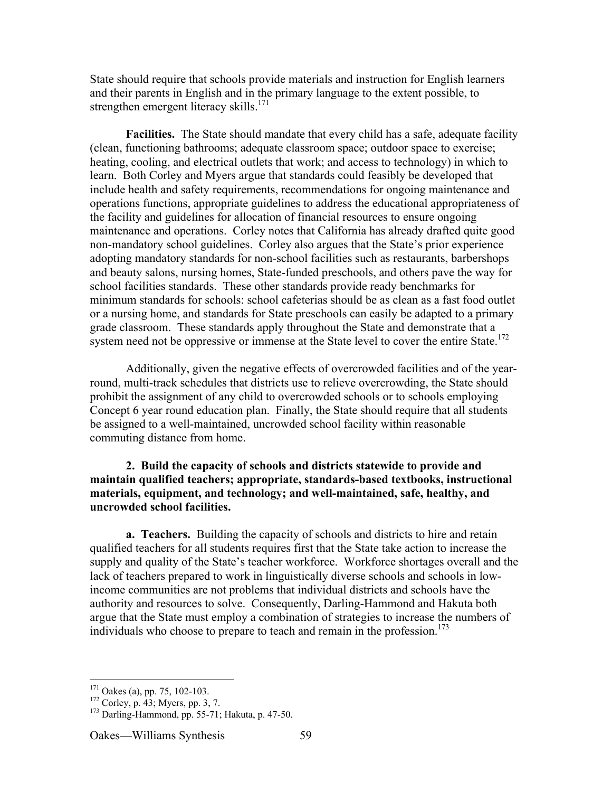State should require that schools provide materials and instruction for English learners and their parents in English and in the primary language to the extent possible, to strengthen emergent literacy skills.<sup>171</sup>

**Facilities.** The State should mandate that every child has a safe, adequate facility (clean, functioning bathrooms; adequate classroom space; outdoor space to exercise; heating, cooling, and electrical outlets that work; and access to technology) in which to learn. Both Corley and Myers argue that standards could feasibly be developed that include health and safety requirements, recommendations for ongoing maintenance and operations functions, appropriate guidelines to address the educational appropriateness of the facility and guidelines for allocation of financial resources to ensure ongoing maintenance and operations. Corley notes that California has already drafted quite good non-mandatory school guidelines. Corley also argues that the State's prior experience adopting mandatory standards for non-school facilities such as restaurants, barbershops and beauty salons, nursing homes, State-funded preschools, and others pave the way for school facilities standards. These other standards provide ready benchmarks for minimum standards for schools: school cafeterias should be as clean as a fast food outlet or a nursing home, and standards for State preschools can easily be adapted to a primary grade classroom. These standards apply throughout the State and demonstrate that a system need not be oppressive or immense at the State level to cover the entire State.<sup>172</sup>

Additionally, given the negative effects of overcrowded facilities and of the yearround, multi-track schedules that districts use to relieve overcrowding, the State should prohibit the assignment of any child to overcrowded schools or to schools employing Concept 6 year round education plan. Finally, the State should require that all students be assigned to a well-maintained, uncrowded school facility within reasonable commuting distance from home.

**2. Build the capacity of schools and districts statewide to provide and maintain qualified teachers; appropriate, standards-based textbooks, instructional materials, equipment, and technology; and well-maintained, safe, healthy, and uncrowded school facilities.**

**a. Teachers.** Building the capacity of schools and districts to hire and retain qualified teachers for all students requires first that the State take action to increase the supply and quality of the State's teacher workforce. Workforce shortages overall and the lack of teachers prepared to work in linguistically diverse schools and schools in lowincome communities are not problems that individual districts and schools have the authority and resources to solve. Consequently, Darling-Hammond and Hakuta both argue that the State must employ a combination of strategies to increase the numbers of individuals who choose to prepare to teach and remain in the profession.<sup>173</sup>

<sup>&</sup>lt;sup>171</sup> <sup>1/1</sup> Oakes (a), pp. 75, 102-103.<br><sup>172</sup> Corley n. 43: Myors np. 3.

 $172$  Corley, p. 43; Myers, pp. 3, 7.

 $173$  Darling-Hammond, pp. 55-71; Hakuta, p. 47-50.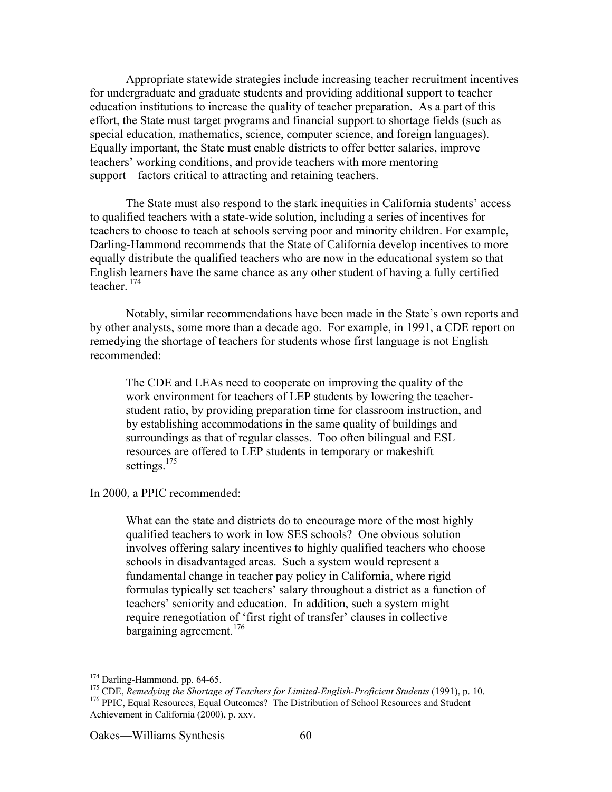Appropriate statewide strategies include increasing teacher recruitment incentives for undergraduate and graduate students and providing additional support to teacher education institutions to increase the quality of teacher preparation. As a part of this effort, the State must target programs and financial support to shortage fields (such as special education, mathematics, science, computer science, and foreign languages). Equally important, the State must enable districts to offer better salaries, improve teachers' working conditions, and provide teachers with more mentoring support—factors critical to attracting and retaining teachers.

The State must also respond to the stark inequities in California students' access to qualified teachers with a state-wide solution, including a series of incentives for teachers to choose to teach at schools serving poor and minority children. For example, Darling-Hammond recommends that the State of California develop incentives to more equally distribute the qualified teachers who are now in the educational system so that English learners have the same chance as any other student of having a fully certified teacher. <sup>174</sup>

Notably, similar recommendations have been made in the State's own reports and by other analysts, some more than a decade ago. For example, in 1991, a CDE report on remedying the shortage of teachers for students whose first language is not English recommended:

The CDE and LEAs need to cooperate on improving the quality of the work environment for teachers of LEP students by lowering the teacherstudent ratio, by providing preparation time for classroom instruction, and by establishing accommodations in the same quality of buildings and surroundings as that of regular classes. Too often bilingual and ESL resources are offered to LEP students in temporary or makeshift settings.<sup>175</sup>

In 2000, a PPIC recommended:

What can the state and districts do to encourage more of the most highly qualified teachers to work in low SES schools? One obvious solution involves offering salary incentives to highly qualified teachers who choose schools in disadvantaged areas. Such a system would represent a fundamental change in teacher pay policy in California, where rigid formulas typically set teachers' salary throughout a district as a function of teachers' seniority and education. In addition, such a system might require renegotiation of 'first right of transfer' clauses in collective bargaining agreement.<sup>176</sup>

<sup>&</sup>lt;sup>174</sup> Darling-Hammond, pp. 64-65.  $^{1/4}$  Darling-Hammond, pp. 64-65.

<sup>&</sup>lt;sup>1/3</sup> CDE, *Remedying the Shortage of Teachers for Limited-English-Proficient Students* (1991), p. 10.<br><sup>176</sup> BDIC, Equal Becourage, Equal Outcomes?, The Distribution of School Becourage and Student. <sup>176</sup> PPIC, Equal Resources, Equal Outcomes? The Distribution of School Resources and Student Achievement in California (2000), p. xxv.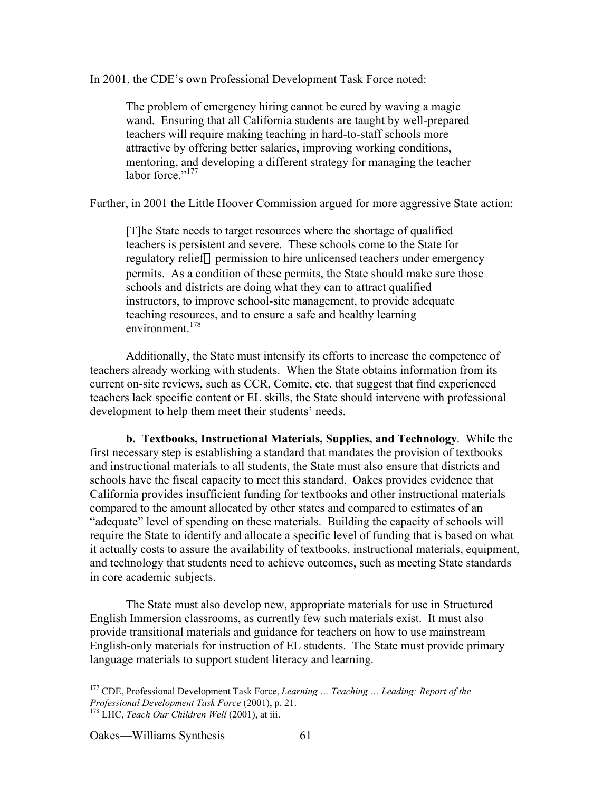In 2001, the CDE's own Professional Development Task Force noted:

The problem of emergency hiring cannot be cured by waving a magic wand. Ensuring that all California students are taught by well-prepared teachers will require making teaching in hard-to-staff schools more attractive by offering better salaries, improving working conditions, mentoring, and developing a different strategy for managing the teacher labor force $"$ <sup>177</sup>

Further, in 2001 the Little Hoover Commission argued for more aggressive State action:

[T]he State needs to target resources where the shortage of qualified teachers is persistent and severe. These schools come to the State for regulatory relief—permission to hire unlicensed teachers under emergency permits. As a condition of these permits, the State should make sure those schools and districts are doing what they can to attract qualified instructors, to improve school-site management, to provide adequate teaching resources, and to ensure a safe and healthy learning environment<sup>178</sup>

Additionally, the State must intensify its efforts to increase the competence of teachers already working with students. When the State obtains information from its current on-site reviews, such as CCR, Comite, etc. that suggest that find experienced teachers lack specific content or EL skills, the State should intervene with professional development to help them meet their students' needs.

**b. Textbooks, Instructional Materials, Supplies, and Technology**. While the first necessary step is establishing a standard that mandates the provision of textbooks and instructional materials to all students, the State must also ensure that districts and schools have the fiscal capacity to meet this standard. Oakes provides evidence that California provides insufficient funding for textbooks and other instructional materials compared to the amount allocated by other states and compared to estimates of an "adequate" level of spending on these materials. Building the capacity of schools will require the State to identify and allocate a specific level of funding that is based on what it actually costs to assure the availability of textbooks, instructional materials, equipment, and technology that students need to achieve outcomes, such as meeting State standards in core academic subjects.

The State must also develop new, appropriate materials for use in Structured English Immersion classrooms, as currently few such materials exist. It must also provide transitional materials and guidance for teachers on how to use mainstream English-only materials for instruction of EL students. The State must provide primary language materials to support student literacy and learning.

 <sup>177</sup> CDE, Professional Development Task Force, *Learning … Teaching … Leading: Report of the Professional Development Task Force* (2001), p. 21. <sup>178</sup> LHC, *Teach Our Children Well* (2001), at iii.

Oakes—Williams Synthesis 61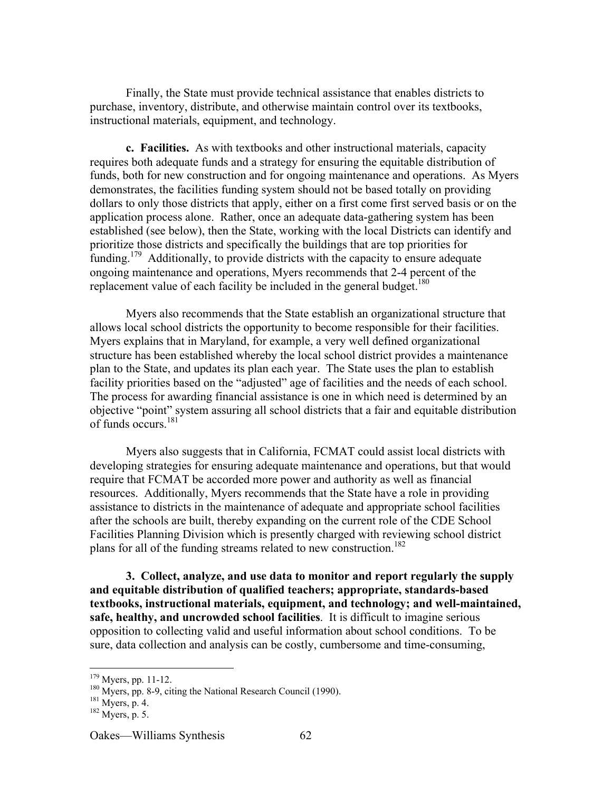Finally, the State must provide technical assistance that enables districts to purchase, inventory, distribute, and otherwise maintain control over its textbooks, instructional materials, equipment, and technology.

**c. Facilities.** As with textbooks and other instructional materials, capacity requires both adequate funds and a strategy for ensuring the equitable distribution of funds, both for new construction and for ongoing maintenance and operations. As Myers demonstrates, the facilities funding system should not be based totally on providing dollars to only those districts that apply, either on a first come first served basis or on the application process alone. Rather, once an adequate data-gathering system has been established (see below), then the State, working with the local Districts can identify and prioritize those districts and specifically the buildings that are top priorities for funding.<sup>179</sup> Additionally, to provide districts with the capacity to ensure adequate ongoing maintenance and operations, Myers recommends that 2-4 percent of the replacement value of each facility be included in the general budget.<sup>180</sup>

Myers also recommends that the State establish an organizational structure that allows local school districts the opportunity to become responsible for their facilities. Myers explains that in Maryland, for example, a very well defined organizational structure has been established whereby the local school district provides a maintenance plan to the State, and updates its plan each year. The State uses the plan to establish facility priorities based on the "adjusted" age of facilities and the needs of each school. The process for awarding financial assistance is one in which need is determined by an objective "point" system assuring all school districts that a fair and equitable distribution of funds occurs.<sup>181</sup>

Myers also suggests that in California, FCMAT could assist local districts with developing strategies for ensuring adequate maintenance and operations, but that would require that FCMAT be accorded more power and authority as well as financial resources. Additionally, Myers recommends that the State have a role in providing assistance to districts in the maintenance of adequate and appropriate school facilities after the schools are built, thereby expanding on the current role of the CDE School Facilities Planning Division which is presently charged with reviewing school district plans for all of the funding streams related to new construction.<sup>182</sup>

**3. Collect, analyze, and use data to monitor and report regularly the supply and equitable distribution of qualified teachers; appropriate, standards-based textbooks, instructional materials, equipment, and technology; and well-maintained, safe, healthy, and uncrowded school facilities**. It is difficult to imagine serious opposition to collecting valid and useful information about school conditions. To be sure, data collection and analysis can be costly, cumbersome and time-consuming,

<sup>&</sup>lt;sup>179</sup>  $^{1/9}$  Myers, pp. 11-12.

 $^{180}$  Myers, pp. 8-9, citing the National Research Council (1990).

 $^{181}$  Myers, p. 4.

 $^{182}$  Myers, p. 5.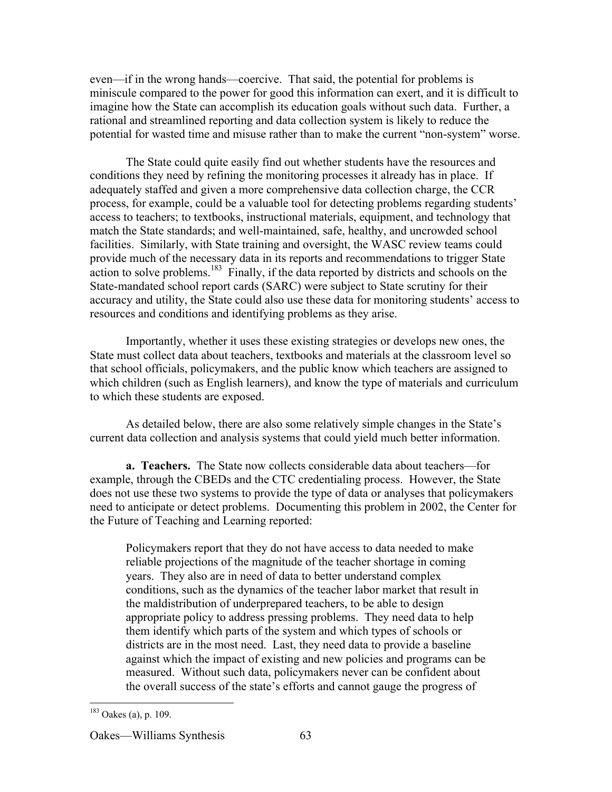even—if in the wrong hands—coercive. That said, the potential for problems is miniscule compared to the power for good this information can exert, and it is difficult to imagine how the State can accomplish its education goals without such data. Further, a rational and streamlined reporting and data collection system is likely to reduce the potential for wasted time and misuse rather than to make the current "non-system" worse.

The State could quite easily find out whether students have the resources and conditions they need by refining the monitoring processes it already has in place. If adequately staffed and given a more comprehensive data collection charge, the CCR process, for example, could be a valuable tool for detecting problems regarding students' access to teachers; to textbooks, instructional materials, equipment, and technology that match the State standards; and well-maintained, safe, healthy, and uncrowded school facilities. Similarly, with State training and oversight, the WASC review teams could provide much of the necessary data in its reports and recommendations to trigger State  $\frac{1}{2}$  action to solve problems.<sup>183</sup> Finally, if the data reported by districts and schools on the State-mandated school report cards (SARC) were subject to State scrutiny for their accuracy and utility, the State could also use these data for monitoring students' access to resources and conditions and identifying problems as they arise.

Importantly, whether it uses these existing strategies or develops new ones, the State must collect data about teachers, textbooks and materials at the classroom level so that school officials, policymakers, and the public know which teachers are assigned to which children (such as English learners), and know the type of materials and curriculum to which these students are exposed.

As detailed below, there are also some relatively simple changes in the State's current data collection and analysis systems that could yield much better information.

**a. Teachers.** The State now collects considerable data about teachers—for example, through the CBEDs and the CTC credentialing process. However, the State does not use these two systems to provide the type of data or analyses that policymakers need to anticipate or detect problems. Documenting this problem in 2002, the Center for the Future of Teaching and Learning reported:

Policymakers report that they do not have access to data needed to make reliable projections of the magnitude of the teacher shortage in coming years. They also are in need of data to better understand complex conditions, such as the dynamics of the teacher labor market that result in the maldistribution of underprepared teachers, to be able to design appropriate policy to address pressing problems. They need data to help them identify which parts of the system and which types of schools or districts are in the most need. Last, they need data to provide a baseline against which the impact of existing and new policies and programs can be measured. Without such data, policymakers never can be confident about the overall success of the state's efforts and cannot gauge the progress of

 $183$  Oakes (a), p. 109.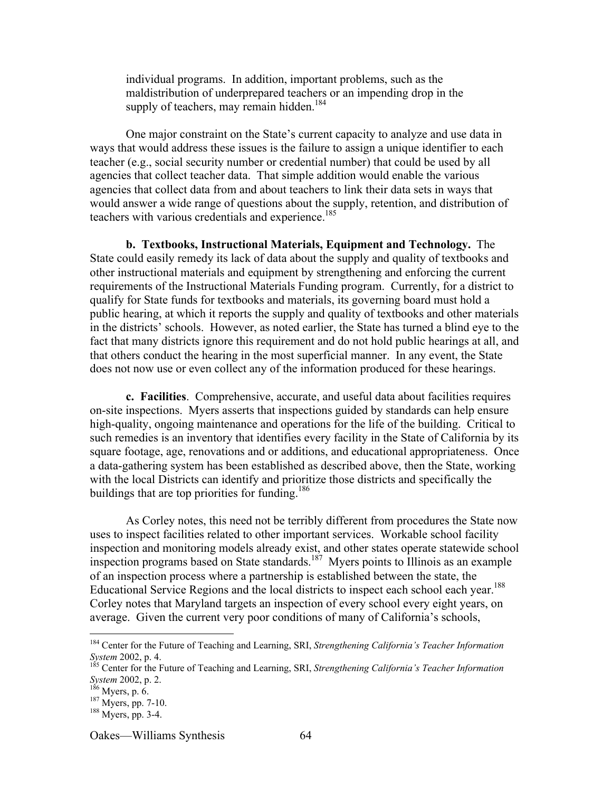individual programs. In addition, important problems, such as the maldistribution of underprepared teachers or an impending drop in the supply of teachers, may remain hidden.<sup>184</sup>

One major constraint on the State's current capacity to analyze and use data in ways that would address these issues is the failure to assign a unique identifier to each teacher (e.g., social security number or credential number) that could be used by all agencies that collect teacher data. That simple addition would enable the various agencies that collect data from and about teachers to link their data sets in ways that would answer a wide range of questions about the supply, retention, and distribution of teachers with various credentials and experience.<sup>185</sup>

**b. Textbooks, Instructional Materials, Equipment and Technology.** The State could easily remedy its lack of data about the supply and quality of textbooks and other instructional materials and equipment by strengthening and enforcing the current requirements of the Instructional Materials Funding program. Currently, for a district to qualify for State funds for textbooks and materials, its governing board must hold a public hearing, at which it reports the supply and quality of textbooks and other materials in the districts' schools. However, as noted earlier, the State has turned a blind eye to the fact that many districts ignore this requirement and do not hold public hearings at all, and that others conduct the hearing in the most superficial manner. In any event, the State does not now use or even collect any of the information produced for these hearings.

**c. Facilities**. Comprehensive, accurate, and useful data about facilities requires on-site inspections. Myers asserts that inspections guided by standards can help ensure high-quality, ongoing maintenance and operations for the life of the building. Critical to such remedies is an inventory that identifies every facility in the State of California by its square footage, age, renovations and or additions, and educational appropriateness. Once a data-gathering system has been established as described above, then the State, working with the local Districts can identify and prioritize those districts and specifically the buildings that are top priorities for funding.<sup>186</sup>

As Corley notes, this need not be terribly different from procedures the State now uses to inspect facilities related to other important services. Workable school facility inspection and monitoring models already exist, and other states operate statewide school inspection programs based on State standards.<sup>187</sup> Myers points to Illinois as an example of an inspection process where a partnership is established between the state, the Educational Service Regions and the local districts to inspect each school each year.<sup>188</sup> Corley notes that Maryland targets an inspection of every school every eight years, on average. Given the current very poor conditions of many of California's schools,

 <sup>184</sup> Center for the Future of Teaching and Learning, SRI, *Strengthening California's Teacher Information System* 2002, p. 4.

<sup>&</sup>lt;sup>185</sup> Center for the Future of Teaching and Learning, SRI, *Strengthening California's Teacher Information System* 2002, p. 2.

 $^{186}$  Myers, p. 6.<br> $^{187}$  Myers, pp. 2

 $^{187}$  Myers, pp. 7-10.

<sup>&</sup>lt;sup>188</sup> Myers, pp. 3-4.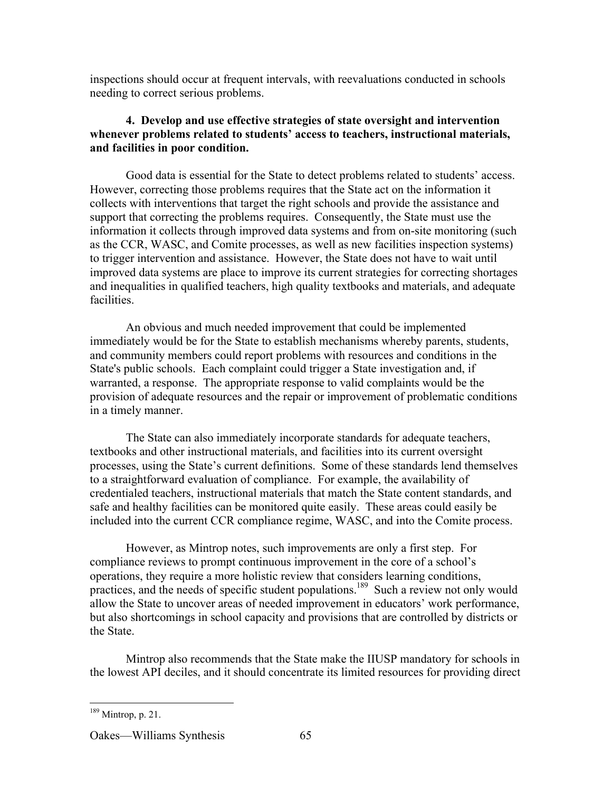inspections should occur at frequent intervals, with reevaluations conducted in schools needing to correct serious problems.

## **4. Develop and use effective strategies of state oversight and intervention whenever problems related to students' access to teachers, instructional materials, and facilities in poor condition.**

Good data is essential for the State to detect problems related to students' access. However, correcting those problems requires that the State act on the information it collects with interventions that target the right schools and provide the assistance and support that correcting the problems requires. Consequently, the State must use the information it collects through improved data systems and from on-site monitoring (such as the CCR, WASC, and Comite processes, as well as new facilities inspection systems) to trigger intervention and assistance. However, the State does not have to wait until improved data systems are place to improve its current strategies for correcting shortages and inequalities in qualified teachers, high quality textbooks and materials, and adequate facilities.

An obvious and much needed improvement that could be implemented immediately would be for the State to establish mechanisms whereby parents, students, and community members could report problems with resources and conditions in the State's public schools. Each complaint could trigger a State investigation and, if warranted, a response. The appropriate response to valid complaints would be the provision of adequate resources and the repair or improvement of problematic conditions in a timely manner.

The State can also immediately incorporate standards for adequate teachers, textbooks and other instructional materials, and facilities into its current oversight processes, using the State's current definitions. Some of these standards lend themselves to a straightforward evaluation of compliance. For example, the availability of credentialed teachers, instructional materials that match the State content standards, and safe and healthy facilities can be monitored quite easily. These areas could easily be included into the current CCR compliance regime, WASC, and into the Comite process.

However, as Mintrop notes, such improvements are only a first step. For compliance reviews to prompt continuous improvement in the core of a school's operations, they require a more holistic review that considers learning conditions, practices, and the needs of specific student populations.<sup>189</sup> Such a review not only would allow the State to uncover areas of needed improvement in educators' work performance, but also shortcomings in school capacity and provisions that are controlled by districts or the State.

Mintrop also recommends that the State make the IIUSP mandatory for schools in the lowest API deciles, and it should concentrate its limited resources for providing direct

 $189$  Mintrop, p. 21.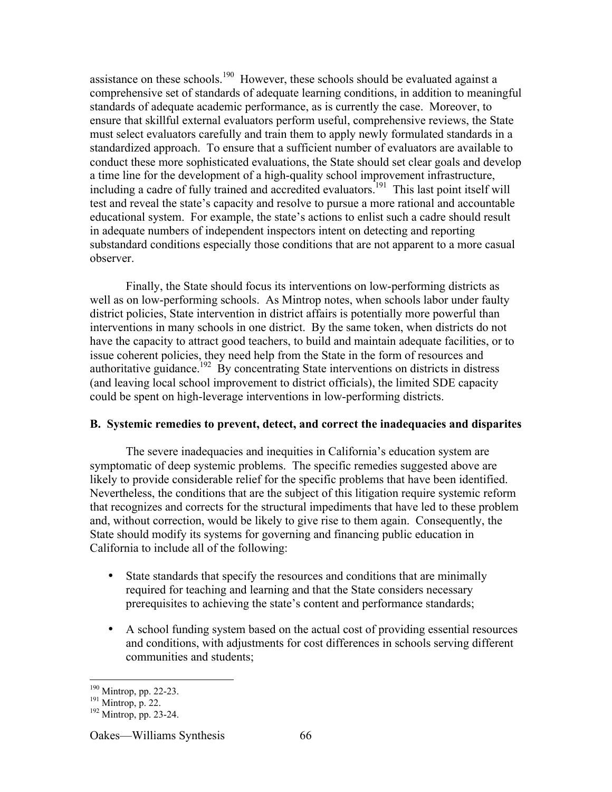assistance on these schools.<sup>190</sup> However, these schools should be evaluated against a comprehensive set of standards of adequate learning conditions, in addition to meaningful standards of adequate academic performance, as is currently the case. Moreover, to ensure that skillful external evaluators perform useful, comprehensive reviews, the State must select evaluators carefully and train them to apply newly formulated standards in a standardized approach. To ensure that a sufficient number of evaluators are available to conduct these more sophisticated evaluations, the State should set clear goals and develop a time line for the development of a high-quality school improvement infrastructure, including a cadre of fully trained and accredited evaluators.<sup>191</sup> This last point itself will test and reveal the state's capacity and resolve to pursue a more rational and accountable educational system. For example, the state's actions to enlist such a cadre should result in adequate numbers of independent inspectors intent on detecting and reporting substandard conditions especially those conditions that are not apparent to a more casual observer.

Finally, the State should focus its interventions on low-performing districts as well as on low-performing schools. As Mintrop notes, when schools labor under faulty district policies, State intervention in district affairs is potentially more powerful than interventions in many schools in one district. By the same token, when districts do not have the capacity to attract good teachers, to build and maintain adequate facilities, or to issue coherent policies, they need help from the State in the form of resources and authoritative guidance.<sup>192</sup> By concentrating State interventions on districts in distress (and leaving local school improvement to district officials), the limited SDE capacity could be spent on high-leverage interventions in low-performing districts.

### **B. Systemic remedies to prevent, detect, and correct the inadequacies and disparites**

The severe inadequacies and inequities in California's education system are symptomatic of deep systemic problems. The specific remedies suggested above are likely to provide considerable relief for the specific problems that have been identified. Nevertheless, the conditions that are the subject of this litigation require systemic reform that recognizes and corrects for the structural impediments that have led to these problem and, without correction, would be likely to give rise to them again. Consequently, the State should modify its systems for governing and financing public education in California to include all of the following:

State standards that specify the resources and conditions that are minimally required for teaching and learning and that the State considers necessary prerequisites to achieving the state's content and performance standards;

A school funding system based on the actual cost of providing essential resources and conditions, with adjustments for cost differences in schools serving different communities and students;

<sup>&</sup>lt;sup>190</sup>  $^{190}$  Mintrop, pp. 22-23.

 $^{191}$  Mintrop, p. 22.

 $192$  Mintrop, pp. 23-24.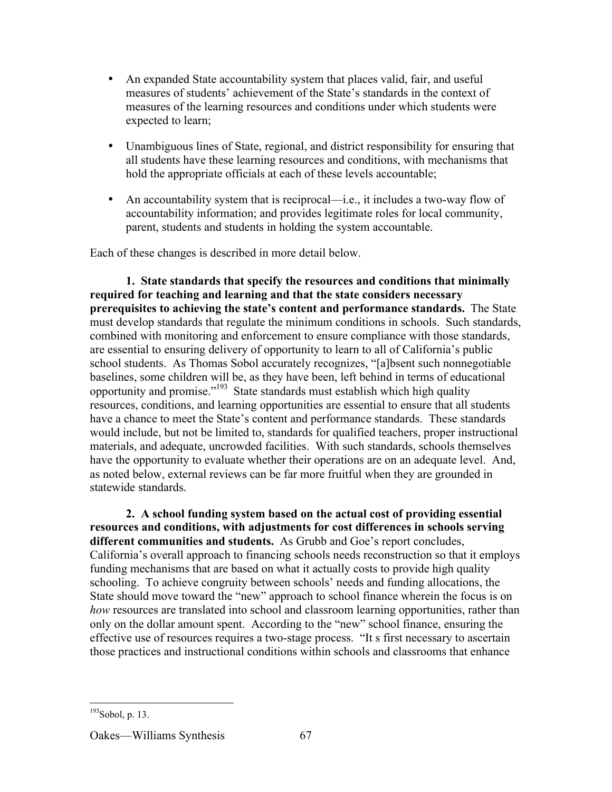An expanded State accountability system that places valid, fair, and useful measures of students' achievement of the State's standards in the context of measures of the learning resources and conditions under which students were expected to learn;

Unambiguous lines of State, regional, and district responsibility for ensuring that all students have these learning resources and conditions, with mechanisms that hold the appropriate officials at each of these levels accountable;

An accountability system that is reciprocal—i.e., it includes a two-way flow of accountability information; and provides legitimate roles for local community, parent, students and students in holding the system accountable.

Each of these changes is described in more detail below.

**1. State standards that specify the resources and conditions that minimally required for teaching and learning and that the state considers necessary prerequisites to achieving the state's content and performance standards.** The State must develop standards that regulate the minimum conditions in schools. Such standards, combined with monitoring and enforcement to ensure compliance with those standards, are essential to ensuring delivery of opportunity to learn to all of California's public school students. As Thomas Sobol accurately recognizes, "[a]bsent such nonnegotiable baselines, some children will be, as they have been, left behind in terms of educational opportunity and promise."<sup>193</sup> State standards must establish which high quality resources, conditions, and learning opportunities are essential to ensure that all students have a chance to meet the State's content and performance standards. These standards would include, but not be limited to, standards for qualified teachers, proper instructional materials, and adequate, uncrowded facilities. With such standards, schools themselves have the opportunity to evaluate whether their operations are on an adequate level. And, as noted below, external reviews can be far more fruitful when they are grounded in statewide standards.

**2. A school funding system based on the actual cost of providing essential resources and conditions, with adjustments for cost differences in schools serving different communities and students.** As Grubb and Goe's report concludes, California's overall approach to financing schools needs reconstruction so that it employs funding mechanisms that are based on what it actually costs to provide high quality schooling. To achieve congruity between schools' needs and funding allocations, the State should move toward the "new" approach to school finance wherein the focus is on *how* resources are translated into school and classroom learning opportunities, rather than only on the dollar amount spent. According to the "new" school finance, ensuring the effective use of resources requires a two-stage process. "It s first necessary to ascertain those practices and instructional conditions within schools and classrooms that enhance

 $193$ Sobol, p. 13.

Oakes—Williams Synthesis 67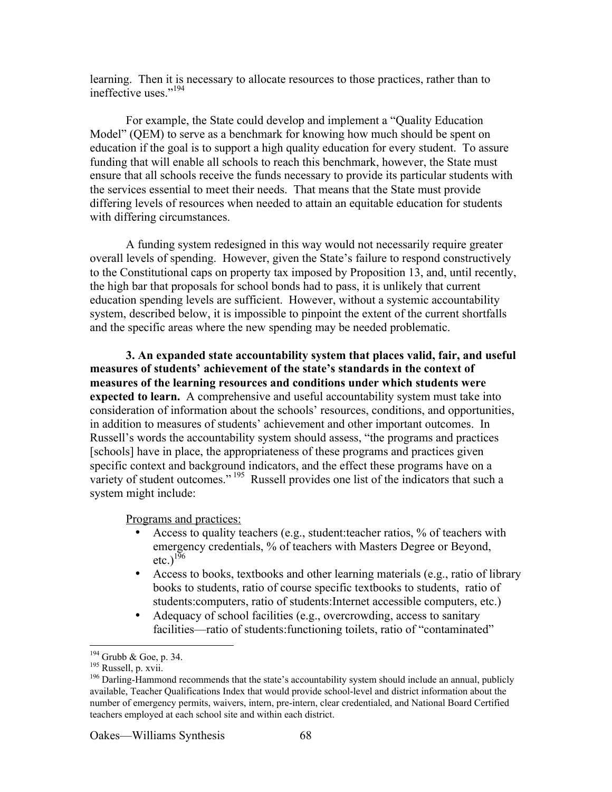learning. Then it is necessary to allocate resources to those practices, rather than to ineffective uses."194

For example, the State could develop and implement a "Quality Education Model" (QEM) to serve as a benchmark for knowing how much should be spent on education if the goal is to support a high quality education for every student. To assure funding that will enable all schools to reach this benchmark, however, the State must ensure that all schools receive the funds necessary to provide its particular students with the services essential to meet their needs. That means that the State must provide differing levels of resources when needed to attain an equitable education for students with differing circumstances.

A funding system redesigned in this way would not necessarily require greater overall levels of spending. However, given the State's failure to respond constructively to the Constitutional caps on property tax imposed by Proposition 13, and, until recently, the high bar that proposals for school bonds had to pass, it is unlikely that current education spending levels are sufficient. However, without a systemic accountability system, described below, it is impossible to pinpoint the extent of the current shortfalls and the specific areas where the new spending may be needed problematic.

**3. An expanded state accountability system that places valid, fair, and useful measures of students' achievement of the state's standards in the context of measures of the learning resources and conditions under which students were expected to learn.** A comprehensive and useful accountability system must take into consideration of information about the schools' resources, conditions, and opportunities, in addition to measures of students' achievement and other important outcomes. In Russell's words the accountability system should assess, "the programs and practices [schools] have in place, the appropriateness of these programs and practices given specific context and background indicators, and the effect these programs have on a variety of student outcomes."<sup>195</sup> Russell provides one list of the indicators that such a system might include:

Programs and practices:

Access to quality teachers (e.g., student:teacher ratios, % of teachers with emergency credentials, % of teachers with Masters Degree or Beyond, etc.) $1\overline{96}$ 

Access to books, textbooks and other learning materials (e.g., ratio of library books to students, ratio of course specific textbooks to students, ratio of students:computers, ratio of students:Internet accessible computers, etc.) Adequacy of school facilities (e.g., overcrowding, access to sanitary facilities—ratio of students:functioning toilets, ratio of "contaminated"

 <sup>194</sup>  $^{194}$  Grubb & Goe, p. 34.

<sup>&</sup>lt;sup>195</sup> Russell, p. xvii.

<sup>&</sup>lt;sup>196</sup> Darling-Hammond recommends that the state's accountability system should include an annual, publicly available, Teacher Qualifications Index that would provide school-level and district information about the number of emergency permits, waivers, intern, pre-intern, clear credentialed, and National Board Certified teachers employed at each school site and within each district.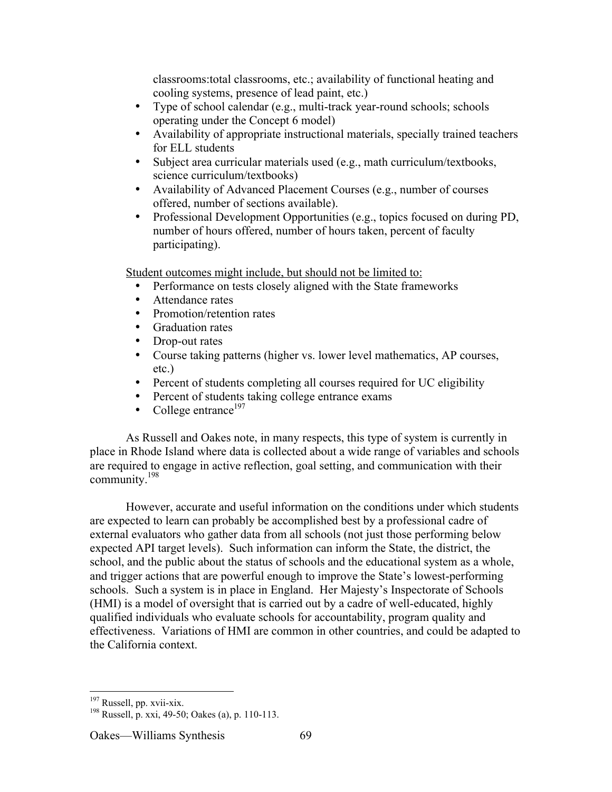classrooms:total classrooms, etc.; availability of functional heating and cooling systems, presence of lead paint, etc.) Type of school calendar (e.g., multi-track year-round schools; schools operating under the Concept 6 model) Availability of appropriate instructional materials, specially trained teachers for ELL students Subject area curricular materials used (e.g., math curriculum/textbooks, science curriculum/textbooks) Availability of Advanced Placement Courses (e.g., number of courses offered, number of sections available). Professional Development Opportunities (e.g., topics focused on during PD, number of hours offered, number of hours taken, percent of faculty participating).

Student outcomes might include, but should not be limited to:

Performance on tests closely aligned with the State frameworks Attendance rates Promotion/retention rates Graduation rates Drop-out rates Course taking patterns (higher vs. lower level mathematics, AP courses, etc.) Percent of students completing all courses required for UC eligibility Percent of students taking college entrance exams College entrance $197$ 

As Russell and Oakes note, in many respects, this type of system is currently in place in Rhode Island where data is collected about a wide range of variables and schools are required to engage in active reflection, goal setting, and communication with their community.198

However, accurate and useful information on the conditions under which students are expected to learn can probably be accomplished best by a professional cadre of external evaluators who gather data from all schools (not just those performing below expected API target levels). Such information can inform the State, the district, the school, and the public about the status of schools and the educational system as a whole, and trigger actions that are powerful enough to improve the State's lowest-performing schools. Such a system is in place in England. Her Majesty's Inspectorate of Schools (HMI) is a model of oversight that is carried out by a cadre of well-educated, highly qualified individuals who evaluate schools for accountability, program quality and effectiveness. Variations of HMI are common in other countries, and could be adapted to the California context.

<sup>197</sup>  $\frac{197}{198}$  Russell, pp. xvii-xix.

Russell, p. xxi, 49-50; Oakes (a), p. 110-113.

Oakes—Williams Synthesis 69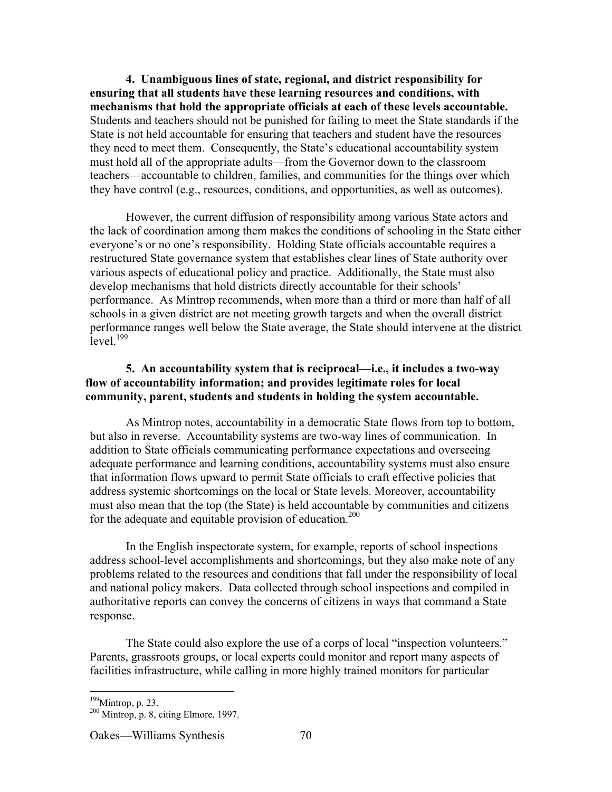**4. Unambiguous lines of state, regional, and district responsibility for ensuring that all students have these learning resources and conditions, with mechanisms that hold the appropriate officials at each of these levels accountable.** Students and teachers should not be punished for failing to meet the State standards if the State is not held accountable for ensuring that teachers and student have the resources they need to meet them. Consequently, the State's educational accountability system must hold all of the appropriate adults—from the Governor down to the classroom teachers—accountable to children, families, and communities for the things over which they have control (e.g., resources, conditions, and opportunities, as well as outcomes).

However, the current diffusion of responsibility among various State actors and the lack of coordination among them makes the conditions of schooling in the State either everyone's or no one's responsibility. Holding State officials accountable requires a restructured State governance system that establishes clear lines of State authority over various aspects of educational policy and practice. Additionally, the State must also develop mechanisms that hold districts directly accountable for their schools' performance. As Mintrop recommends, when more than a third or more than half of all schools in a given district are not meeting growth targets and when the overall district performance ranges well below the State average, the State should intervene at the district  $\rm{level}$   $^{199}$ 

# **5. An accountability system that is reciprocal—i.e., it includes a two-way flow of accountability information; and provides legitimate roles for local community, parent, students and students in holding the system accountable.**

As Mintrop notes, accountability in a democratic State flows from top to bottom, but also in reverse. Accountability systems are two-way lines of communication. In addition to State officials communicating performance expectations and overseeing adequate performance and learning conditions, accountability systems must also ensure that information flows upward to permit State officials to craft effective policies that address systemic shortcomings on the local or State levels. Moreover, accountability must also mean that the top (the State) is held accountable by communities and citizens for the adequate and equitable provision of education.<sup>200</sup>

In the English inspectorate system, for example, reports of school inspections address school-level accomplishments and shortcomings, but they also make note of any problems related to the resources and conditions that fall under the responsibility of local and national policy makers. Data collected through school inspections and compiled in authoritative reports can convey the concerns of citizens in ways that command a State response.

The State could also explore the use of a corps of local "inspection volunteers." Parents, grassroots groups, or local experts could monitor and report many aspects of facilities infrastructure, while calling in more highly trained monitors for particular

<sup>&</sup>lt;sup>199</sup>  $^{199}$ Mintrop, p. 23.

 $200$  Mintrop, p. 8, citing Elmore, 1997.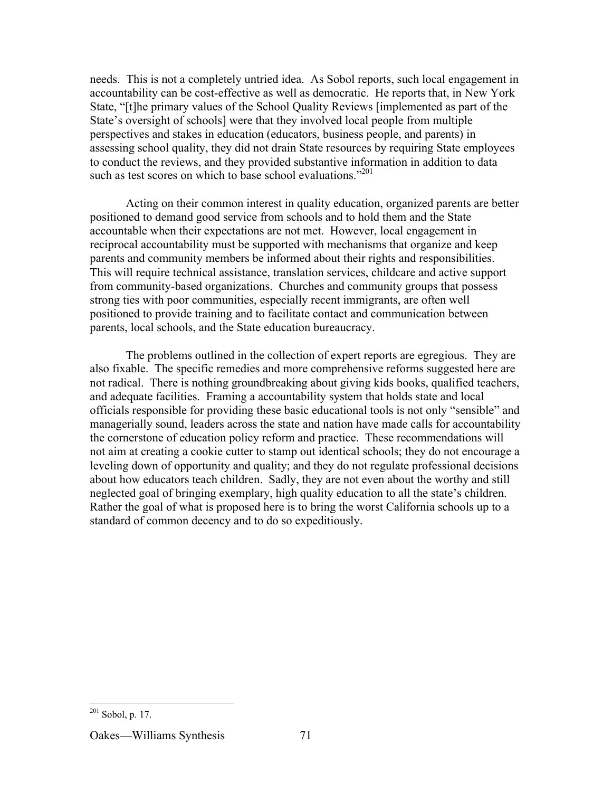needs. This is not a completely untried idea. As Sobol reports, such local engagement in accountability can be cost-effective as well as democratic. He reports that, in New York State, "[t]he primary values of the School Quality Reviews [implemented as part of the State's oversight of schools] were that they involved local people from multiple perspectives and stakes in education (educators, business people, and parents) in assessing school quality, they did not drain State resources by requiring State employees to conduct the reviews, and they provided substantive information in addition to data such as test scores on which to base school evaluations."<sup>201</sup>

Acting on their common interest in quality education, organized parents are better positioned to demand good service from schools and to hold them and the State accountable when their expectations are not met. However, local engagement in reciprocal accountability must be supported with mechanisms that organize and keep parents and community members be informed about their rights and responsibilities. This will require technical assistance, translation services, childcare and active support from community-based organizations. Churches and community groups that possess strong ties with poor communities, especially recent immigrants, are often well positioned to provide training and to facilitate contact and communication between parents, local schools, and the State education bureaucracy.

The problems outlined in the collection of expert reports are egregious. They are also fixable. The specific remedies and more comprehensive reforms suggested here are not radical. There is nothing groundbreaking about giving kids books, qualified teachers, and adequate facilities. Framing a accountability system that holds state and local officials responsible for providing these basic educational tools is not only "sensible" and managerially sound, leaders across the state and nation have made calls for accountability the cornerstone of education policy reform and practice. These recommendations will not aim at creating a cookie cutter to stamp out identical schools; they do not encourage a leveling down of opportunity and quality; and they do not regulate professional decisions about how educators teach children. Sadly, they are not even about the worthy and still neglected goal of bringing exemplary, high quality education to all the state's children. Rather the goal of what is proposed here is to bring the worst California schools up to a standard of common decency and to do so expeditiously.

 $^{201}$  Sobol, p. 17.

Oakes—Williams Synthesis 71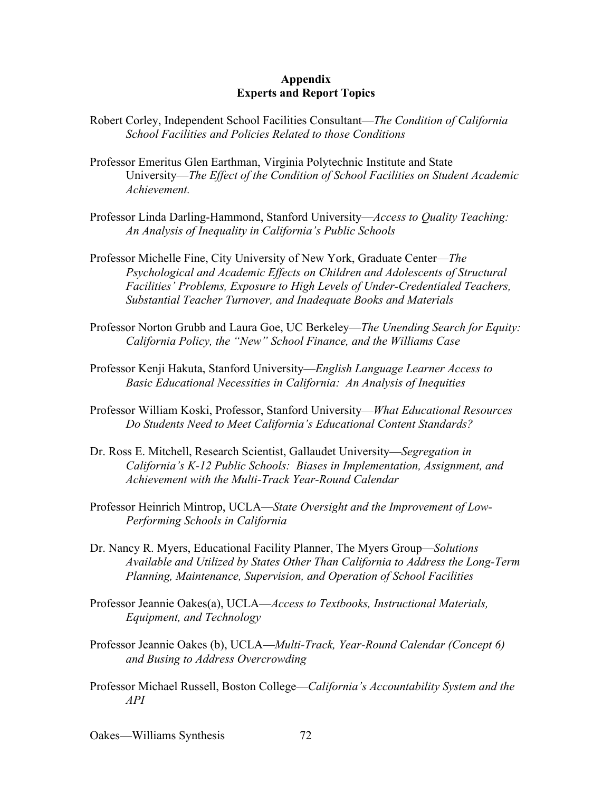### **Appendix Experts and Report Topics**

- Robert Corley, Independent School Facilities Consultant—*The Condition of California School Facilities and Policies Related to those Conditions*
- Professor Emeritus Glen Earthman, Virginia Polytechnic Institute and State University—*The Effect of the Condition of School Facilities on Student Academic Achievement.*
- Professor Linda Darling-Hammond, Stanford University—*Access to Quality Teaching: An Analysis of Inequality in California's Public Schools*
- Professor Michelle Fine, City University of New York, Graduate Center—*The Psychological and Academic Effects on Children and Adolescents of Structural Facilities' Problems, Exposure to High Levels of Under-Credentialed Teachers, Substantial Teacher Turnover, and Inadequate Books and Materials*
- Professor Norton Grubb and Laura Goe, UC Berkeley—*The Unending Search for Equity: California Policy, the "New" School Finance, and the Williams Case*
- Professor Kenji Hakuta, Stanford University—*English Language Learner Access to Basic Educational Necessities in California: An Analysis of Inequities*
- Professor William Koski, Professor, Stanford University—*What Educational Resources Do Students Need to Meet California's Educational Content Standards?*
- Dr. Ross E. Mitchell, Research Scientist, Gallaudet University**—***Segregation in California's K-12 Public Schools: Biases in Implementation, Assignment, and Achievement with the Multi-Track Year-Round Calendar*
- Professor Heinrich Mintrop, UCLA—*State Oversight and the Improvement of Low-Performing Schools in California*
- Dr. Nancy R. Myers, Educational Facility Planner, The Myers Group—*Solutions Available and Utilized by States Other Than California to Address the Long-Term Planning, Maintenance, Supervision, and Operation of School Facilities*
- Professor Jeannie Oakes(a), UCLA—*Access to Textbooks, Instructional Materials, Equipment, and Technology*
- Professor Jeannie Oakes (b), UCLA—*Multi-Track, Year-Round Calendar (Concept 6) and Busing to Address Overcrowding*
- Professor Michael Russell, Boston College—*California's Accountability System and the API*